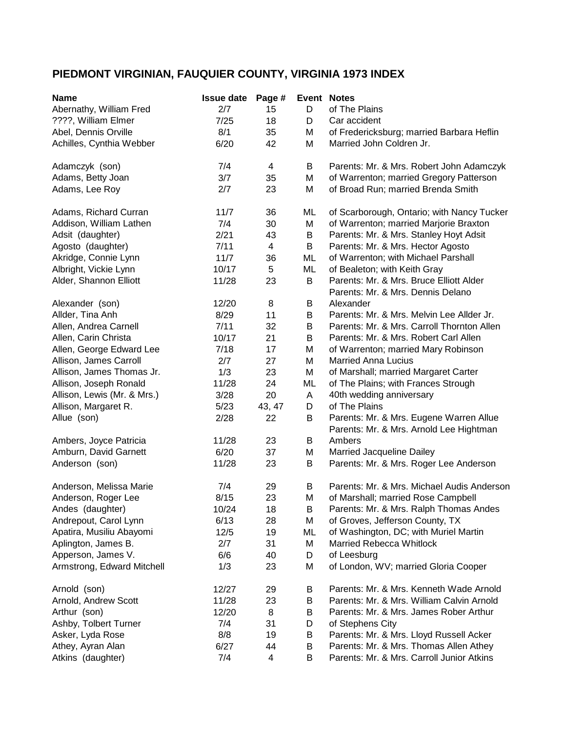## **PIEDMONT VIRGINIAN, FAUQUIER COUNTY, VIRGINIA 1973 INDEX**

| <b>Name</b>                 | <b>Issue date</b> | Page #         |         | <b>Event Notes</b>                         |
|-----------------------------|-------------------|----------------|---------|--------------------------------------------|
| Abernathy, William Fred     | 2/7               | 15             | D       | of The Plains                              |
| ????, William Elmer         | 7/25              | 18             | D       | Car accident                               |
| Abel, Dennis Orville        | 8/1               | 35             | M       | of Fredericksburg; married Barbara Heflin  |
| Achilles, Cynthia Webber    | 6/20              | 42             | M       | Married John Coldren Jr.                   |
|                             |                   |                |         |                                            |
| Adamczyk (son)              | 7/4               | $\overline{4}$ | B       | Parents: Mr. & Mrs. Robert John Adamczyk   |
| Adams, Betty Joan           | 3/7               | 35             | M       | of Warrenton; married Gregory Patterson    |
| Adams, Lee Roy              | 2/7               | 23             | M       | of Broad Run; married Brenda Smith         |
|                             |                   |                |         |                                            |
| Adams, Richard Curran       | 11/7              | 36             | ML      | of Scarborough, Ontario; with Nancy Tucker |
| Addison, William Lathen     | 7/4               | 30             | M       | of Warrenton; married Marjorie Braxton     |
| Adsit (daughter)            | 2/21              | 43             | B       | Parents: Mr. & Mrs. Stanley Hoyt Adsit     |
| Agosto (daughter)           | 7/11              | $\overline{4}$ | $\sf B$ | Parents: Mr. & Mrs. Hector Agosto          |
| Akridge, Connie Lynn        | 11/7              | 36             | ML      | of Warrenton; with Michael Parshall        |
| Albright, Vickie Lynn       | 10/17             | 5              | ML      | of Bealeton; with Keith Gray               |
| Alder, Shannon Elliott      | 11/28             | 23             | B       | Parents: Mr. & Mrs. Bruce Elliott Alder    |
|                             |                   |                |         | Parents: Mr. & Mrs. Dennis Delano          |
| Alexander (son)             | 12/20             | 8              | B       | Alexander                                  |
| Allder, Tina Anh            | 8/29              | 11             | B       | Parents: Mr. & Mrs. Melvin Lee Allder Jr.  |
| Allen, Andrea Carnell       | 7/11              | 32             | B       | Parents: Mr. & Mrs. Carroll Thornton Allen |
| Allen, Carin Christa        | 10/17             | 21             | B       | Parents: Mr. & Mrs. Robert Carl Allen      |
| Allen, George Edward Lee    | 7/18              | 17             | M       | of Warrenton; married Mary Robinson        |
| Allison, James Carroll      | 2/7               | 27             | M       | <b>Married Anna Lucius</b>                 |
|                             |                   |                |         |                                            |
| Allison, James Thomas Jr.   | 1/3               | 23             | M       | of Marshall; married Margaret Carter       |
| Allison, Joseph Ronald      | 11/28             | 24             | ML      | of The Plains; with Frances Strough        |
| Allison, Lewis (Mr. & Mrs.) | 3/28              | 20             | Α       | 40th wedding anniversary                   |
| Allison, Margaret R.        | 5/23              | 43, 47         | D       | of The Plains                              |
| Allue (son)                 | 2/28              | 22             | B       | Parents: Mr. & Mrs. Eugene Warren Allue    |
|                             |                   |                |         | Parents: Mr. & Mrs. Arnold Lee Hightman    |
| Ambers, Joyce Patricia      | 11/28             | 23             | B       | Ambers                                     |
| Amburn, David Garnett       | 6/20              | 37             | M       | Married Jacqueline Dailey                  |
| Anderson (son)              | 11/28             | 23             | B       | Parents: Mr. & Mrs. Roger Lee Anderson     |
| Anderson, Melissa Marie     | 7/4               | 29             | B       | Parents: Mr. & Mrs. Michael Audis Anderson |
| Anderson, Roger Lee         | 8/15              | 23             | M       | of Marshall; married Rose Campbell         |
| Andes (daughter)            | 10/24             | 18             | В       | Parents: Mr. & Mrs. Ralph Thomas Andes     |
| Andrepout, Carol Lynn       | 6/13              | 28             | M       | of Groves, Jefferson County, TX            |
| Apatira, Musiliu Abayomi    | 12/5              | 19             | ML      | of Washington, DC; with Muriel Martin      |
| Aplington, James B.         | 2/7               | 31             | M       | Married Rebecca Whitlock                   |
| Apperson, James V.          | 6/6               | 40             | D       | of Leesburg                                |
| Armstrong, Edward Mitchell  | 1/3               | 23             | M       | of London, WV; married Gloria Cooper       |
|                             |                   |                |         |                                            |
| Arnold (son)                | 12/27             | 29             | B       | Parents: Mr. & Mrs. Kenneth Wade Arnold    |
| Arnold, Andrew Scott        | 11/28             | 23             | B       | Parents: Mr. & Mrs. William Calvin Arnold  |
| Arthur (son)                | 12/20             | 8              | B       | Parents: Mr. & Mrs. James Rober Arthur     |
| Ashby, Tolbert Turner       | 7/4               | 31             | D       | of Stephens City                           |
| Asker, Lyda Rose            | 8/8               | 19             | B       | Parents: Mr. & Mrs. Lloyd Russell Acker    |
| Athey, Ayran Alan           |                   |                |         |                                            |
|                             | 6/27              | 44             | B       | Parents: Mr. & Mrs. Thomas Allen Athey     |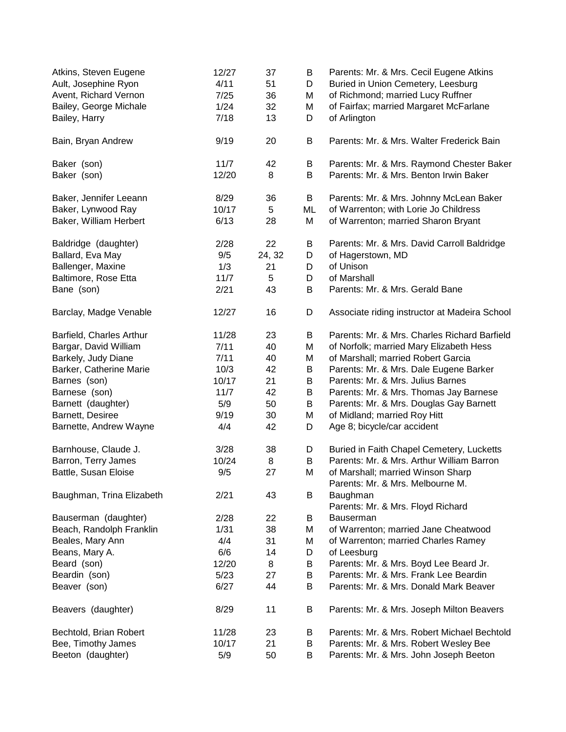| Atkins, Steven Eugene<br>Ault, Josephine Ryon<br>Avent, Richard Vernon<br>Bailey, George Michale<br>Bailey, Harry | 12/27<br>4/11<br>7/25<br>1/24<br>7/18 | 37<br>51<br>36<br>32<br>13 | B<br>D<br>Μ<br>M<br>D | Parents: Mr. & Mrs. Cecil Eugene Atkins<br>Buried in Union Cemetery, Leesburg<br>of Richmond; married Lucy Ruffner<br>of Fairfax; married Margaret McFarlane<br>of Arlington |
|-------------------------------------------------------------------------------------------------------------------|---------------------------------------|----------------------------|-----------------------|------------------------------------------------------------------------------------------------------------------------------------------------------------------------------|
| Bain, Bryan Andrew                                                                                                | 9/19                                  | 20                         | B                     | Parents: Mr. & Mrs. Walter Frederick Bain                                                                                                                                    |
| Baker (son)                                                                                                       | 11/7                                  | 42                         | Β                     | Parents: Mr. & Mrs. Raymond Chester Baker                                                                                                                                    |
| Baker (son)                                                                                                       | 12/20                                 | 8                          | B                     | Parents: Mr. & Mrs. Benton Irwin Baker                                                                                                                                       |
| Baker, Jennifer Leeann                                                                                            | 8/29                                  | 36                         | В                     | Parents: Mr. & Mrs. Johnny McLean Baker                                                                                                                                      |
| Baker, Lynwood Ray                                                                                                | 10/17                                 | 5                          | ML                    | of Warrenton; with Lorie Jo Childress                                                                                                                                        |
| Baker, William Herbert                                                                                            | 6/13                                  | 28                         | M                     | of Warrenton; married Sharon Bryant                                                                                                                                          |
| Baldridge (daughter)                                                                                              | 2/28                                  | 22                         | B                     | Parents: Mr. & Mrs. David Carroll Baldridge                                                                                                                                  |
| Ballard, Eva May                                                                                                  | 9/5                                   | 24, 32                     | D                     | of Hagerstown, MD                                                                                                                                                            |
| Ballenger, Maxine                                                                                                 | 1/3                                   | 21                         | D                     | of Unison                                                                                                                                                                    |
| Baltimore, Rose Etta                                                                                              | 11/7                                  | 5                          | D                     | of Marshall                                                                                                                                                                  |
| Bane (son)                                                                                                        | 2/21                                  | 43                         | B                     | Parents: Mr. & Mrs. Gerald Bane                                                                                                                                              |
| Barclay, Madge Venable                                                                                            | 12/27                                 | 16                         | D                     | Associate riding instructor at Madeira School                                                                                                                                |
| Barfield, Charles Arthur                                                                                          | 11/28                                 | 23                         | B                     | Parents: Mr. & Mrs. Charles Richard Barfield                                                                                                                                 |
| Bargar, David William                                                                                             | 7/11                                  | 40                         | M                     | of Norfolk; married Mary Elizabeth Hess                                                                                                                                      |
| Barkely, Judy Diane                                                                                               | 7/11                                  | 40                         | M                     | of Marshall; married Robert Garcia                                                                                                                                           |
| Barker, Catherine Marie                                                                                           | 10/3                                  | 42                         | B                     | Parents: Mr. & Mrs. Dale Eugene Barker                                                                                                                                       |
| Barnes (son)                                                                                                      | 10/17                                 | 21                         | B                     | Parents: Mr. & Mrs. Julius Barnes                                                                                                                                            |
| Barnese (son)                                                                                                     | 11/7                                  | 42                         | B                     | Parents: Mr. & Mrs. Thomas Jay Barnese                                                                                                                                       |
| Barnett (daughter)                                                                                                | 5/9                                   | 50                         | B                     | Parents: Mr. & Mrs. Douglas Gay Barnett                                                                                                                                      |
| Barnett, Desiree                                                                                                  | 9/19                                  | 30                         | M                     | of Midland; married Roy Hitt                                                                                                                                                 |
| Barnette, Andrew Wayne                                                                                            | 4/4                                   | 42                         | D                     | Age 8; bicycle/car accident                                                                                                                                                  |
| Barnhouse, Claude J.                                                                                              | 3/28                                  | 38                         | D                     | Buried in Faith Chapel Cemetery, Lucketts                                                                                                                                    |
| Barron, Terry James                                                                                               | 10/24                                 | 8                          | B                     | Parents: Mr. & Mrs. Arthur William Barron                                                                                                                                    |
| Battle, Susan Eloise                                                                                              | 9/5                                   | 27                         | M                     | of Marshall; married Winson Sharp<br>Parents: Mr. & Mrs. Melbourne M.                                                                                                        |
| Baughman, Trina Elizabeth                                                                                         | 2/21                                  | 43                         | B                     | Baughman<br>Parents: Mr. & Mrs. Floyd Richard                                                                                                                                |
| Bauserman (daughter)                                                                                              | 2/28                                  | 22                         | B                     | <b>Bauserman</b>                                                                                                                                                             |
| Beach, Randolph Franklin                                                                                          | 1/31                                  | 38                         | M                     | of Warrenton; married Jane Cheatwood                                                                                                                                         |
| Beales, Mary Ann                                                                                                  | 4/4                                   | 31                         | Μ                     | of Warrenton; married Charles Ramey                                                                                                                                          |
| Beans, Mary A.                                                                                                    | 6/6                                   | 14                         | D                     | of Leesburg                                                                                                                                                                  |
| Beard (son)                                                                                                       | 12/20                                 | 8                          | B                     | Parents: Mr. & Mrs. Boyd Lee Beard Jr.                                                                                                                                       |
| Beardin (son)                                                                                                     | 5/23                                  | 27                         | B                     | Parents: Mr. & Mrs. Frank Lee Beardin                                                                                                                                        |
| Beaver (son)                                                                                                      | 6/27                                  | 44                         | B                     | Parents: Mr. & Mrs. Donald Mark Beaver                                                                                                                                       |
|                                                                                                                   |                                       |                            |                       |                                                                                                                                                                              |
| Beavers (daughter)                                                                                                | 8/29                                  | 11                         | B                     | Parents: Mr. & Mrs. Joseph Milton Beavers                                                                                                                                    |
| Bechtold, Brian Robert                                                                                            | 11/28                                 | 23                         | B                     | Parents: Mr. & Mrs. Robert Michael Bechtold                                                                                                                                  |
| Bee, Timothy James                                                                                                | 10/17                                 | 21                         | В                     | Parents: Mr. & Mrs. Robert Wesley Bee                                                                                                                                        |
| Beeton (daughter)                                                                                                 | 5/9                                   | 50                         | B                     | Parents: Mr. & Mrs. John Joseph Beeton                                                                                                                                       |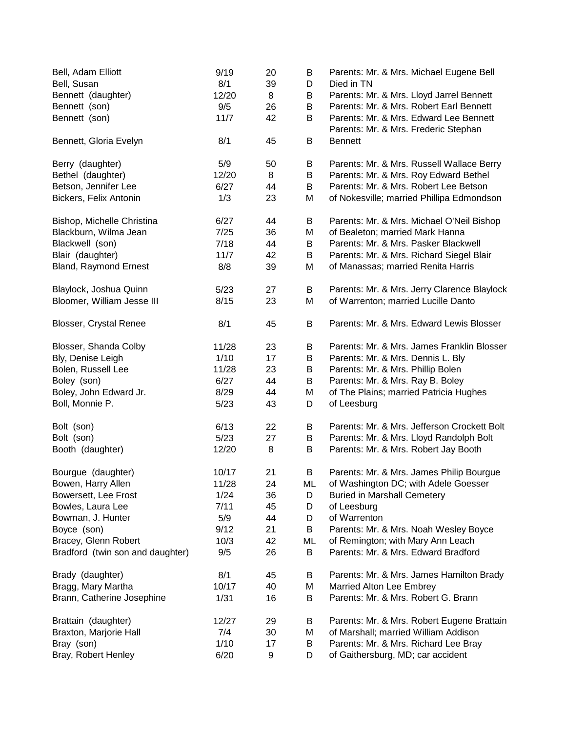| Bell, Adam Elliott<br>Bell, Susan | 9/19<br>8/1 | 20<br>39 | В<br>D | Parents: Mr. & Mrs. Michael Eugene Bell<br>Died in TN                          |
|-----------------------------------|-------------|----------|--------|--------------------------------------------------------------------------------|
| Bennett (daughter)                | 12/20       | 8        | В      | Parents: Mr. & Mrs. Lloyd Jarrel Bennett                                       |
| Bennett (son)                     | 9/5         | 26       | B      | Parents: Mr. & Mrs. Robert Earl Bennett                                        |
| Bennett (son)                     | 11/7        | 42       | B      | Parents: Mr. & Mrs. Edward Lee Bennett<br>Parents: Mr. & Mrs. Frederic Stephan |
| Bennett, Gloria Evelyn            | 8/1         | 45       | B      | <b>Bennett</b>                                                                 |
| Berry (daughter)                  | 5/9         | 50       | В      | Parents: Mr. & Mrs. Russell Wallace Berry                                      |
| Bethel (daughter)                 | 12/20       | 8        | B      | Parents: Mr. & Mrs. Roy Edward Bethel                                          |
| Betson, Jennifer Lee              | 6/27        | 44       | B      | Parents: Mr. & Mrs. Robert Lee Betson                                          |
| Bickers, Felix Antonin            | 1/3         | 23       | M      | of Nokesville; married Phillipa Edmondson                                      |
| Bishop, Michelle Christina        | 6/27        | 44       | B      | Parents: Mr. & Mrs. Michael O'Neil Bishop                                      |
| Blackburn, Wilma Jean             | 7/25        | 36       | M      | of Bealeton; married Mark Hanna                                                |
| Blackwell (son)                   | 7/18        | 44       | B      | Parents: Mr. & Mrs. Pasker Blackwell                                           |
| Blair (daughter)                  | 11/7        | 42       | B      | Parents: Mr. & Mrs. Richard Siegel Blair                                       |
| <b>Bland, Raymond Ernest</b>      | 8/8         | 39       | M      | of Manassas; married Renita Harris                                             |
| Blaylock, Joshua Quinn            | 5/23        | 27       | B      | Parents: Mr. & Mrs. Jerry Clarence Blaylock                                    |
| Bloomer, William Jesse III        | 8/15        | 23       | M      | of Warrenton; married Lucille Danto                                            |
| <b>Blosser, Crystal Renee</b>     | 8/1         | 45       | B      | Parents: Mr. & Mrs. Edward Lewis Blosser                                       |
| Blosser, Shanda Colby             | 11/28       | 23       | B      | Parents: Mr. & Mrs. James Franklin Blosser                                     |
| Bly, Denise Leigh                 | 1/10        | 17       | B      | Parents: Mr. & Mrs. Dennis L. Bly                                              |
| Bolen, Russell Lee                | 11/28       | 23       | B      | Parents: Mr. & Mrs. Phillip Bolen                                              |
| Boley (son)                       | 6/27        | 44       | B      | Parents: Mr. & Mrs. Ray B. Boley                                               |
| Boley, John Edward Jr.            | 8/29        | 44       | Μ      | of The Plains; married Patricia Hughes                                         |
| Boll, Monnie P.                   | 5/23        | 43       | D      | of Leesburg                                                                    |
| Bolt (son)                        | 6/13        | 22       | B      | Parents: Mr. & Mrs. Jefferson Crockett Bolt                                    |
| Bolt (son)                        | 5/23        | 27       | B      | Parents: Mr. & Mrs. Lloyd Randolph Bolt                                        |
| Booth (daughter)                  | 12/20       | 8        | B      | Parents: Mr. & Mrs. Robert Jay Booth                                           |
| Bourgue (daughter)                | 10/17       | 21       | B      | Parents: Mr. & Mrs. James Philip Bourgue                                       |
| Bowen, Harry Allen                | 11/28       | 24       | ML     | of Washington DC; with Adele Goesser                                           |
| Bowersett, Lee Frost              | 1/24        | 36       | D      | <b>Buried in Marshall Cemetery</b>                                             |
| Bowles, Laura Lee                 | 7/11        | 45       | D      | of Leesburg                                                                    |
| Bowman, J. Hunter                 | 5/9         | 44       | D      | of Warrenton                                                                   |
| Boyce (son)                       | 9/12        | 21       | B      | Parents: Mr. & Mrs. Noah Wesley Boyce                                          |
| Bracey, Glenn Robert              | 10/3        | 42       | ML     | of Remington; with Mary Ann Leach                                              |
| Bradford (twin son and daughter)  | 9/5         | 26       | B      | Parents: Mr. & Mrs. Edward Bradford                                            |
| Brady (daughter)                  | 8/1         | 45       | В      | Parents: Mr. & Mrs. James Hamilton Brady                                       |
| Bragg, Mary Martha                | 10/17       | 40       | Μ      | Married Alton Lee Embrey                                                       |
| Brann, Catherine Josephine        | 1/31        | 16       | B      | Parents: Mr. & Mrs. Robert G. Brann                                            |
| Brattain (daughter)               | 12/27       | 29       | В      | Parents: Mr. & Mrs. Robert Eugene Brattain                                     |
| Braxton, Marjorie Hall            | 7/4         | 30       | Μ      | of Marshall; married William Addison                                           |
| Bray (son)                        | 1/10        | 17       | B      | Parents: Mr. & Mrs. Richard Lee Bray                                           |
| Bray, Robert Henley               | 6/20        | 9        | D      | of Gaithersburg, MD; car accident                                              |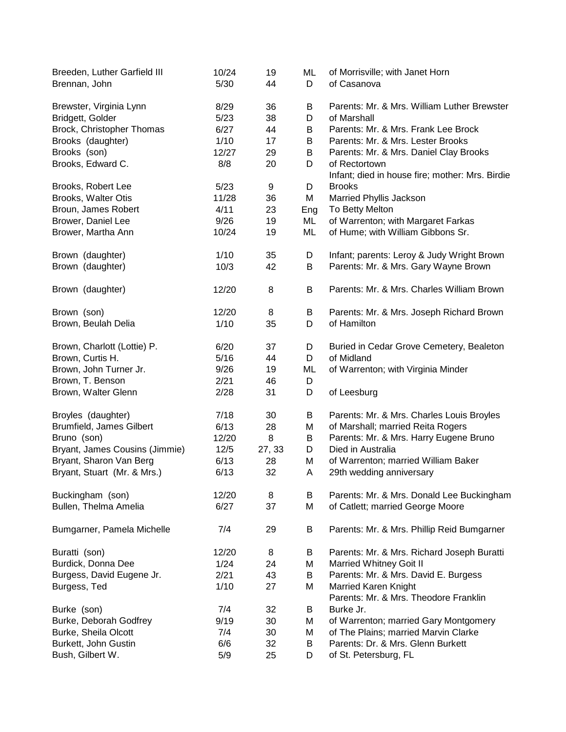| Breeden, Luther Garfield III<br>Brennan, John | 10/24<br>5/30 | 19<br>44 | ML<br>D | of Morrisville; with Janet Horn<br>of Casanova                       |
|-----------------------------------------------|---------------|----------|---------|----------------------------------------------------------------------|
| Brewster, Virginia Lynn                       | 8/29          | 36       | В       | Parents: Mr. & Mrs. William Luther Brewster                          |
| Bridgett, Golder                              | 5/23          | 38       | D       | of Marshall                                                          |
| Brock, Christopher Thomas                     | 6/27          | 44       | B       | Parents: Mr. & Mrs. Frank Lee Brock                                  |
| Brooks (daughter)                             | 1/10          | 17       | B       | Parents: Mr. & Mrs. Lester Brooks                                    |
| Brooks (son)                                  | 12/27         | 29       | B       | Parents: Mr. & Mrs. Daniel Clay Brooks                               |
| Brooks, Edward C.                             | 8/8           | 20       | D       | of Rectortown                                                        |
|                                               |               |          |         | Infant; died in house fire; mother: Mrs. Birdie                      |
| Brooks, Robert Lee                            | 5/23          | 9        | D       | <b>Brooks</b>                                                        |
| Brooks, Walter Otis                           | 11/28         | 36       | M       | Married Phyllis Jackson                                              |
| Broun, James Robert                           | 4/11          | 23       | Eng     | To Betty Melton                                                      |
| Brower, Daniel Lee                            | 9/26          | 19       | ML      | of Warrenton; with Margaret Farkas                                   |
| Brower, Martha Ann                            | 10/24         | 19       | ML      | of Hume; with William Gibbons Sr.                                    |
| Brown (daughter)                              | 1/10          | 35       | D       | Infant; parents: Leroy & Judy Wright Brown                           |
| Brown (daughter)                              | 10/3          | 42       | B       | Parents: Mr. & Mrs. Gary Wayne Brown                                 |
| Brown (daughter)                              | 12/20         | 8        | B       | Parents: Mr. & Mrs. Charles William Brown                            |
| Brown (son)                                   | 12/20         | 8        | B       | Parents: Mr. & Mrs. Joseph Richard Brown                             |
| Brown, Beulah Delia                           | 1/10          | 35       | D       | of Hamilton                                                          |
| Brown, Charlott (Lottie) P.                   | 6/20          | 37       | D       | Buried in Cedar Grove Cemetery, Bealeton                             |
| Brown, Curtis H.                              | 5/16          | 44       | D       | of Midland                                                           |
| Brown, John Turner Jr.                        | 9/26          | 19       | ML      | of Warrenton; with Virginia Minder                                   |
| Brown, T. Benson                              | 2/21          | 46       | D       |                                                                      |
| Brown, Walter Glenn                           | 2/28          | 31       | D       | of Leesburg                                                          |
| Broyles (daughter)                            | 7/18          | 30       | B       | Parents: Mr. & Mrs. Charles Louis Broyles                            |
| Brumfield, James Gilbert                      | 6/13          | 28       | M       | of Marshall; married Reita Rogers                                    |
| Bruno (son)                                   | 12/20         | 8        | Β       | Parents: Mr. & Mrs. Harry Eugene Bruno                               |
| Bryant, James Cousins (Jimmie)                | $12/5$        | 27, 33   | D       | Died in Australia                                                    |
| Bryant, Sharon Van Berg                       | 6/13          | 28       | M       | of Warrenton; married William Baker                                  |
| Bryant, Stuart (Mr. & Mrs.)                   | 6/13          | 32       | A       | 29th wedding anniversary                                             |
| Buckingham (son)                              | 12/20         | 8        | B       | Parents: Mr. & Mrs. Donald Lee Buckingham                            |
| Bullen, Thelma Amelia                         | 6/27          | 37       | M       | of Catlett; married George Moore                                     |
| Bumgarner, Pamela Michelle                    | 7/4           | 29       | B       | Parents: Mr. & Mrs. Phillip Reid Bumgarner                           |
| Buratti (son)                                 | 12/20         | 8        | B       | Parents: Mr. & Mrs. Richard Joseph Buratti                           |
| Burdick, Donna Dee                            | 1/24          | 24       | M       | <b>Married Whitney Goit II</b>                                       |
| Burgess, David Eugene Jr.                     | 2/21          | 43       | B       | Parents: Mr. & Mrs. David E. Burgess                                 |
| Burgess, Ted                                  | 1/10          | 27       | M       | <b>Married Karen Knight</b><br>Parents: Mr. & Mrs. Theodore Franklin |
| Burke (son)                                   | 7/4           | 32       | B       | Burke Jr.                                                            |
| Burke, Deborah Godfrey                        | 9/19          | 30       | Μ       | of Warrenton; married Gary Montgomery                                |
| Burke, Sheila Olcott                          | 7/4           | 30       | Μ       | of The Plains; married Marvin Clarke                                 |
| Burkett, John Gustin                          | 6/6           | 32       | B       | Parents: Dr. & Mrs. Glenn Burkett                                    |
| Bush, Gilbert W.                              | 5/9           | 25       | D       | of St. Petersburg, FL                                                |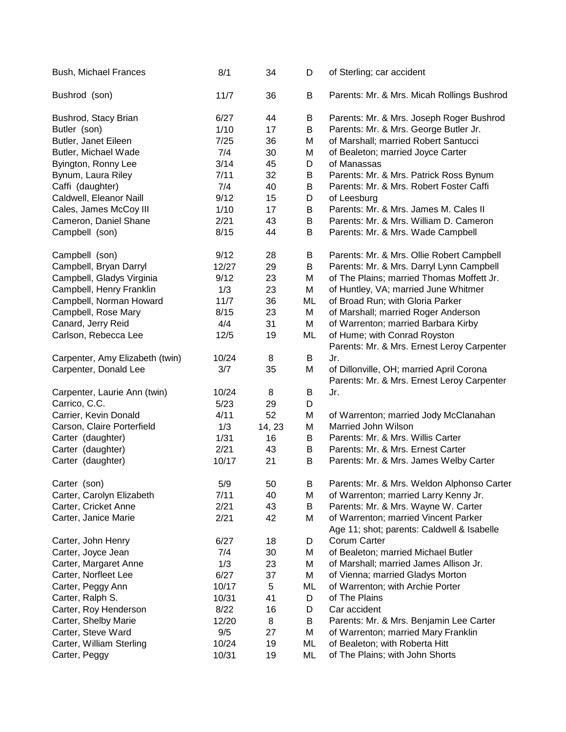| Bush, Michael Frances           | 8/1   | 34     | D  | of Sterling; car accident                                                              |
|---------------------------------|-------|--------|----|----------------------------------------------------------------------------------------|
| Bushrod (son)                   | 11/7  | 36     | B  | Parents: Mr. & Mrs. Micah Rollings Bushrod                                             |
| Bushrod, Stacy Brian            | 6/27  | 44     | В  | Parents: Mr. & Mrs. Joseph Roger Bushrod                                               |
| Butler (son)                    | 1/10  | 17     | B  | Parents: Mr. & Mrs. George Butler Jr.                                                  |
| Butler, Janet Eileen            | 7/25  | 36     | M  | of Marshall; married Robert Santucci                                                   |
| Butler, Michael Wade            | 7/4   | 30     | M  | of Bealeton; married Joyce Carter                                                      |
| Byington, Ronny Lee             | 3/14  | 45     | D  | of Manassas                                                                            |
| Bynum, Laura Riley              | 7/11  | 32     | Β  | Parents: Mr. & Mrs. Patrick Ross Bynum                                                 |
| Caffi (daughter)                | 7/4   | 40     | B  | Parents: Mr. & Mrs. Robert Foster Caffi                                                |
| Caldwell, Eleanor Naill         | 9/12  | 15     | D  | of Leesburg                                                                            |
| Cales, James McCoy III          | 1/10  | 17     | B  | Parents: Mr. & Mrs. James M. Cales II                                                  |
| Cameron, Daniel Shane           | 2/21  | 43     | B  | Parents: Mr. & Mrs. William D. Cameron                                                 |
| Campbell (son)                  | 8/15  | 44     | B  | Parents: Mr. & Mrs. Wade Campbell                                                      |
| Campbell (son)                  | 9/12  | 28     | B  | Parents: Mr. & Mrs. Ollie Robert Campbell                                              |
| Campbell, Bryan Darryl          | 12/27 | 29     | B  | Parents: Mr. & Mrs. Darryl Lynn Campbell                                               |
| Campbell, Gladys Virginia       | 9/12  | 23     | M  | of The Plains; married Thomas Moffett Jr.                                              |
| Campbell, Henry Franklin        | 1/3   | 23     | M  | of Huntley, VA; married June Whitmer                                                   |
| Campbell, Norman Howard         | 11/7  | 36     | ML | of Broad Run; with Gloria Parker                                                       |
| Campbell, Rose Mary             | 8/15  | 23     | M  | of Marshall; married Roger Anderson                                                    |
| Canard, Jerry Reid              | 4/4   | 31     | M  | of Warrenton; married Barbara Kirby                                                    |
| Carlson, Rebecca Lee            | 12/5  | 19     | ML | of Hume; with Conrad Royston                                                           |
|                                 |       |        |    | Parents: Mr. & Mrs. Ernest Leroy Carpenter                                             |
| Carpenter, Amy Elizabeth (twin) | 10/24 | 8      | B  | Jr.                                                                                    |
| Carpenter, Donald Lee           | 3/7   | 35     | M  | of Dillonville, OH; married April Corona<br>Parents: Mr. & Mrs. Ernest Leroy Carpenter |
| Carpenter, Laurie Ann (twin)    | 10/24 | 8      | B  | Jr.                                                                                    |
| Carrico, C.C.                   | 5/23  | 29     | D  |                                                                                        |
| Carrier, Kevin Donald           | 4/11  | 52     | M  | of Warrenton; married Jody McClanahan                                                  |
| Carson, Claire Porterfield      | 1/3   | 14, 23 | M  | Married John Wilson                                                                    |
| Carter (daughter)               | 1/31  | 16     | B  | Parents: Mr. & Mrs. Willis Carter                                                      |
| Carter (daughter)               | 2/21  | 43     | B  | Parents: Mr. & Mrs. Ernest Carter                                                      |
| Carter (daughter)               | 10/17 | 21     | B  | Parents: Mr. & Mrs. James Welby Carter                                                 |
| Carter (son)                    | 5/9   | 50     | B  | Parents: Mr. & Mrs. Weldon Alphonso Carter                                             |
| Carter, Carolyn Elizabeth       | 7/11  | 40     | М  | of Warrenton; married Larry Kenny Jr.                                                  |
| Carter, Cricket Anne            | 2/21  | 43     | В  | Parents: Mr. & Mrs. Wayne W. Carter                                                    |
| Carter, Janice Marie            | 2/21  | 42     | М  | of Warrenton; married Vincent Parker<br>Age 11; shot; parents: Caldwell & Isabelle     |
| Carter, John Henry              | 6/27  | 18     | D  | Corum Carter                                                                           |
| Carter, Joyce Jean              | 7/4   | 30     | М  | of Bealeton; married Michael Butler                                                    |
| Carter, Margaret Anne           | 1/3   | 23     | M  | of Marshall; married James Allison Jr.                                                 |
| Carter, Norfleet Lee            | 6/27  | 37     | M  | of Vienna; married Gladys Morton                                                       |
| Carter, Peggy Ann               | 10/17 | 5      | ML | of Warrenton; with Archie Porter                                                       |
| Carter, Ralph S.                | 10/31 | 41     | D  | of The Plains                                                                          |
| Carter, Roy Henderson           | 8/22  | 16     | D  | Car accident                                                                           |
| Carter, Shelby Marie            | 12/20 | 8      | В  | Parents: Mr. & Mrs. Benjamin Lee Carter                                                |
| Carter, Steve Ward              | 9/5   | 27     | M  | of Warrenton; married Mary Franklin                                                    |
| Carter, William Sterling        | 10/24 | 19     | ML | of Bealeton; with Roberta Hitt                                                         |
| Carter, Peggy                   | 10/31 | 19     | ML | of The Plains; with John Shorts                                                        |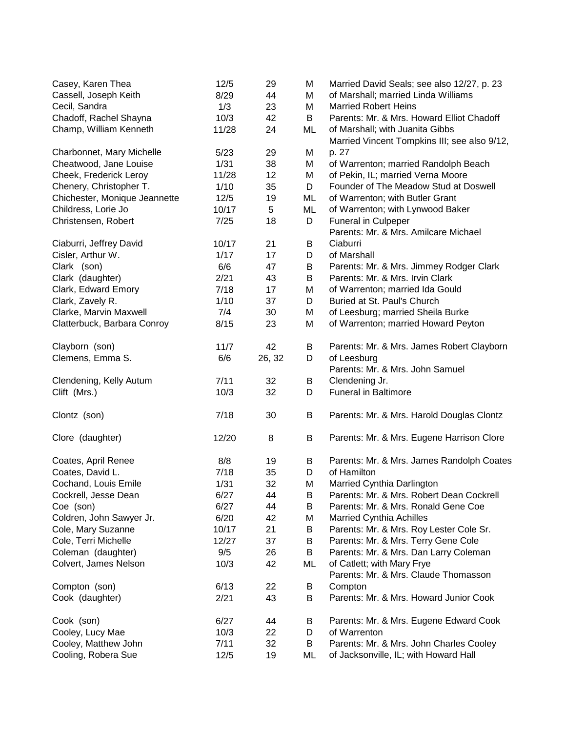| Casey, Karen Thea             | 12/5  | 29     | M  | Married David Seals; see also 12/27, p. 23   |
|-------------------------------|-------|--------|----|----------------------------------------------|
| Cassell, Joseph Keith         | 8/29  | 44     | M  | of Marshall; married Linda Williams          |
| Cecil, Sandra                 | 1/3   | 23     | M  | <b>Married Robert Heins</b>                  |
| Chadoff, Rachel Shayna        | 10/3  | 42     | B  | Parents: Mr. & Mrs. Howard Elliot Chadoff    |
| Champ, William Kenneth        | 11/28 | 24     | ML | of Marshall; with Juanita Gibbs              |
|                               |       |        |    | Married Vincent Tompkins III; see also 9/12, |
| Charbonnet, Mary Michelle     | 5/23  | 29     | M  | p. 27                                        |
| Cheatwood, Jane Louise        | 1/31  | 38     | M  | of Warrenton; married Randolph Beach         |
| Cheek, Frederick Leroy        | 11/28 | 12     | M  | of Pekin, IL; married Verna Moore            |
| Chenery, Christopher T.       | 1/10  | 35     | D  | Founder of The Meadow Stud at Doswell        |
| Chichester, Monique Jeannette | 12/5  | 19     | ML | of Warrenton; with Butler Grant              |
| Childress, Lorie Jo           | 10/17 | 5      | ML | of Warrenton; with Lynwood Baker             |
| Christensen, Robert           | 7/25  | 18     | D  | <b>Funeral in Culpeper</b>                   |
|                               |       |        |    | Parents: Mr. & Mrs. Amilcare Michael         |
| Ciaburri, Jeffrey David       | 10/17 | 21     | B  | Ciaburri                                     |
| Cisler, Arthur W.             | 1/17  | 17     | D  | of Marshall                                  |
| Clark (son)                   | 6/6   | 47     | B  | Parents: Mr. & Mrs. Jimmey Rodger Clark      |
| Clark (daughter)              | 2/21  | 43     | B  | Parents: Mr. & Mrs. Irvin Clark              |
| Clark, Edward Emory           | 7/18  | 17     | M  | of Warrenton; married Ida Gould              |
| Clark, Zavely R.              | 1/10  | 37     | D  | Buried at St. Paul's Church                  |
| Clarke, Marvin Maxwell        | 7/4   | 30     | M  | of Leesburg; married Sheila Burke            |
| Clatterbuck, Barbara Conroy   | 8/15  | 23     | M  | of Warrenton; married Howard Peyton          |
|                               |       |        |    |                                              |
| Clayborn (son)                | 11/7  | 42     | B  | Parents: Mr. & Mrs. James Robert Clayborn    |
| Clemens, Emma S.              | 6/6   | 26, 32 | D  | of Leesburg                                  |
|                               |       |        |    | Parents: Mr. & Mrs. John Samuel              |
| Clendening, Kelly Autum       | 7/11  | 32     | B  | Clendening Jr.                               |
| Clift (Mrs.)                  | 10/3  | 32     | D  | <b>Funeral in Baltimore</b>                  |
| Clontz (son)                  | 7/18  | 30     | B  | Parents: Mr. & Mrs. Harold Douglas Clontz    |
|                               |       |        |    |                                              |
| Clore (daughter)              | 12/20 | 8      | B  | Parents: Mr. & Mrs. Eugene Harrison Clore    |
| Coates, April Renee           | 8/8   | 19     | В  | Parents: Mr. & Mrs. James Randolph Coates    |
| Coates, David L.              | 7/18  | 35     | D  | of Hamilton                                  |
| Cochand, Louis Emile          | 1/31  | 32     | M  | Married Cynthia Darlington                   |
| Cockrell, Jesse Dean          | 6/27  | 44     | B  | Parents: Mr. & Mrs. Robert Dean Cockrell     |
| Coe (son)                     | 6/27  | 44     | B  | Parents: Mr. & Mrs. Ronald Gene Coe          |
| Coldren, John Sawyer Jr.      | 6/20  | 42     | Μ  | <b>Married Cynthia Achilles</b>              |
| Cole, Mary Suzanne            | 10/17 | 21     | Β  | Parents: Mr. & Mrs. Roy Lester Cole Sr.      |
| Cole, Terri Michelle          | 12/27 | 37     | B  | Parents: Mr. & Mrs. Terry Gene Cole          |
| Coleman (daughter)            | 9/5   | 26     | B  | Parents: Mr. & Mrs. Dan Larry Coleman        |
| Colvert, James Nelson         | 10/3  | 42     | ML | of Catlett; with Mary Frye                   |
|                               |       |        |    | Parents: Mr. & Mrs. Claude Thomasson         |
| Compton (son)                 | 6/13  | 22     | Β  | Compton                                      |
| Cook (daughter)               | 2/21  | 43     | B  | Parents: Mr. & Mrs. Howard Junior Cook       |
|                               |       |        |    |                                              |
| Cook (son)                    | 6/27  | 44     | В  | Parents: Mr. & Mrs. Eugene Edward Cook       |
| Cooley, Lucy Mae              | 10/3  | 22     | D  | of Warrenton                                 |
| Cooley, Matthew John          | 7/11  | 32     | B  | Parents: Mr. & Mrs. John Charles Cooley      |
| Cooling, Robera Sue           | 12/5  | 19     | ML | of Jacksonville, IL; with Howard Hall        |
|                               |       |        |    |                                              |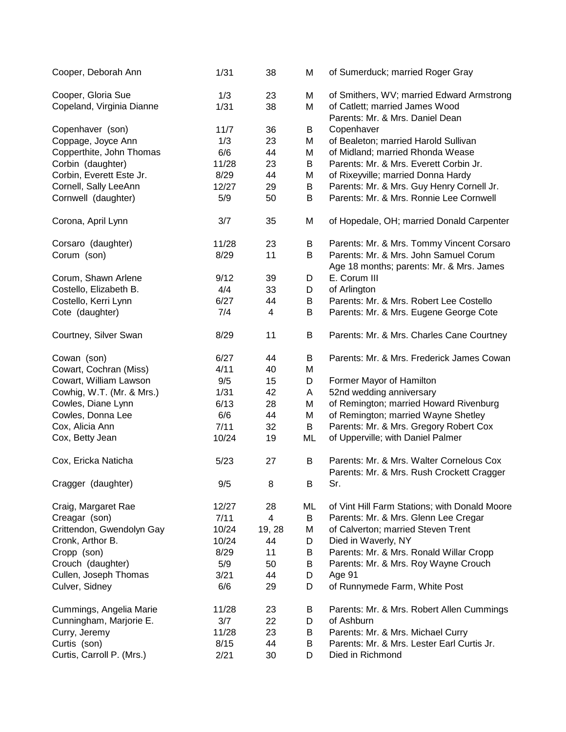| Cooper, Deborah Ann                             | 1/31        | 38                      | M      | of Sumerduck; married Roger Gray                                                                               |
|-------------------------------------------------|-------------|-------------------------|--------|----------------------------------------------------------------------------------------------------------------|
| Cooper, Gloria Sue<br>Copeland, Virginia Dianne | 1/3<br>1/31 | 23<br>38                | M<br>M | of Smithers, WV; married Edward Armstrong<br>of Catlett; married James Wood<br>Parents: Mr. & Mrs. Daniel Dean |
| Copenhaver (son)                                | 11/7        | 36                      | B      | Copenhaver                                                                                                     |
| Coppage, Joyce Ann                              | 1/3         | 23                      | M      | of Bealeton; married Harold Sullivan                                                                           |
| Copperthite, John Thomas                        | 6/6         | 44                      | M      | of Midland; married Rhonda Wease                                                                               |
| Corbin (daughter)                               | 11/28       | 23                      | B      | Parents: Mr. & Mrs. Everett Corbin Jr.                                                                         |
| Corbin, Everett Este Jr.                        | 8/29        | 44                      | M      | of Rixeyville; married Donna Hardy                                                                             |
| Cornell, Sally LeeAnn                           | 12/27       | 29                      | B      | Parents: Mr. & Mrs. Guy Henry Cornell Jr.                                                                      |
|                                                 | 5/9         | 50                      | B      | Parents: Mr. & Mrs. Ronnie Lee Cornwell                                                                        |
| Cornwell (daughter)                             |             |                         |        |                                                                                                                |
| Corona, April Lynn                              | 3/7         | 35                      | M      | of Hopedale, OH; married Donald Carpenter                                                                      |
| Corsaro (daughter)                              | 11/28       | 23                      | B      | Parents: Mr. & Mrs. Tommy Vincent Corsaro                                                                      |
| Corum (son)                                     | 8/29        | 11                      | B      | Parents: Mr. & Mrs. John Samuel Corum<br>Age 18 months; parents: Mr. & Mrs. James                              |
| Corum, Shawn Arlene                             | 9/12        | 39                      | D      | E. Corum III                                                                                                   |
| Costello, Elizabeth B.                          | 4/4         | 33                      | D      | of Arlington                                                                                                   |
| Costello, Kerri Lynn                            | 6/27        | 44                      | B      | Parents: Mr. & Mrs. Robert Lee Costello                                                                        |
| Cote (daughter)                                 | 7/4         | $\overline{\mathbf{4}}$ | B      | Parents: Mr. & Mrs. Eugene George Cote                                                                         |
| Courtney, Silver Swan                           | 8/29        | 11                      | B      | Parents: Mr. & Mrs. Charles Cane Courtney                                                                      |
| Cowan (son)                                     | 6/27        | 44                      | B      | Parents: Mr. & Mrs. Frederick James Cowan                                                                      |
| Cowart, Cochran (Miss)                          | 4/11        | 40                      | M      |                                                                                                                |
| Cowart, William Lawson                          | 9/5         | 15                      | D      | Former Mayor of Hamilton                                                                                       |
| Cowhig, W.T. (Mr. & Mrs.)                       | 1/31        | 42                      | A      | 52nd wedding anniversary                                                                                       |
| Cowles, Diane Lynn                              | 6/13        | 28                      | M      | of Remington; married Howard Rivenburg                                                                         |
| Cowles, Donna Lee                               | 6/6         | 44                      | M      | of Remington; married Wayne Shetley                                                                            |
| Cox, Alicia Ann                                 | 7/11        | 32                      | B      | Parents: Mr. & Mrs. Gregory Robert Cox                                                                         |
| Cox, Betty Jean                                 | 10/24       | 19                      | ML     | of Upperville; with Daniel Palmer                                                                              |
| Cox, Ericka Naticha                             | 5/23        | 27                      | B      | Parents: Mr. & Mrs. Walter Cornelous Cox<br>Parents: Mr. & Mrs. Rush Crockett Cragger                          |
| Cragger (daughter)                              | 9/5         | 8                       | B      | Sr.                                                                                                            |
| Craig, Margaret Rae                             | 12/27       | 28                      | ML     | of Vint Hill Farm Stations; with Donald Moore                                                                  |
| Creagar (son)                                   | 7/11        | 4                       | B      | Parents: Mr. & Mrs. Glenn Lee Cregar                                                                           |
| Crittendon, Gwendolyn Gay                       | 10/24       | 19, 28                  | M      | of Calverton; married Steven Trent                                                                             |
| Cronk, Arthor B.                                | 10/24       | 44                      | D      | Died in Waverly, NY                                                                                            |
| Cropp (son)                                     | 8/29        | 11                      | B      | Parents: Mr. & Mrs. Ronald Willar Cropp                                                                        |
| Crouch (daughter)                               | 5/9         | 50                      | B      | Parents: Mr. & Mrs. Roy Wayne Crouch                                                                           |
| Cullen, Joseph Thomas                           | 3/21        | 44                      | D      | Age 91                                                                                                         |
| Culver, Sidney                                  | 6/6         | 29                      | D      | of Runnymede Farm, White Post                                                                                  |
| Cummings, Angelia Marie                         | 11/28       | 23                      | B      | Parents: Mr. & Mrs. Robert Allen Cummings                                                                      |
| Cunningham, Marjorie E.                         | 3/7         | 22                      | D      | of Ashburn                                                                                                     |
| Curry, Jeremy                                   | 11/28       | 23                      | B      | Parents: Mr. & Mrs. Michael Curry                                                                              |
| Curtis (son)                                    | 8/15        | 44                      | B      | Parents: Mr. & Mrs. Lester Earl Curtis Jr.                                                                     |
| Curtis, Carroll P. (Mrs.)                       | 2/21        | 30                      | D      | Died in Richmond                                                                                               |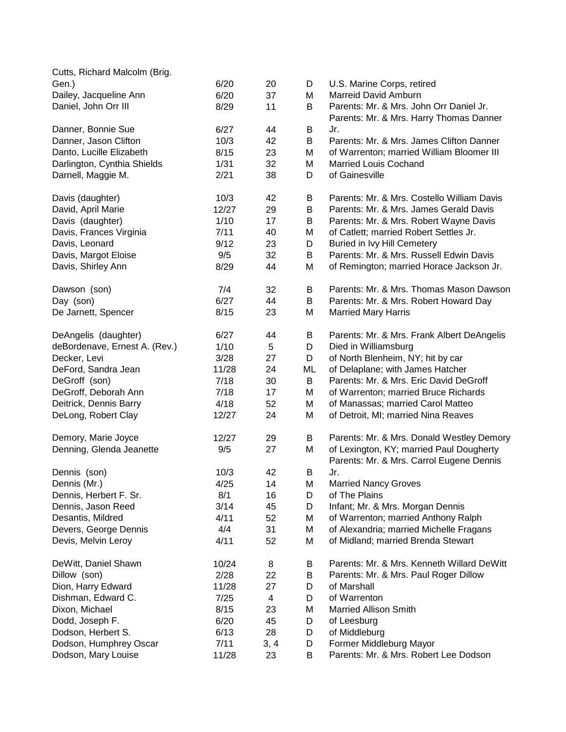| Cutts, Richard Malcolm (Brig. |       |                         |    |                                            |
|-------------------------------|-------|-------------------------|----|--------------------------------------------|
| Gen.)                         | 6/20  | 20                      | D  | U.S. Marine Corps, retired                 |
| Dailey, Jacqueline Ann        | 6/20  | 37                      | М  | <b>Marreid David Amburn</b>                |
| Daniel, John Orr III          | 8/29  | 11                      | B  | Parents: Mr. & Mrs. John Orr Daniel Jr.    |
|                               |       |                         |    | Parents: Mr. & Mrs. Harry Thomas Danner    |
| Danner, Bonnie Sue            | 6/27  | 44                      | B  | Jr.                                        |
| Danner, Jason Clifton         | 10/3  | 42                      | B  | Parents: Mr. & Mrs. James Clifton Danner   |
| Danto, Lucille Elizabeth      | 8/15  | 23                      | М  | of Warrenton; married William Bloomer III  |
| Darlington, Cynthia Shields   | 1/31  | 32                      | M  | <b>Married Louis Cochand</b>               |
| Darnell, Maggie M.            | 2/21  | 38                      | D  | of Gainesville                             |
|                               |       |                         |    |                                            |
| Davis (daughter)              | 10/3  | 42                      | B  | Parents: Mr. & Mrs. Costello William Davis |
| David, April Marie            | 12/27 | 29                      | B  | Parents: Mr. & Mrs. James Gerald Davis     |
| Davis (daughter)              | 1/10  | 17                      | B  | Parents: Mr. & Mrs. Robert Wayne Davis     |
| Davis, Frances Virginia       | 7/11  | 40                      | M  | of Catlett; married Robert Settles Jr.     |
| Davis, Leonard                | 9/12  | 23                      | D  | Buried in Ivy Hill Cemetery                |
| Davis, Margot Eloise          | 9/5   | 32                      | B  | Parents: Mr. & Mrs. Russell Edwin Davis    |
| Davis, Shirley Ann            | 8/29  | 44                      | М  | of Remington; married Horace Jackson Jr.   |
|                               |       |                         |    |                                            |
| Dawson (son)                  | 7/4   | 32                      | B  | Parents: Mr. & Mrs. Thomas Mason Dawson    |
| Day (son)                     | 6/27  | 44                      | B  | Parents: Mr. & Mrs. Robert Howard Day      |
| De Jarnett, Spencer           | 8/15  | 23                      | M  | <b>Married Mary Harris</b>                 |
|                               |       |                         |    |                                            |
| DeAngelis (daughter)          | 6/27  | 44                      | Β  | Parents: Mr. & Mrs. Frank Albert DeAngelis |
| deBordenave, Ernest A. (Rev.) | 1/10  | 5                       | D  | Died in Williamsburg                       |
| Decker, Levi                  | 3/28  | 27                      | D  | of North Blenheim, NY; hit by car          |
| DeFord, Sandra Jean           | 11/28 | 24                      | ML | of Delaplane; with James Hatcher           |
| DeGroff (son)                 | 7/18  | 30                      | B  | Parents: Mr. & Mrs. Eric David DeGroff     |
| DeGroff, Deborah Ann          | 7/18  | 17                      | Μ  | of Warrenton; married Bruce Richards       |
| Deitrick, Dennis Barry        | 4/18  | 52                      | M  | of Manassas; married Carol Matteo          |
| DeLong, Robert Clay           | 12/27 | 24                      | M  | of Detroit, MI; married Nina Reaves        |
|                               |       |                         |    |                                            |
| Demory, Marie Joyce           | 12/27 | 29                      | В  | Parents: Mr. & Mrs. Donald Westley Demory  |
| Denning, Glenda Jeanette      | 9/5   | 27                      | М  | of Lexington, KY; married Paul Dougherty   |
|                               |       |                         |    | Parents: Mr. & Mrs. Carrol Eugene Dennis   |
| Dennis (son)                  | 10/3  | 42                      | B  | Jr.                                        |
| Dennis (Mr.)                  | 4/25  | 14                      | M  | <b>Married Nancy Groves</b>                |
| Dennis, Herbert F. Sr.        | 8/1   | 16                      | D  | of The Plains                              |
| Dennis, Jason Reed            | 3/14  | 45                      | D  | Infant; Mr. & Mrs. Morgan Dennis           |
| Desantis, Mildred             | 4/11  | 52                      | М  | of Warrenton; married Anthony Ralph        |
| Devers, George Dennis         | 4/4   | 31                      | Μ  | of Alexandria; married Michelle Fragans    |
| Devis, Melvin Leroy           | 4/11  | 52                      | Μ  | of Midland; married Brenda Stewart         |
| DeWitt, Daniel Shawn          | 10/24 | 8                       | В  | Parents: Mr. & Mrs. Kenneth Willard DeWitt |
|                               |       |                         |    |                                            |
| Dillow (son)                  | 2/28  | 22                      | B  | Parents: Mr. & Mrs. Paul Roger Dillow      |
| Dion, Harry Edward            | 11/28 | 27                      | D  | of Marshall                                |
| Dishman, Edward C.            | 7/25  | $\overline{\mathbf{4}}$ | D  | of Warrenton                               |
| Dixon, Michael                | 8/15  | 23                      | М  | <b>Married Allison Smith</b>               |
| Dodd, Joseph F.               | 6/20  | 45                      | D  | of Leesburg                                |
| Dodson, Herbert S.            | 6/13  | 28                      | D  | of Middleburg                              |
| Dodson, Humphrey Oscar        | 7/11  | 3, 4                    | D  | Former Middleburg Mayor                    |
| Dodson, Mary Louise           | 11/28 | 23                      | B  | Parents: Mr. & Mrs. Robert Lee Dodson      |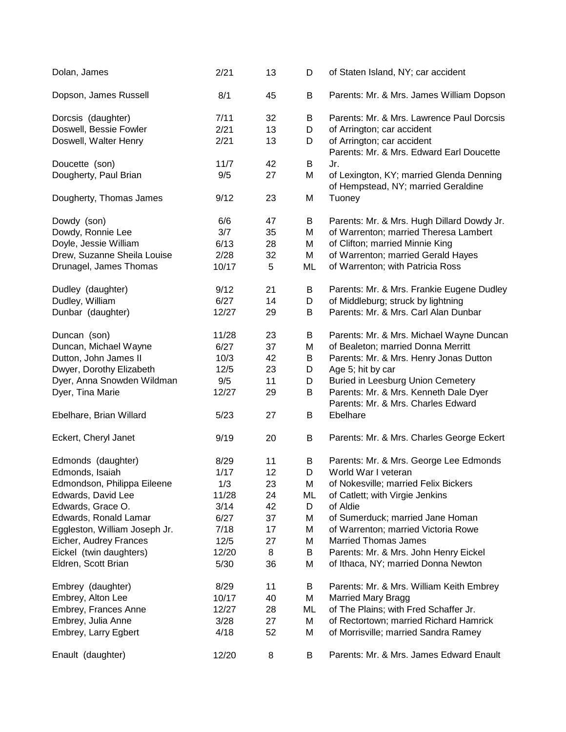| Dolan, James                  | 2/21  | 13 | D  | of Staten Island, NY; car accident                                              |
|-------------------------------|-------|----|----|---------------------------------------------------------------------------------|
| Dopson, James Russell         | 8/1   | 45 | B  | Parents: Mr. & Mrs. James William Dopson                                        |
| Dorcsis (daughter)            | 7/11  | 32 | B  | Parents: Mr. & Mrs. Lawrence Paul Dorcsis                                       |
| Doswell, Bessie Fowler        | 2/21  | 13 | D  | of Arrington; car accident                                                      |
| Doswell, Walter Henry         | 2/21  | 13 | D  | of Arrington; car accident<br>Parents: Mr. & Mrs. Edward Earl Doucette          |
| Doucette (son)                | 11/7  | 42 | B  | Jr.                                                                             |
| Dougherty, Paul Brian         | 9/5   | 27 | M  | of Lexington, KY; married Glenda Denning<br>of Hempstead, NY; married Geraldine |
| Dougherty, Thomas James       | 9/12  | 23 | M  | Tuoney                                                                          |
| Dowdy (son)                   | 6/6   | 47 | B  | Parents: Mr. & Mrs. Hugh Dillard Dowdy Jr.                                      |
| Dowdy, Ronnie Lee             | 3/7   | 35 | M  | of Warrenton; married Theresa Lambert                                           |
| Doyle, Jessie William         | 6/13  | 28 | M  | of Clifton; married Minnie King                                                 |
| Drew, Suzanne Sheila Louise   | 2/28  | 32 | M  | of Warrenton; married Gerald Hayes                                              |
| Drunagel, James Thomas        | 10/17 | 5  | ML | of Warrenton; with Patricia Ross                                                |
| Dudley (daughter)             | 9/12  | 21 | B  | Parents: Mr. & Mrs. Frankie Eugene Dudley                                       |
| Dudley, William               | 6/27  | 14 | D  | of Middleburg; struck by lightning                                              |
| Dunbar (daughter)             | 12/27 | 29 | B  | Parents: Mr. & Mrs. Carl Alan Dunbar                                            |
| Duncan (son)                  | 11/28 | 23 | B  | Parents: Mr. & Mrs. Michael Wayne Duncan                                        |
| Duncan, Michael Wayne         | 6/27  | 37 | M  | of Bealeton; married Donna Merritt                                              |
| Dutton, John James II         | 10/3  | 42 | B  | Parents: Mr. & Mrs. Henry Jonas Dutton                                          |
| Dwyer, Dorothy Elizabeth      | 12/5  | 23 | D  | Age 5; hit by car                                                               |
| Dyer, Anna Snowden Wildman    | 9/5   | 11 | D  | <b>Buried in Leesburg Union Cemetery</b>                                        |
| Dyer, Tina Marie              | 12/27 | 29 | B  | Parents: Mr. & Mrs. Kenneth Dale Dyer<br>Parents: Mr. & Mrs. Charles Edward     |
| Ebelhare, Brian Willard       | 5/23  | 27 | B  | Ebelhare                                                                        |
| Eckert, Cheryl Janet          | 9/19  | 20 | B  | Parents: Mr. & Mrs. Charles George Eckert                                       |
| Edmonds (daughter)            | 8/29  | 11 | B  | Parents: Mr. & Mrs. George Lee Edmonds                                          |
| Edmonds, Isaiah               | 1/17  | 12 | D  | World War I veteran                                                             |
| Edmondson, Philippa Eileene   | 1/3   | 23 | M  | of Nokesville; married Felix Bickers                                            |
| Edwards, David Lee            | 11/28 | 24 | ML | of Catlett; with Virgie Jenkins                                                 |
| Edwards, Grace O.             | 3/14  | 42 | D  | of Aldie                                                                        |
| Edwards, Ronald Lamar         | 6/27  | 37 | M  | of Sumerduck; married Jane Homan                                                |
| Eggleston, William Joseph Jr. | 7/18  | 17 | M  | of Warrenton; married Victoria Rowe                                             |
| Eicher, Audrey Frances        | 12/5  | 27 | M  | <b>Married Thomas James</b>                                                     |
| Eickel (twin daughters)       | 12/20 | 8  | B  | Parents: Mr. & Mrs. John Henry Eickel                                           |
| Eldren, Scott Brian           | 5/30  | 36 | M  | of Ithaca, NY; married Donna Newton                                             |
| Embrey (daughter)             | 8/29  | 11 | B  | Parents: Mr. & Mrs. William Keith Embrey                                        |
| Embrey, Alton Lee             | 10/17 | 40 | M  | <b>Married Mary Bragg</b>                                                       |
| Embrey, Frances Anne          | 12/27 | 28 | ML | of The Plains; with Fred Schaffer Jr.                                           |
| Embrey, Julia Anne            | 3/28  | 27 | M  | of Rectortown; married Richard Hamrick                                          |
| Embrey, Larry Egbert          | 4/18  | 52 | M  | of Morrisville; married Sandra Ramey                                            |
| Enault (daughter)             | 12/20 | 8  | B  | Parents: Mr. & Mrs. James Edward Enault                                         |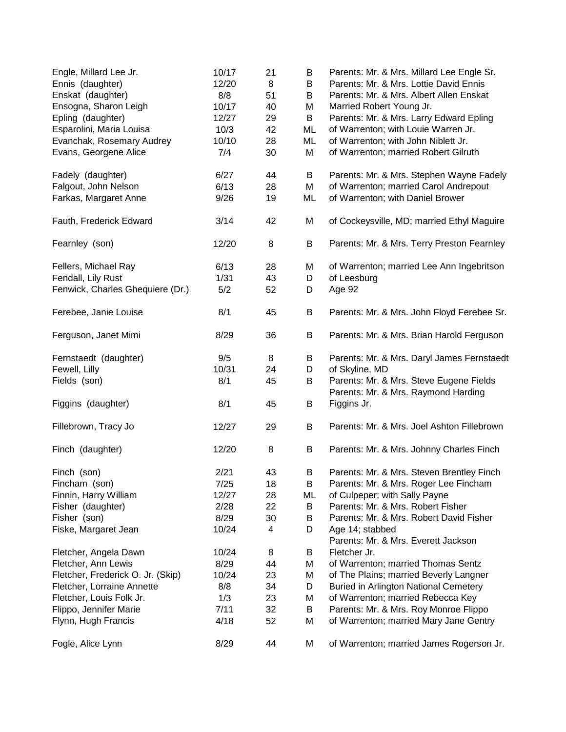| Engle, Millard Lee Jr.<br>Ennis (daughter) | 10/17<br>12/20 | 21<br>8 | B<br>B | Parents: Mr. & Mrs. Millard Lee Engle Sr.<br>Parents: Mr. & Mrs. Lottie David Ennis |
|--------------------------------------------|----------------|---------|--------|-------------------------------------------------------------------------------------|
| Enskat (daughter)                          | 8/8            | 51      | B      | Parents: Mr. & Mrs. Albert Allen Enskat                                             |
| Ensogna, Sharon Leigh                      | 10/17          | 40      | M      | Married Robert Young Jr.                                                            |
| Epling (daughter)                          | 12/27          | 29      | B      | Parents: Mr. & Mrs. Larry Edward Epling                                             |
| Esparolini, Maria Louisa                   | 10/3           | 42      | ML     | of Warrenton; with Louie Warren Jr.                                                 |
| Evanchak, Rosemary Audrey                  | 10/10          | 28      | ML     | of Warrenton; with John Niblett Jr.                                                 |
| Evans, Georgene Alice                      | 7/4            | 30      | M      | of Warrenton; married Robert Gilruth                                                |
| Fadely (daughter)                          | 6/27           | 44      | B      | Parents: Mr. & Mrs. Stephen Wayne Fadely                                            |
| Falgout, John Nelson                       | 6/13           | 28      | M      | of Warrenton; married Carol Andrepout                                               |
| Farkas, Margaret Anne                      | 9/26           | 19      | ML     | of Warrenton; with Daniel Brower                                                    |
| Fauth, Frederick Edward                    | 3/14           | 42      | M      | of Cockeysville, MD; married Ethyl Maguire                                          |
| Fearnley (son)                             | 12/20          | 8       | B      | Parents: Mr. & Mrs. Terry Preston Fearnley                                          |
| Fellers, Michael Ray                       | 6/13           | 28      | M      | of Warrenton; married Lee Ann Ingebritson                                           |
| Fendall, Lily Rust                         | 1/31           | 43      | D      | of Leesburg                                                                         |
| Fenwick, Charles Ghequiere (Dr.)           | 5/2            | 52      | D      | Age 92                                                                              |
| Ferebee, Janie Louise                      | 8/1            | 45      | B      | Parents: Mr. & Mrs. John Floyd Ferebee Sr.                                          |
| Ferguson, Janet Mimi                       | 8/29           | 36      | B      | Parents: Mr. & Mrs. Brian Harold Ferguson                                           |
| Fernstaedt (daughter)                      | 9/5            | 8       | B      | Parents: Mr. & Mrs. Daryl James Fernstaedt                                          |
| Fewell, Lilly                              | 10/31          | 24      | D      | of Skyline, MD                                                                      |
| Fields (son)                               | 8/1            | 45      | B      | Parents: Mr. & Mrs. Steve Eugene Fields                                             |
|                                            |                |         |        | Parents: Mr. & Mrs. Raymond Harding                                                 |
| Figgins (daughter)                         | 8/1            | 45      | B      | Figgins Jr.                                                                         |
| Fillebrown, Tracy Jo                       | 12/27          | 29      | B      | Parents: Mr. & Mrs. Joel Ashton Fillebrown                                          |
| Finch (daughter)                           | 12/20          | 8       | B      | Parents: Mr. & Mrs. Johnny Charles Finch                                            |
| Finch (son)                                | 2/21           | 43      | B      | Parents: Mr. & Mrs. Steven Brentley Finch                                           |
| Fincham (son)                              | 7/25           | 18      | B      | Parents: Mr. & Mrs. Roger Lee Fincham                                               |
| Finnin, Harry William                      | 12/27          | 28      | ML     | of Culpeper; with Sally Payne                                                       |
| Fisher (daughter)                          | 2/28           | 22      | B      | Parents: Mr. & Mrs. Robert Fisher                                                   |
| Fisher (son)                               | 8/29           | 30      | B      | Parents: Mr. & Mrs. Robert David Fisher                                             |
| Fiske, Margaret Jean                       | 10/24          | 4       | D      | Age 14; stabbed                                                                     |
|                                            |                |         |        | Parents: Mr. & Mrs. Everett Jackson                                                 |
| Fletcher, Angela Dawn                      | 10/24          | 8       | Β      | Fletcher Jr.                                                                        |
| Fletcher, Ann Lewis                        | 8/29           | 44      | M      | of Warrenton; married Thomas Sentz                                                  |
| Fletcher, Frederick O. Jr. (Skip)          | 10/24          | 23      | M      | of The Plains; married Beverly Langner                                              |
| Fletcher, Lorraine Annette                 | 8/8            | 34      | D      | <b>Buried in Arlington National Cemetery</b>                                        |
| Fletcher, Louis Folk Jr.                   | 1/3            | 23      | M      | of Warrenton; married Rebecca Key                                                   |
| Flippo, Jennifer Marie                     | 7/11           | 32      | Β      | Parents: Mr. & Mrs. Roy Monroe Flippo                                               |
| Flynn, Hugh Francis                        | 4/18           | 52      | Μ      | of Warrenton; married Mary Jane Gentry                                              |
| Fogle, Alice Lynn                          | 8/29           | 44      | M      | of Warrenton; married James Rogerson Jr.                                            |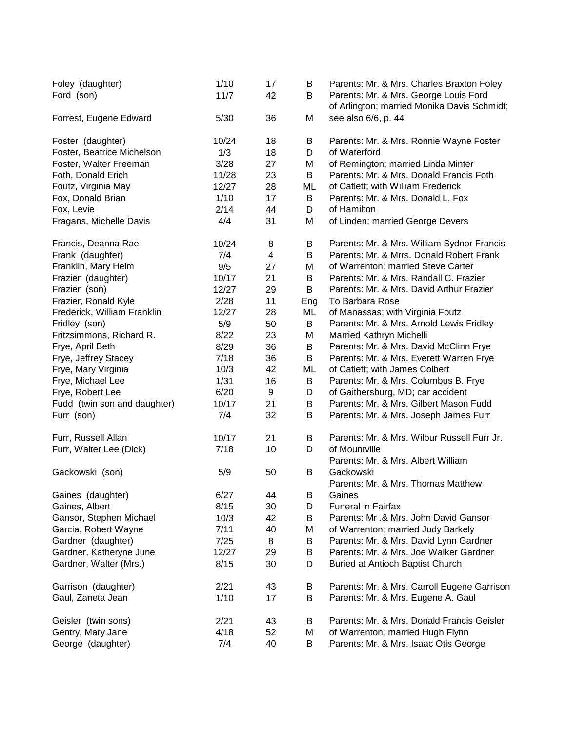| Foley (daughter)<br>Ford (son) | 1/10<br>11/7 | 17<br>42                | B<br>B | Parents: Mr. & Mrs. Charles Braxton Foley<br>Parents: Mr. & Mrs. George Louis Ford<br>of Arlington; married Monika Davis Schmidt; |
|--------------------------------|--------------|-------------------------|--------|-----------------------------------------------------------------------------------------------------------------------------------|
| Forrest, Eugene Edward         | 5/30         | 36                      | M      | see also 6/6, p. 44                                                                                                               |
| Foster (daughter)              | 10/24        | 18                      | B      | Parents: Mr. & Mrs. Ronnie Wayne Foster                                                                                           |
| Foster, Beatrice Michelson     | 1/3          | 18                      | D      | of Waterford                                                                                                                      |
| Foster, Walter Freeman         | 3/28         | 27                      | M      | of Remington; married Linda Minter                                                                                                |
| Foth, Donald Erich             | 11/28        | 23                      | B      | Parents: Mr. & Mrs. Donald Francis Foth                                                                                           |
| Foutz, Virginia May            | 12/27        | 28                      | ML     | of Catlett; with William Frederick                                                                                                |
| Fox, Donald Brian              | 1/10         | 17                      | B      | Parents: Mr. & Mrs. Donald L. Fox                                                                                                 |
| Fox, Levie                     | 2/14         | 44                      | D      | of Hamilton                                                                                                                       |
| Fragans, Michelle Davis        | 4/4          | 31                      | M      | of Linden; married George Devers                                                                                                  |
| Francis, Deanna Rae            | 10/24        | 8                       | B      | Parents: Mr. & Mrs. William Sydnor Francis                                                                                        |
| Frank (daughter)               | 7/4          | $\overline{\mathbf{4}}$ | B      | Parents: Mr. & Mrrs. Donald Robert Frank                                                                                          |
| Franklin, Mary Helm            | 9/5          | 27                      | M      | of Warrenton; married Steve Carter                                                                                                |
| Frazier (daughter)             | 10/17        | 21                      | B      | Parents: Mr. & Mrs. Randall C. Frazier                                                                                            |
| Frazier (son)                  | 12/27        | 29                      | B      | Parents: Mr. & Mrs. David Arthur Frazier                                                                                          |
| Frazier, Ronald Kyle           | 2/28         | 11                      | Eng    | To Barbara Rose                                                                                                                   |
| Frederick, William Franklin    | 12/27        | 28                      | ML     | of Manassas; with Virginia Foutz                                                                                                  |
| Fridley (son)                  | 5/9          | 50                      | B      | Parents: Mr. & Mrs. Arnold Lewis Fridley                                                                                          |
| Fritzsimmons, Richard R.       | 8/22         | 23                      | M      | Married Kathryn Michelli                                                                                                          |
| Frye, April Beth               | 8/29         | 36                      | B      | Parents: Mr. & Mrs. David McClinn Frye                                                                                            |
| Frye, Jeffrey Stacey           | 7/18         | 36                      | B      | Parents: Mr. & Mrs. Everett Warren Frye                                                                                           |
| Frye, Mary Virginia            | 10/3         | 42                      | ML     | of Catlett; with James Colbert                                                                                                    |
| Frye, Michael Lee              | 1/31         | 16                      | Β      | Parents: Mr. & Mrs. Columbus B. Frye                                                                                              |
| Frye, Robert Lee               | 6/20         | 9                       | D      | of Gaithersburg, MD; car accident                                                                                                 |
| Fudd (twin son and daughter)   | 10/17        | 21                      | B      | Parents: Mr. & Mrs. Gilbert Mason Fudd                                                                                            |
| Furr (son)                     | 7/4          | 32                      | B      | Parents: Mr. & Mrs. Joseph James Furr                                                                                             |
| Furr, Russell Allan            | 10/17        | 21                      | B      | Parents: Mr. & Mrs. Wilbur Russell Furr Jr.                                                                                       |
| Furr, Walter Lee (Dick)        | 7/18         | 10                      | D      | of Mountville                                                                                                                     |
|                                |              |                         |        | Parents: Mr. & Mrs. Albert William                                                                                                |
| Gackowski (son)                | 5/9          | 50                      | B      | Gackowski                                                                                                                         |
|                                |              |                         |        | Parents: Mr. & Mrs. Thomas Matthew                                                                                                |
| Gaines (daughter)              | 6/27         | 44                      | Β      | Gaines                                                                                                                            |
| Gaines, Albert                 | 8/15         | 30                      | D      | <b>Funeral in Fairfax</b>                                                                                                         |
| Gansor, Stephen Michael        | 10/3         | 42                      | B      | Parents: Mr .& Mrs. John David Gansor                                                                                             |
| Garcia, Robert Wayne           | 7/11         | 40                      | М      | of Warrenton; married Judy Barkely                                                                                                |
| Gardner (daughter)             | 7/25         | 8                       | Β      | Parents: Mr. & Mrs. David Lynn Gardner                                                                                            |
| Gardner, Katheryne June        | 12/27        | 29                      | Β      | Parents: Mr. & Mrs. Joe Walker Gardner                                                                                            |
| Gardner, Walter (Mrs.)         | 8/15         | 30                      | D      | Buried at Antioch Baptist Church                                                                                                  |
| Garrison (daughter)            | 2/21         | 43                      | Β      | Parents: Mr. & Mrs. Carroll Eugene Garrison                                                                                       |
| Gaul, Zaneta Jean              | 1/10         | 17                      | В      | Parents: Mr. & Mrs. Eugene A. Gaul                                                                                                |
| Geisler (twin sons)            | 2/21         | 43                      | B      | Parents: Mr. & Mrs. Donald Francis Geisler                                                                                        |
| Gentry, Mary Jane              | 4/18         | 52                      | M      | of Warrenton; married Hugh Flynn                                                                                                  |
| George (daughter)              | 7/4          | 40                      | В      | Parents: Mr. & Mrs. Isaac Otis George                                                                                             |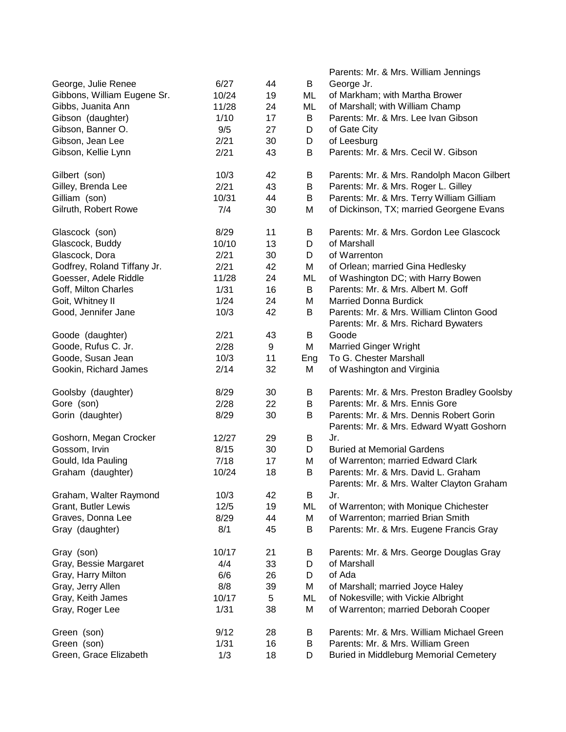|                             |       |    |     | Parents: Mr. & Mrs. William Jennings          |
|-----------------------------|-------|----|-----|-----------------------------------------------|
| George, Julie Renee         | 6/27  | 44 | B   | George Jr.                                    |
| Gibbons, William Eugene Sr. | 10/24 | 19 | ML  | of Markham; with Martha Brower                |
| Gibbs, Juanita Ann          | 11/28 | 24 | ML  | of Marshall; with William Champ               |
| Gibson (daughter)           | 1/10  | 17 | B   | Parents: Mr. & Mrs. Lee Ivan Gibson           |
| Gibson, Banner O.           | 9/5   | 27 | D   | of Gate City                                  |
| Gibson, Jean Lee            | 2/21  | 30 | D   | of Leesburg                                   |
| Gibson, Kellie Lynn         | 2/21  | 43 | B   | Parents: Mr. & Mrs. Cecil W. Gibson           |
| Gilbert (son)               | 10/3  | 42 | B   | Parents: Mr. & Mrs. Randolph Macon Gilbert    |
| Gilley, Brenda Lee          | 2/21  | 43 | В   | Parents: Mr. & Mrs. Roger L. Gilley           |
| Gilliam (son)               | 10/31 | 44 | B   | Parents: Mr. & Mrs. Terry William Gilliam     |
| Gilruth, Robert Rowe        | 7/4   | 30 | M   | of Dickinson, TX; married Georgene Evans      |
| Glascock (son)              | 8/29  | 11 | B   | Parents: Mr. & Mrs. Gordon Lee Glascock       |
| Glascock, Buddy             | 10/10 | 13 | D   | of Marshall                                   |
| Glascock, Dora              | 2/21  | 30 | D   | of Warrenton                                  |
| Godfrey, Roland Tiffany Jr. | 2/21  | 42 | M   | of Orlean; married Gina Hedlesky              |
| Goesser, Adele Riddle       | 11/28 | 24 | ML  | of Washington DC; with Harry Bowen            |
| Goff, Milton Charles        | 1/31  | 16 | B   | Parents: Mr. & Mrs. Albert M. Goff            |
| Goit, Whitney II            | 1/24  | 24 | M   | <b>Married Donna Burdick</b>                  |
| Good, Jennifer Jane         | 10/3  | 42 | B   | Parents: Mr. & Mrs. William Clinton Good      |
|                             |       |    |     | Parents: Mr. & Mrs. Richard Bywaters          |
| Goode (daughter)            | 2/21  | 43 | B   | Goode                                         |
| Goode, Rufus C. Jr.         | 2/28  | 9  | M   | <b>Married Ginger Wright</b>                  |
| Goode, Susan Jean           | 10/3  | 11 | Eng | To G. Chester Marshall                        |
| Gookin, Richard James       | 2/14  | 32 | M   | of Washington and Virginia                    |
| Goolsby (daughter)          | 8/29  | 30 | B   | Parents: Mr. & Mrs. Preston Bradley Goolsby   |
| Gore (son)                  | 2/28  | 22 | B   | Parents: Mr. & Mrs. Ennis Gore                |
| Gorin (daughter)            | 8/29  | 30 | B   | Parents: Mr. & Mrs. Dennis Robert Gorin       |
|                             |       |    |     | Parents: Mr. & Mrs. Edward Wyatt Goshorn      |
| Goshorn, Megan Crocker      | 12/27 | 29 | B   | Jr.                                           |
| Gossom, Irvin               | 8/15  | 30 | D   | <b>Buried at Memorial Gardens</b>             |
| Gould, Ida Pauling          | 7/18  | 17 | M   | of Warrenton; married Edward Clark            |
| Graham (daughter)           | 10/24 | 18 | B   | Parents: Mr. & Mrs. David L. Graham           |
|                             |       |    |     | Parents: Mr. & Mrs. Walter Clayton Graham     |
| Graham, Walter Raymond      | 10/3  | 42 | B   | Jr.                                           |
| Grant, Butler Lewis         | 12/5  | 19 | ML  | of Warrenton; with Monique Chichester         |
| Graves, Donna Lee           | 8/29  | 44 | M   | of Warrenton; married Brian Smith             |
| Gray (daughter)             | 8/1   | 45 | B   | Parents: Mr. & Mrs. Eugene Francis Gray       |
| Gray (son)                  | 10/17 | 21 | B   | Parents: Mr. & Mrs. George Douglas Gray       |
| Gray, Bessie Margaret       | 4/4   | 33 | D   | of Marshall                                   |
| Gray, Harry Milton          | 6/6   | 26 | D   | of Ada                                        |
| Gray, Jerry Allen           | 8/8   | 39 | M   | of Marshall; married Joyce Haley              |
| Gray, Keith James           | 10/17 | 5  | ML  | of Nokesville; with Vickie Albright           |
| Gray, Roger Lee             | 1/31  | 38 | M   | of Warrenton; married Deborah Cooper          |
| Green (son)                 | 9/12  | 28 | B   | Parents: Mr. & Mrs. William Michael Green     |
| Green (son)                 | 1/31  | 16 | B   | Parents: Mr. & Mrs. William Green             |
| Green, Grace Elizabeth      | 1/3   | 18 | D   | <b>Buried in Middleburg Memorial Cemetery</b> |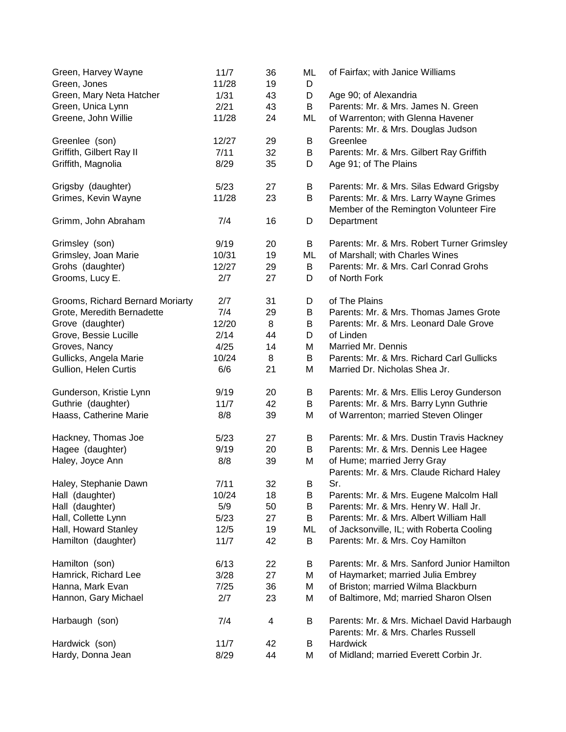| Green, Harvey Wayne<br>Green, Jones | 11/7<br>11/28 | 36<br>19 | ML<br>D | of Fairfax; with Janice Williams                                                  |
|-------------------------------------|---------------|----------|---------|-----------------------------------------------------------------------------------|
| Green, Mary Neta Hatcher            | 1/31          | 43       | D       | Age 90; of Alexandria                                                             |
| Green, Unica Lynn                   | 2/21          | 43       | B       | Parents: Mr. & Mrs. James N. Green                                                |
| Greene, John Willie                 | 11/28         | 24       | ML      | of Warrenton; with Glenna Havener<br>Parents: Mr. & Mrs. Douglas Judson           |
| Greenlee (son)                      | 12/27         | 29       | B       | Greenlee                                                                          |
| Griffith, Gilbert Ray II            | 7/11          | 32       | В       | Parents: Mr. & Mrs. Gilbert Ray Griffith                                          |
| Griffith, Magnolia                  | 8/29          | 35       | D       | Age 91; of The Plains                                                             |
| Grigsby (daughter)                  | 5/23          | 27       | Β       | Parents: Mr. & Mrs. Silas Edward Grigsby                                          |
| Grimes, Kevin Wayne                 | 11/28         | 23       | B       | Parents: Mr. & Mrs. Larry Wayne Grimes<br>Member of the Remington Volunteer Fire  |
| Grimm, John Abraham                 | 7/4           | 16       | D       | Department                                                                        |
| Grimsley (son)                      | 9/19          | 20       | B       | Parents: Mr. & Mrs. Robert Turner Grimsley                                        |
| Grimsley, Joan Marie                | 10/31         | 19       | ML      | of Marshall; with Charles Wines                                                   |
| Grohs (daughter)                    | 12/27         | 29       | B       | Parents: Mr. & Mrs. Carl Conrad Grohs                                             |
| Grooms, Lucy E.                     | 2/7           | 27       | D       | of North Fork                                                                     |
| Grooms, Richard Bernard Moriarty    | 2/7           | 31       | D       | of The Plains                                                                     |
| Grote, Meredith Bernadette          | 7/4           | 29       | B       | Parents: Mr. & Mrs. Thomas James Grote                                            |
| Grove (daughter)                    | 12/20         | 8        | B       | Parents: Mr. & Mrs. Leonard Dale Grove                                            |
| Grove, Bessie Lucille               | 2/14          | 44       | D       | of Linden                                                                         |
| Groves, Nancy                       | 4/25          | 14       | M       | Married Mr. Dennis                                                                |
| Gullicks, Angela Marie              | 10/24         | 8        | B       | Parents: Mr. & Mrs. Richard Carl Gullicks                                         |
| Gullion, Helen Curtis               | 6/6           | 21       | M       | Married Dr. Nicholas Shea Jr.                                                     |
| Gunderson, Kristie Lynn             | 9/19          | 20       | B       | Parents: Mr. & Mrs. Ellis Leroy Gunderson                                         |
| Guthrie (daughter)                  | 11/7          | 42       | B       | Parents: Mr. & Mrs. Barry Lynn Guthrie                                            |
| Haass, Catherine Marie              | 8/8           | 39       | M       | of Warrenton; married Steven Olinger                                              |
| Hackney, Thomas Joe                 | 5/23          | 27       | Β       | Parents: Mr. & Mrs. Dustin Travis Hackney                                         |
| Hagee (daughter)                    | 9/19          | 20       | B       | Parents: Mr. & Mrs. Dennis Lee Hagee                                              |
| Haley, Joyce Ann                    | 8/8           | 39       | M       | of Hume; married Jerry Gray<br>Parents: Mr. & Mrs. Claude Richard Haley           |
| Haley, Stephanie Dawn               | 7/11          | 32       | Β       | Sr.                                                                               |
| Hall (daughter)                     | 10/24         | 18       | B       | Parents: Mr. & Mrs. Eugene Malcolm Hall                                           |
| Hall (daughter)                     | 5/9           | 50       | В       | Parents: Mr. & Mrs. Henry W. Hall Jr.                                             |
| Hall, Collette Lynn                 | 5/23          | 27       | Β       | Parents: Mr. & Mrs. Albert William Hall                                           |
| Hall, Howard Stanley                | 12/5          | 19       | ML      | of Jacksonville, IL; with Roberta Cooling                                         |
| Hamilton (daughter)                 | 11/7          | 42       | B       | Parents: Mr. & Mrs. Coy Hamilton                                                  |
| Hamilton (son)                      | 6/13          | 22       | В       | Parents: Mr. & Mrs. Sanford Junior Hamilton                                       |
| Hamrick, Richard Lee                | 3/28          | 27       | M       | of Haymarket; married Julia Embrey                                                |
| Hanna, Mark Evan                    | 7/25          | 36       | M       | of Briston; married Wilma Blackburn                                               |
| Hannon, Gary Michael                | 2/7           | 23       | M       | of Baltimore, Md; married Sharon Olsen                                            |
| Harbaugh (son)                      | 7/4           | 4        | Β       | Parents: Mr. & Mrs. Michael David Harbaugh<br>Parents: Mr. & Mrs. Charles Russell |
| Hardwick (son)                      | 11/7          | 42       | B       | Hardwick                                                                          |
| Hardy, Donna Jean                   | 8/29          | 44       | M       | of Midland; married Everett Corbin Jr.                                            |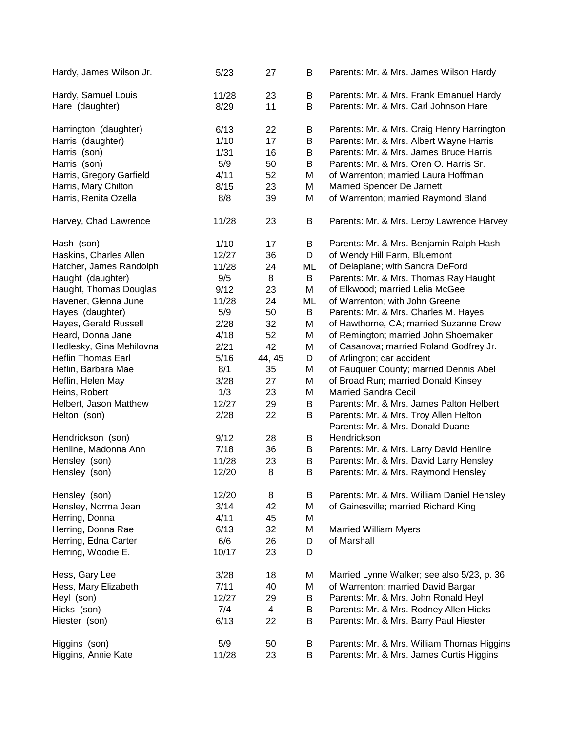| Hardy, James Wilson Jr.                | 5/23          | 27       | B      | Parents: Mr. & Mrs. James Wilson Hardy                                           |
|----------------------------------------|---------------|----------|--------|----------------------------------------------------------------------------------|
| Hardy, Samuel Louis<br>Hare (daughter) | 11/28<br>8/29 | 23<br>11 | B<br>B | Parents: Mr. & Mrs. Frank Emanuel Hardy<br>Parents: Mr. & Mrs. Carl Johnson Hare |
| Harrington (daughter)                  | 6/13          | 22       | Β      | Parents: Mr. & Mrs. Craig Henry Harrington                                       |
| Harris (daughter)                      | 1/10          | 17       | B      | Parents: Mr. & Mrs. Albert Wayne Harris                                          |
| Harris (son)                           | 1/31          | 16       | B      | Parents: Mr. & Mrs. James Bruce Harris                                           |
| Harris (son)                           | 5/9           | 50       | Β      | Parents: Mr. & Mrs. Oren O. Harris Sr.                                           |
| Harris, Gregory Garfield               | 4/11          | 52       | M      | of Warrenton; married Laura Hoffman                                              |
| Harris, Mary Chilton                   | 8/15          | 23       | M      | Married Spencer De Jarnett                                                       |
| Harris, Renita Ozella                  | 8/8           | 39       | M      | of Warrenton; married Raymond Bland                                              |
| Harvey, Chad Lawrence                  | 11/28         | 23       | B      | Parents: Mr. & Mrs. Leroy Lawrence Harvey                                        |
| Hash (son)                             | 1/10          | 17       | Β      | Parents: Mr. & Mrs. Benjamin Ralph Hash                                          |
| Haskins, Charles Allen                 | 12/27         | 36       | D      | of Wendy Hill Farm, Bluemont                                                     |
| Hatcher, James Randolph                | 11/28         | 24       | ML     | of Delaplane; with Sandra DeFord                                                 |
| Haught (daughter)                      | 9/5           | 8        | B      | Parents: Mr. & Mrs. Thomas Ray Haught                                            |
| Haught, Thomas Douglas                 | 9/12          | 23       | M      | of Elkwood; married Lelia McGee                                                  |
| Havener, Glenna June                   | 11/28         | 24       | ML     | of Warrenton; with John Greene                                                   |
| Hayes (daughter)                       | 5/9           | 50       | B      | Parents: Mr. & Mrs. Charles M. Hayes                                             |
| Hayes, Gerald Russell                  | 2/28          | 32       | M      | of Hawthorne, CA; married Suzanne Drew                                           |
| Heard, Donna Jane                      | 4/18          | 52       | M      | of Remington; married John Shoemaker                                             |
| Hedlesky, Gina Mehilovna               | 2/21          | 42       | M      | of Casanova; married Roland Godfrey Jr.                                          |
| <b>Heflin Thomas Earl</b>              | 5/16          | 44, 45   | D      | of Arlington; car accident                                                       |
| Heflin, Barbara Mae                    | 8/1           | 35       | M      | of Fauquier County; married Dennis Abel                                          |
| Heflin, Helen May                      | 3/28          | 27       | M      | of Broad Run; married Donald Kinsey                                              |
| Heins, Robert                          | 1/3           | 23       | M      | <b>Married Sandra Cecil</b>                                                      |
| Helbert, Jason Matthew                 | 12/27         | 29       | B      | Parents: Mr. & Mrs. James Palton Helbert                                         |
| Helton (son)                           | 2/28          | 22       | B      | Parents: Mr. & Mrs. Troy Allen Helton<br>Parents: Mr. & Mrs. Donald Duane        |
|                                        | 9/12          | 28       | B      | Hendrickson                                                                      |
| Hendrickson (son)                      | 7/18          | 36       |        | Parents: Mr. & Mrs. Larry David Henline                                          |
| Henline, Madonna Ann<br>Hensley (son)  | 11/28         | 23       | Β<br>Β | Parents: Mr. & Mrs. David Larry Hensley                                          |
| Hensley (son)                          | 12/20         | 8        | B      | Parents: Mr. & Mrs. Raymond Hensley                                              |
|                                        |               |          |        |                                                                                  |
| Hensley (son)                          | 12/20         | 8        | В      | Parents: Mr. & Mrs. William Daniel Hensley                                       |
| Hensley, Norma Jean                    | 3/14          | 42       | M      | of Gainesville; married Richard King                                             |
| Herring, Donna                         | 4/11          | 45       | M      |                                                                                  |
| Herring, Donna Rae                     | 6/13          | 32       | M      | <b>Married William Myers</b>                                                     |
| Herring, Edna Carter                   | 6/6           | 26       | D      | of Marshall                                                                      |
| Herring, Woodie E.                     | 10/17         | 23       | D      |                                                                                  |
| Hess, Gary Lee                         | 3/28          | 18       | M      | Married Lynne Walker; see also 5/23, p. 36                                       |
| Hess, Mary Elizabeth                   | 7/11          | 40       | M      | of Warrenton; married David Bargar                                               |
| Heyl (son)                             | 12/27         | 29       | Β      | Parents: Mr. & Mrs. John Ronald Heyl                                             |
| Hicks (son)                            | 7/4           | 4        | Β      | Parents: Mr. & Mrs. Rodney Allen Hicks                                           |
| Hiester (son)                          | 6/13          | 22       | B      | Parents: Mr. & Mrs. Barry Paul Hiester                                           |
| Higgins (son)                          | 5/9           | 50       | B      | Parents: Mr. & Mrs. William Thomas Higgins                                       |
| Higgins, Annie Kate                    | 11/28         | 23       | B      | Parents: Mr. & Mrs. James Curtis Higgins                                         |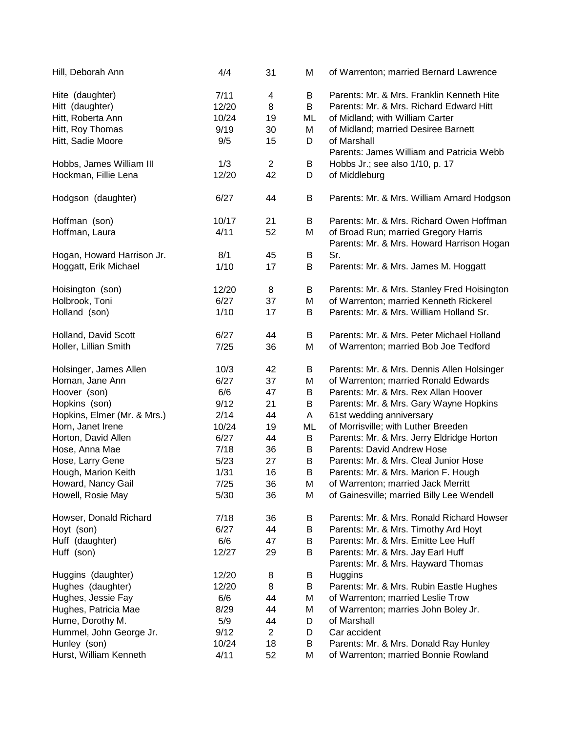| Hill, Deborah Ann           | 4/4   | 31             | M  | of Warrenton; married Bernard Lawrence                                            |
|-----------------------------|-------|----------------|----|-----------------------------------------------------------------------------------|
| Hite (daughter)             | 7/11  | $\overline{4}$ | B  | Parents: Mr. & Mrs. Franklin Kenneth Hite                                         |
| Hitt (daughter)             | 12/20 | 8              | B  | Parents: Mr. & Mrs. Richard Edward Hitt                                           |
| Hitt, Roberta Ann           | 10/24 | 19             | ML | of Midland; with William Carter                                                   |
| Hitt, Roy Thomas            | 9/19  | 30             | M  | of Midland; married Desiree Barnett                                               |
| Hitt, Sadie Moore           | 9/5   | 15             | D  | of Marshall                                                                       |
|                             |       |                |    | Parents: James William and Patricia Webb                                          |
| Hobbs, James William III    | 1/3   | $\overline{2}$ | B  | Hobbs Jr.; see also 1/10, p. 17                                                   |
| Hockman, Fillie Lena        | 12/20 | 42             | D  | of Middleburg                                                                     |
|                             |       |                |    |                                                                                   |
| Hodgson (daughter)          | 6/27  | 44             | B  | Parents: Mr. & Mrs. William Arnard Hodgson                                        |
| Hoffman (son)               | 10/17 | 21             | B  | Parents: Mr. & Mrs. Richard Owen Hoffman                                          |
| Hoffman, Laura              | 4/11  | 52             | M  | of Broad Run; married Gregory Harris<br>Parents: Mr. & Mrs. Howard Harrison Hogan |
|                             | 8/1   |                |    | Sr.                                                                               |
| Hogan, Howard Harrison Jr.  |       | 45             | B  |                                                                                   |
| Hoggatt, Erik Michael       | 1/10  | 17             | B  | Parents: Mr. & Mrs. James M. Hoggatt                                              |
| Hoisington (son)            | 12/20 | 8              | B  | Parents: Mr. & Mrs. Stanley Fred Hoisington                                       |
| Holbrook, Toni              | 6/27  | 37             | M  | of Warrenton; married Kenneth Rickerel                                            |
| Holland (son)               | 1/10  | 17             | B  | Parents: Mr. & Mrs. William Holland Sr.                                           |
| Holland, David Scott        | 6/27  | 44             | B  | Parents: Mr. & Mrs. Peter Michael Holland                                         |
| Holler, Lillian Smith       | 7/25  | 36             | M  | of Warrenton; married Bob Joe Tedford                                             |
| Holsinger, James Allen      | 10/3  | 42             | B  | Parents: Mr. & Mrs. Dennis Allen Holsinger                                        |
| Homan, Jane Ann             | 6/27  | 37             | M  | of Warrenton; married Ronald Edwards                                              |
| Hoover (son)                | 6/6   | 47             | B  | Parents: Mr. & Mrs. Rex Allan Hoover                                              |
| Hopkins (son)               | 9/12  | 21             | B  | Parents: Mr. & Mrs. Gary Wayne Hopkins                                            |
| Hopkins, Elmer (Mr. & Mrs.) | 2/14  | 44             | A  | 61st wedding anniversary                                                          |
| Horn, Janet Irene           | 10/24 | 19             | ML | of Morrisville; with Luther Breeden                                               |
| Horton, David Allen         | 6/27  | 44             | B  | Parents: Mr. & Mrs. Jerry Eldridge Horton                                         |
| Hose, Anna Mae              | 7/18  | 36             | B  | Parents: David Andrew Hose                                                        |
| Hose, Larry Gene            | 5/23  | 27             | B  | Parents: Mr. & Mrs. Cleal Junior Hose                                             |
| Hough, Marion Keith         | 1/31  | 16             | B  | Parents: Mr. & Mrs. Marion F. Hough                                               |
| Howard, Nancy Gail          | 7/25  | 36             | M  | of Warrenton; married Jack Merritt                                                |
| Howell, Rosie May           | 5/30  | 36             | Μ  | of Gainesville; married Billy Lee Wendell                                         |
| Howser, Donald Richard      | 7/18  | 36             | B  | Parents: Mr. & Mrs. Ronald Richard Howser                                         |
| Hoyt (son)                  | 6/27  | 44             | B  | Parents: Mr. & Mrs. Timothy Ard Hoyt                                              |
| Huff (daughter)             | 6/6   | 47             | B  | Parents: Mr. & Mrs. Emitte Lee Huff                                               |
| Huff (son)                  | 12/27 | 29             | B  | Parents: Mr. & Mrs. Jay Earl Huff                                                 |
|                             |       |                |    | Parents: Mr. & Mrs. Hayward Thomas                                                |
| Huggins (daughter)          | 12/20 | 8              | B  | Huggins                                                                           |
| Hughes (daughter)           | 12/20 | 8              | В  | Parents: Mr. & Mrs. Rubin Eastle Hughes                                           |
| Hughes, Jessie Fay          | 6/6   | 44             | Μ  | of Warrenton; married Leslie Trow                                                 |
| Hughes, Patricia Mae        | 8/29  | 44             | M  | of Warrenton; marries John Boley Jr.                                              |
| Hume, Dorothy M.            | 5/9   | 44             | D  | of Marshall                                                                       |
| Hummel, John George Jr.     | 9/12  | $\overline{2}$ | D  | Car accident                                                                      |
| Hunley (son)                | 10/24 | 18             | B  | Parents: Mr. & Mrs. Donald Ray Hunley                                             |
| Hurst, William Kenneth      | 4/11  | 52             | Μ  | of Warrenton; married Bonnie Rowland                                              |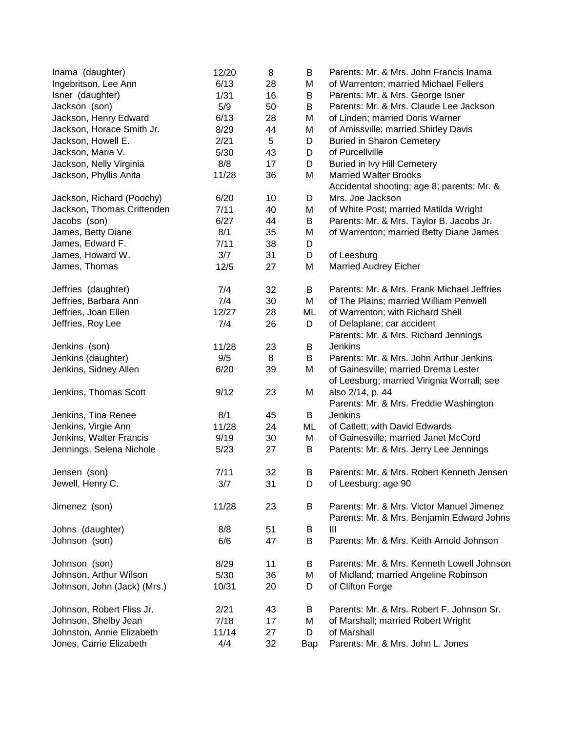| Inama (daughter)            | 12/20 | 8  | B   | Parents: Mr. & Mrs. John Francis Inama     |
|-----------------------------|-------|----|-----|--------------------------------------------|
| Ingebritson, Lee Ann        | 6/13  | 28 | M   | of Warrenton; married Michael Fellers      |
| Isner (daughter)            | 1/31  | 16 | Β   | Parents: Mr. & Mrs. George Isner           |
| Jackson (son)               | 5/9   | 50 | B   | Parents: Mr. & Mrs. Claude Lee Jackson     |
| Jackson, Henry Edward       | 6/13  | 28 | M   | of Linden; married Doris Warner            |
| Jackson, Horace Smith Jr.   | 8/29  | 44 | M   | of Amissville; married Shirley Davis       |
| Jackson, Howell E.          | 2/21  | 5  | D   | <b>Buried in Sharon Cemetery</b>           |
| Jackson, Maria V.           | 5/30  | 43 | D   | of Purcellville                            |
| Jackson, Nelly Virginia     | 8/8   | 17 | D   | Buried in Ivy Hill Cemetery                |
| Jackson, Phyllis Anita      | 11/28 | 36 | M   | <b>Married Walter Brooks</b>               |
|                             |       |    |     | Accidental shooting; age 8; parents: Mr. & |
| Jackson, Richard (Poochy)   | 6/20  | 10 | D   | Mrs. Joe Jackson                           |
| Jackson, Thomas Crittenden  | 7/11  | 40 | М   | of White Post; married Matilda Wright      |
| Jacobs (son)                | 6/27  | 44 | B   | Parents: Mr. & Mrs. Taylor B. Jacobs Jr.   |
| James, Betty Diane          | 8/1   | 35 | M   | of Warrenton; married Betty Diane James    |
| James, Edward F.            | 7/11  | 38 | D   |                                            |
| James, Howard W.            | 3/7   | 31 | D   | of Leesburg                                |
| James, Thomas               | 12/5  | 27 | M   | <b>Married Audrey Eicher</b>               |
| Jeffries (daughter)         | 7/4   | 32 | B   | Parents: Mr. & Mrs. Frank Michael Jeffries |
| Jeffries, Barbara Ann       | 7/4   | 30 | M   | of The Plains; married William Penwell     |
| Jeffries, Joan Ellen        | 12/27 | 28 | ML  | of Warrenton; with Richard Shell           |
| Jeffries, Roy Lee           | 7/4   | 26 | D   | of Delaplane; car accident                 |
|                             |       |    |     | Parents: Mr. & Mrs. Richard Jennings       |
| Jenkins (son)               | 11/28 | 23 | B   | <b>Jenkins</b>                             |
| Jenkins (daughter)          | 9/5   | 8  | B   | Parents: Mr. & Mrs. John Arthur Jenkins    |
| Jenkins, Sidney Allen       | 6/20  | 39 | M   | of Gainesville; married Drema Lester       |
|                             |       |    |     | of Leesburg; married Virignia Worrall; see |
| Jenkins, Thomas Scott       | 9/12  | 23 | M   | also 2/14, p. 44                           |
|                             |       |    |     | Parents: Mr. & Mrs. Freddie Washington     |
| Jenkins, Tina Renee         | 8/1   | 45 | B   | <b>Jenkins</b>                             |
| Jenkins, Virgie Ann         | 11/28 | 24 | ML  | of Catlett; with David Edwards             |
| Jenkins, Walter Francis     | 9/19  | 30 | M   | of Gainesville; married Janet McCord       |
| Jennings, Selena Nichole    | 5/23  | 27 | B   | Parents: Mr. & Mrs. Jerry Lee Jennings     |
| Jensen (son)                | 7/11  | 32 | B   | Parents: Mr. & Mrs. Robert Kenneth Jensen  |
| Jewell, Henry C.            | 3/7   | 31 | D   | of Leesburg; age 90                        |
|                             |       |    |     |                                            |
| Jimenez (son)               | 11/28 | 23 | B   | Parents: Mr. & Mrs. Victor Manuel Jimenez  |
|                             |       |    |     | Parents: Mr. & Mrs. Benjamin Edward Johns  |
| Johns (daughter)            | 8/8   | 51 | B   | $\mathbf{III}$                             |
| Johnson (son)               | 6/6   | 47 | B   | Parents: Mr. & Mrs. Keith Arnold Johnson   |
| Johnson (son)               | 8/29  | 11 | B   | Parents: Mr. & Mrs. Kenneth Lowell Johnson |
| Johnson, Arthur Wilson      | 5/30  | 36 | Μ   | of Midland; married Angeline Robinson      |
| Johnson, John (Jack) (Mrs.) | 10/31 | 20 | D   | of Clifton Forge                           |
|                             |       |    |     |                                            |
| Johnson, Robert Fliss Jr.   | 2/21  | 43 | B   | Parents: Mr. & Mrs. Robert F. Johnson Sr.  |
| Johnson, Shelby Jean        | 7/18  | 17 | Μ   | of Marshall; married Robert Wright         |
| Johnston, Annie Elizabeth   | 11/14 | 27 | D   | of Marshall                                |
| Jones, Carrie Elizabeth     | 4/4   | 32 | Bap | Parents: Mr. & Mrs. John L. Jones          |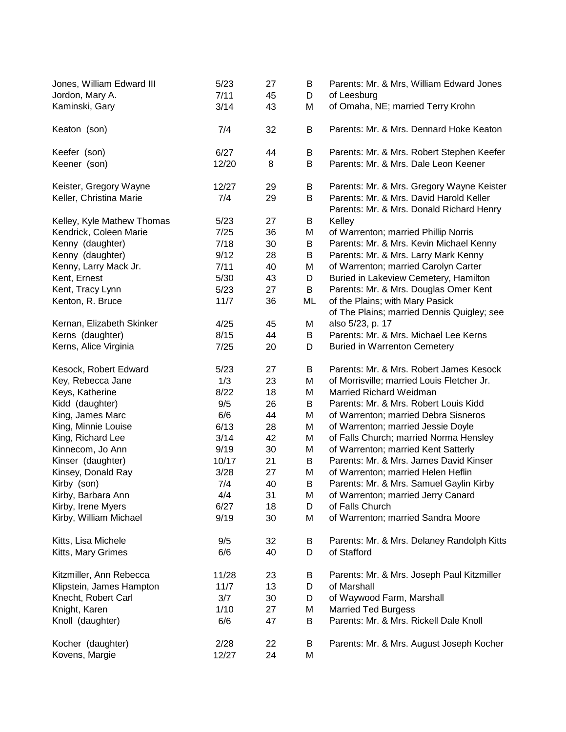| Jones, William Edward III  | 5/23  | 27 | В  | Parents: Mr. & Mrs, William Edward Jones                                            |
|----------------------------|-------|----|----|-------------------------------------------------------------------------------------|
| Jordon, Mary A.            | 7/11  | 45 | D  | of Leesburg                                                                         |
| Kaminski, Gary             | 3/14  | 43 | M  | of Omaha, NE; married Terry Krohn                                                   |
| Keaton (son)               | 7/4   | 32 | В  | Parents: Mr. & Mrs. Dennard Hoke Keaton                                             |
| Keefer (son)               | 6/27  | 44 | Β  | Parents: Mr. & Mrs. Robert Stephen Keefer                                           |
| Keener (son)               | 12/20 | 8  | B  | Parents: Mr. & Mrs. Dale Leon Keener                                                |
| Keister, Gregory Wayne     | 12/27 | 29 | B  | Parents: Mr. & Mrs. Gregory Wayne Keister                                           |
| Keller, Christina Marie    | 7/4   | 29 | B  | Parents: Mr. & Mrs. David Harold Keller<br>Parents: Mr. & Mrs. Donald Richard Henry |
| Kelley, Kyle Mathew Thomas | 5/23  | 27 | B  | Kelley                                                                              |
| Kendrick, Coleen Marie     | 7/25  | 36 | M  | of Warrenton; married Phillip Norris                                                |
| Kenny (daughter)           | 7/18  | 30 | B  | Parents: Mr. & Mrs. Kevin Michael Kenny                                             |
| Kenny (daughter)           | 9/12  | 28 | B  | Parents: Mr. & Mrs. Larry Mark Kenny                                                |
| Kenny, Larry Mack Jr.      | 7/11  | 40 | M  | of Warrenton; married Carolyn Carter                                                |
| Kent, Ernest               | 5/30  | 43 | D  | Buried in Lakeview Cemetery, Hamilton                                               |
| Kent, Tracy Lynn           | 5/23  | 27 | B  | Parents: Mr. & Mrs. Douglas Omer Kent                                               |
| Kenton, R. Bruce           | 11/7  | 36 | ML | of the Plains; with Mary Pasick                                                     |
|                            |       |    |    | of The Plains; married Dennis Quigley; see                                          |
| Kernan, Elizabeth Skinker  | 4/25  | 45 | M  | also 5/23, p. 17                                                                    |
| Kerns (daughter)           | 8/15  | 44 | B  | Parents: Mr. & Mrs. Michael Lee Kerns                                               |
| Kerns, Alice Virginia      | 7/25  | 20 | D  | <b>Buried in Warrenton Cemetery</b>                                                 |
| Kesock, Robert Edward      | 5/23  | 27 | B  | Parents: Mr. & Mrs. Robert James Kesock                                             |
| Key, Rebecca Jane          | 1/3   | 23 | M  | of Morrisville; married Louis Fletcher Jr.                                          |
| Keys, Katherine            | 8/22  | 18 | M  | <b>Married Richard Weidman</b>                                                      |
| Kidd (daughter)            | 9/5   | 26 | B  | Parents: Mr. & Mrs. Robert Louis Kidd                                               |
| King, James Marc           | 6/6   | 44 | M  | of Warrenton; married Debra Sisneros                                                |
| King, Minnie Louise        | 6/13  | 28 | M  | of Warrenton; married Jessie Doyle                                                  |
| King, Richard Lee          | 3/14  | 42 | M  | of Falls Church; married Norma Hensley                                              |
| Kinnecom, Jo Ann           | 9/19  | 30 | M  | of Warrenton; married Kent Satterly                                                 |
| Kinser (daughter)          | 10/17 | 21 | B  | Parents: Mr. & Mrs. James David Kinser                                              |
| Kinsey, Donald Ray         | 3/28  | 27 | M  | of Warrenton; married Helen Heflin                                                  |
| Kirby (son)                | 7/4   | 40 | B  | Parents: Mr. & Mrs. Samuel Gaylin Kirby                                             |
| Kirby, Barbara Ann         | 4/4   | 31 | M  | of Warrenton; married Jerry Canard                                                  |
| Kirby, Irene Myers         | 6/27  | 18 | D  | of Falls Church                                                                     |
| Kirby, William Michael     | 9/19  | 30 | М  | of Warrenton; married Sandra Moore                                                  |
| Kitts, Lisa Michele        | 9/5   | 32 | В  | Parents: Mr. & Mrs. Delaney Randolph Kitts                                          |
| Kitts, Mary Grimes         | 6/6   | 40 | D  | of Stafford                                                                         |
| Kitzmiller, Ann Rebecca    | 11/28 | 23 | Β  | Parents: Mr. & Mrs. Joseph Paul Kitzmiller                                          |
| Klipstein, James Hampton   | 11/7  | 13 | D  | of Marshall                                                                         |
| Knecht, Robert Carl        | 3/7   | 30 | D  | of Waywood Farm, Marshall                                                           |
| Knight, Karen              | 1/10  | 27 | M  | <b>Married Ted Burgess</b>                                                          |
| Knoll (daughter)           | 6/6   | 47 | B  | Parents: Mr. & Mrs. Rickell Dale Knoll                                              |
| Kocher (daughter)          | 2/28  | 22 | B  | Parents: Mr. & Mrs. August Joseph Kocher                                            |
| Kovens, Margie             | 12/27 | 24 | M  |                                                                                     |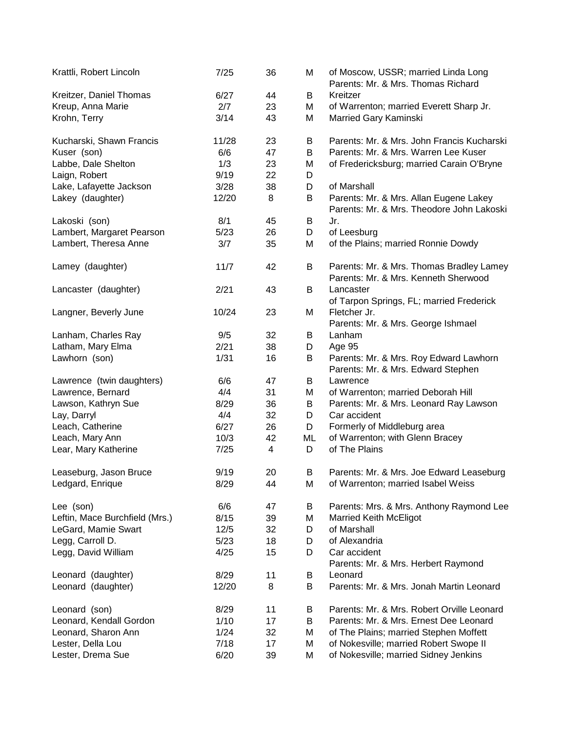| Krattli, Robert Lincoln        | 7/25  | 36 | M  | of Moscow, USSR; married Linda Long<br>Parents: Mr. & Mrs. Thomas Richard           |
|--------------------------------|-------|----|----|-------------------------------------------------------------------------------------|
| Kreitzer, Daniel Thomas        | 6/27  | 44 | B  | Kreitzer                                                                            |
| Kreup, Anna Marie              | 2/7   | 23 | M  | of Warrenton; married Everett Sharp Jr.                                             |
| Krohn, Terry                   | 3/14  | 43 | M  | Married Gary Kaminski                                                               |
| Kucharski, Shawn Francis       | 11/28 | 23 | B  | Parents: Mr. & Mrs. John Francis Kucharski                                          |
| Kuser (son)                    | 6/6   | 47 | B  | Parents: Mr. & Mrs. Warren Lee Kuser                                                |
| Labbe, Dale Shelton            | 1/3   | 23 | M  | of Fredericksburg; married Carain O'Bryne                                           |
| Laign, Robert                  | 9/19  | 22 | D  |                                                                                     |
| Lake, Lafayette Jackson        | 3/28  | 38 | D  | of Marshall                                                                         |
| Lakey (daughter)               | 12/20 | 8  | B  | Parents: Mr. & Mrs. Allan Eugene Lakey<br>Parents: Mr. & Mrs. Theodore John Lakoski |
| Lakoski (son)                  | 8/1   | 45 | B  | Jr.                                                                                 |
| Lambert, Margaret Pearson      | 5/23  | 26 | D  | of Leesburg                                                                         |
| Lambert, Theresa Anne          | 3/7   | 35 | M  | of the Plains; married Ronnie Dowdy                                                 |
| Lamey (daughter)               | 11/7  | 42 | B  | Parents: Mr. & Mrs. Thomas Bradley Lamey<br>Parents: Mr. & Mrs. Kenneth Sherwood    |
| Lancaster (daughter)           | 2/21  | 43 | B  | Lancaster<br>of Tarpon Springs, FL; married Frederick                               |
| Langner, Beverly June          | 10/24 | 23 | M  | Fletcher Jr.<br>Parents: Mr. & Mrs. George Ishmael                                  |
| Lanham, Charles Ray            | 9/5   | 32 | B  | Lanham                                                                              |
| Latham, Mary Elma              | 2/21  | 38 | D  | Age 95                                                                              |
| Lawhorn (son)                  | 1/31  | 16 | B  | Parents: Mr. & Mrs. Roy Edward Lawhorn                                              |
|                                |       |    |    | Parents: Mr. & Mrs. Edward Stephen                                                  |
| Lawrence (twin daughters)      | 6/6   | 47 | B  | Lawrence                                                                            |
| Lawrence, Bernard              | 4/4   | 31 | M  | of Warrenton; married Deborah Hill                                                  |
| Lawson, Kathryn Sue            | 8/29  | 36 | B  | Parents: Mr. & Mrs. Leonard Ray Lawson                                              |
| Lay, Darryl                    | 4/4   | 32 | D  | Car accident                                                                        |
| Leach, Catherine               | 6/27  | 26 | D  | Formerly of Middleburg area                                                         |
| Leach, Mary Ann                | 10/3  | 42 | МL | of Warrenton; with Glenn Bracey                                                     |
| Lear, Mary Katherine           | 7/25  | 4  | D  | of The Plains                                                                       |
| Leaseburg, Jason Bruce         | 9/19  | 20 | B  | Parents: Mr. & Mrs. Joe Edward Leaseburg                                            |
| Ledgard, Enrique               | 8/29  | 44 | M  | of Warrenton; married Isabel Weiss                                                  |
| Lee (son)                      | 6/6   | 47 | B  | Parents: Mrs. & Mrs. Anthony Raymond Lee                                            |
| Leftin, Mace Burchfield (Mrs.) | 8/15  | 39 | M  | <b>Married Keith McEligot</b>                                                       |
| LeGard, Mamie Swart            | 12/5  | 32 | D  | of Marshall                                                                         |
| Legg, Carroll D.               | 5/23  | 18 | D  | of Alexandria                                                                       |
| Legg, David William            | 4/25  | 15 | D  | Car accident                                                                        |
| Leonard (daughter)             | 8/29  | 11 | B  | Parents: Mr. & Mrs. Herbert Raymond<br>Leonard                                      |
| Leonard (daughter)             | 12/20 | 8  | В  | Parents: Mr. & Mrs. Jonah Martin Leonard                                            |
|                                |       |    |    |                                                                                     |
| Leonard (son)                  | 8/29  | 11 | B  | Parents: Mr. & Mrs. Robert Orville Leonard                                          |
| Leonard, Kendall Gordon        | 1/10  | 17 | B  | Parents: Mr. & Mrs. Ernest Dee Leonard                                              |
| Leonard, Sharon Ann            | 1/24  | 32 | M  | of The Plains; married Stephen Moffett                                              |
| Lester, Della Lou              | 7/18  | 17 | M  | of Nokesville; married Robert Swope II                                              |
| Lester, Drema Sue              | 6/20  | 39 | M  | of Nokesville; married Sidney Jenkins                                               |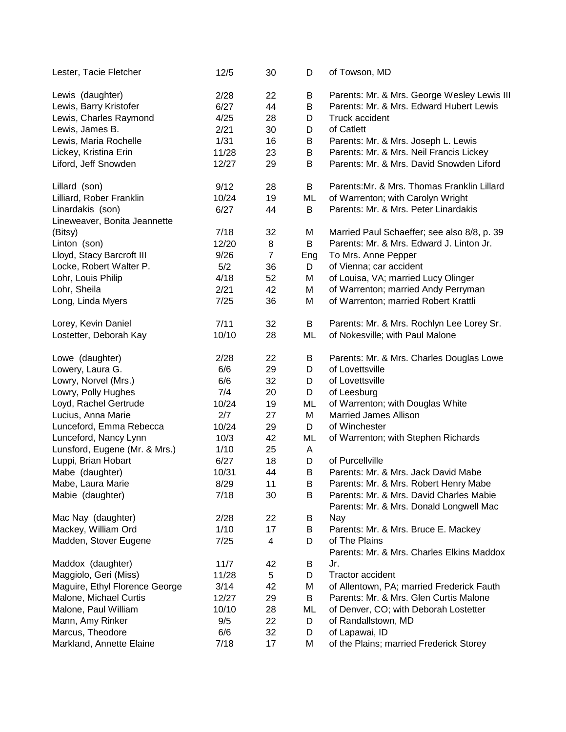| Lester, Tacie Fletcher         | 12/5  | 30             | D   | of Towson, MD                               |
|--------------------------------|-------|----------------|-----|---------------------------------------------|
| Lewis (daughter)               | 2/28  | 22             | B   | Parents: Mr. & Mrs. George Wesley Lewis III |
| Lewis, Barry Kristofer         | 6/27  | 44             | B   | Parents: Mr. & Mrs. Edward Hubert Lewis     |
| Lewis, Charles Raymond         | 4/25  | 28             | D   | Truck accident                              |
| Lewis, James B.                | 2/21  | 30             | D   | of Catlett                                  |
| Lewis, Maria Rochelle          | 1/31  | 16             | B   | Parents: Mr. & Mrs. Joseph L. Lewis         |
| Lickey, Kristina Erin          | 11/28 | 23             | B   | Parents: Mr. & Mrs. Neil Francis Lickey     |
| Liford, Jeff Snowden           | 12/27 | 29             | B   | Parents: Mr. & Mrs. David Snowden Liford    |
| Lillard (son)                  | 9/12  | 28             | B   | Parents: Mr. & Mrs. Thomas Franklin Lillard |
| Lilliard, Rober Franklin       | 10/24 | 19             | ML  | of Warrenton; with Carolyn Wright           |
| Linardakis (son)               | 6/27  | 44             | B   | Parents: Mr. & Mrs. Peter Linardakis        |
| Lineweaver, Bonita Jeannette   |       |                |     |                                             |
| (Bitsy)                        | 7/18  | 32             | M   | Married Paul Schaeffer; see also 8/8, p. 39 |
| Linton (son)                   | 12/20 | 8              | B   | Parents: Mr. & Mrs. Edward J. Linton Jr.    |
| Lloyd, Stacy Barcroft III      | 9/26  | $\overline{7}$ | Eng | To Mrs. Anne Pepper                         |
| Locke, Robert Walter P.        | 5/2   | 36             | D   | of Vienna; car accident                     |
| Lohr, Louis Philip             | 4/18  | 52             | M   | of Louisa, VA; married Lucy Olinger         |
| Lohr, Sheila                   | 2/21  | 42             | M   | of Warrenton; married Andy Perryman         |
| Long, Linda Myers              | 7/25  | 36             | M   | of Warrenton; married Robert Krattli        |
| Lorey, Kevin Daniel            | 7/11  | 32             | B   | Parents: Mr. & Mrs. Rochlyn Lee Lorey Sr.   |
| Lostetter, Deborah Kay         | 10/10 | 28             | ML  | of Nokesville; with Paul Malone             |
| Lowe (daughter)                | 2/28  | 22             | В   | Parents: Mr. & Mrs. Charles Douglas Lowe    |
| Lowery, Laura G.               | 6/6   | 29             | D   | of Lovettsville                             |
| Lowry, Norvel (Mrs.)           | 6/6   | 32             | D   | of Lovettsville                             |
| Lowry, Polly Hughes            | 7/4   | 20             | D   | of Leesburg                                 |
| Loyd, Rachel Gertrude          | 10/24 | 19             | ML  | of Warrenton; with Douglas White            |
| Lucius, Anna Marie             | 2/7   | 27             | M   | <b>Married James Allison</b>                |
| Lunceford, Emma Rebecca        | 10/24 | 29             | D   | of Winchester                               |
| Lunceford, Nancy Lynn          | 10/3  | 42             | ML  | of Warrenton; with Stephen Richards         |
| Lunsford, Eugene (Mr. & Mrs.)  | 1/10  | 25             | A   |                                             |
| Luppi, Brian Hobart            | 6/27  | 18             | D   | of Purcellville                             |
| Mabe (daughter)                | 10/31 | 44             | B   | Parents: Mr. & Mrs. Jack David Mabe         |
| Mabe, Laura Marie              | 8/29  | 11             | B   | Parents: Mr. & Mrs. Robert Henry Mabe       |
| Mabie (daughter)               | 7/18  | 30             | B   | Parents: Mr. & Mrs. David Charles Mabie     |
|                                |       |                |     | Parents: Mr. & Mrs. Donald Longwell Mac     |
| Mac Nay (daughter)             | 2/28  | 22             | B   | <b>Nay</b>                                  |
| Mackey, William Ord            | 1/10  | 17             | B   | Parents: Mr. & Mrs. Bruce E. Mackey         |
| Madden, Stover Eugene          | 7/25  | 4              | D   | of The Plains                               |
|                                |       |                |     | Parents: Mr. & Mrs. Charles Elkins Maddox   |
| Maddox (daughter)              | 11/7  | 42             | B   | Jr.                                         |
| Maggiolo, Geri (Miss)          | 11/28 | 5              | D   | Tractor accident                            |
| Maguire, Ethyl Florence George | 3/14  | 42             | Μ   | of Allentown, PA; married Frederick Fauth   |
| Malone, Michael Curtis         | 12/27 | 29             | B   | Parents: Mr. & Mrs. Glen Curtis Malone      |
| Malone, Paul William           | 10/10 | 28             | ML  | of Denver, CO; with Deborah Lostetter       |
| Mann, Amy Rinker               | 9/5   | 22             | D   | of Randallstown, MD                         |
| Marcus, Theodore               | 6/6   | 32             | D   | of Lapawai, ID                              |
| Markland, Annette Elaine       | 7/18  | 17             | Μ   | of the Plains; married Frederick Storey     |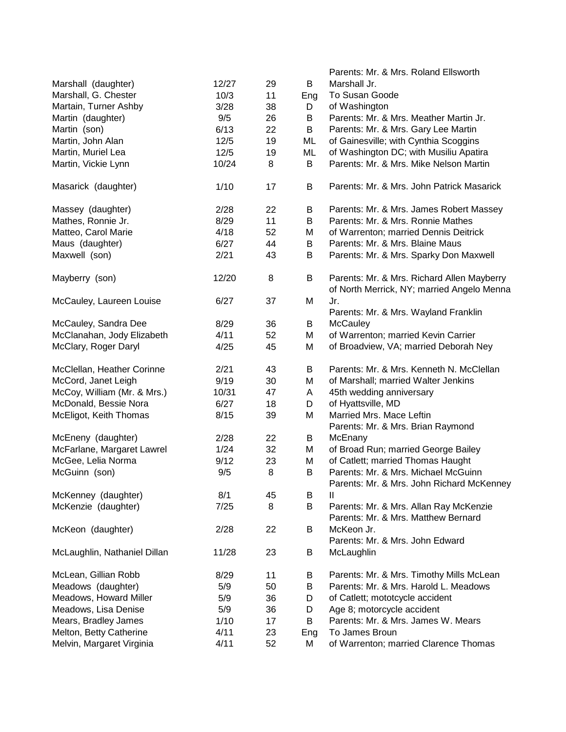|                              |       |    |     | Parents: Mr. & Mrs. Roland Ellsworth                                                     |
|------------------------------|-------|----|-----|------------------------------------------------------------------------------------------|
| Marshall (daughter)          | 12/27 | 29 | B   | Marshall Jr.                                                                             |
| Marshall, G. Chester         | 10/3  | 11 | Eng | To Susan Goode                                                                           |
| Martain, Turner Ashby        | 3/28  | 38 | D   | of Washington                                                                            |
| Martin (daughter)            | 9/5   | 26 | B   | Parents: Mr. & Mrs. Meather Martin Jr.                                                   |
| Martin (son)                 | 6/13  | 22 | B   | Parents: Mr. & Mrs. Gary Lee Martin                                                      |
| Martin, John Alan            | 12/5  | 19 | ML  | of Gainesville; with Cynthia Scoggins                                                    |
| Martin, Muriel Lea           | 12/5  | 19 | ML  | of Washington DC; with Musiliu Apatira                                                   |
| Martin, Vickie Lynn          | 10/24 | 8  | B   | Parents: Mr. & Mrs. Mike Nelson Martin                                                   |
| Masarick (daughter)          | 1/10  | 17 | B   | Parents: Mr. & Mrs. John Patrick Masarick                                                |
| Massey (daughter)            | 2/28  | 22 | В   | Parents: Mr. & Mrs. James Robert Massey                                                  |
| Mathes, Ronnie Jr.           | 8/29  | 11 | B   | Parents: Mr. & Mrs. Ronnie Mathes                                                        |
| Matteo, Carol Marie          | 4/18  | 52 | Μ   | of Warrenton; married Dennis Deitrick                                                    |
| Maus (daughter)              | 6/27  | 44 | B   | Parents: Mr. & Mrs. Blaine Maus                                                          |
| Maxwell (son)                | 2/21  | 43 | B   | Parents: Mr. & Mrs. Sparky Don Maxwell                                                   |
| Mayberry (son)               | 12/20 | 8  | B   | Parents: Mr. & Mrs. Richard Allen Mayberry<br>of North Merrick, NY; married Angelo Menna |
| McCauley, Laureen Louise     | 6/27  | 37 | M   | Jr.<br>Parents: Mr. & Mrs. Wayland Franklin                                              |
| McCauley, Sandra Dee         | 8/29  | 36 | В   | <b>McCauley</b>                                                                          |
| McClanahan, Jody Elizabeth   | 4/11  | 52 | M   | of Warrenton; married Kevin Carrier                                                      |
| McClary, Roger Daryl         | 4/25  | 45 | M   | of Broadview, VA; married Deborah Ney                                                    |
| McClellan, Heather Corinne   | 2/21  | 43 | B   | Parents: Mr. & Mrs. Kenneth N. McClellan                                                 |
| McCord, Janet Leigh          | 9/19  | 30 | M   | of Marshall; married Walter Jenkins                                                      |
| McCoy, William (Mr. & Mrs.)  | 10/31 | 47 | Α   | 45th wedding anniversary                                                                 |
| McDonald, Bessie Nora        | 6/27  | 18 | D   | of Hyattsville, MD                                                                       |
| McEligot, Keith Thomas       | 8/15  | 39 | M   | Married Mrs. Mace Leftin<br>Parents: Mr. & Mrs. Brian Raymond                            |
| McEneny (daughter)           | 2/28  | 22 | B   | McEnany                                                                                  |
| McFarlane, Margaret Lawrel   | 1/24  | 32 | М   | of Broad Run; married George Bailey                                                      |
| McGee, Lelia Norma           | 9/12  | 23 | M   | of Catlett; married Thomas Haught                                                        |
| McGuinn (son)                | 9/5   | 8  | B   | Parents: Mr. & Mrs. Michael McGuinn                                                      |
|                              |       |    |     | Parents: Mr. & Mrs. John Richard McKenney                                                |
| McKenney (daughter)          | 8/1   | 45 | B   | Ш                                                                                        |
| McKenzie (daughter)          | 7/25  | 8  | B   | Parents: Mr. & Mrs. Allan Ray McKenzie<br>Parents: Mr. & Mrs. Matthew Bernard            |
| McKeon (daughter)            | 2/28  | 22 | B   | McKeon Jr.                                                                               |
| McLaughlin, Nathaniel Dillan | 11/28 | 23 | B   | Parents: Mr. & Mrs. John Edward<br>McLaughlin                                            |
| McLean, Gillian Robb         | 8/29  | 11 | Β   | Parents: Mr. & Mrs. Timothy Mills McLean                                                 |
| Meadows (daughter)           | 5/9   | 50 | B   | Parents: Mr. & Mrs. Harold L. Meadows                                                    |
| Meadows, Howard Miller       | 5/9   | 36 | D   | of Catlett; mototcycle accident                                                          |
| Meadows, Lisa Denise         | 5/9   | 36 | D   | Age 8; motorcycle accident                                                               |
| Mears, Bradley James         | 1/10  | 17 | B   | Parents: Mr. & Mrs. James W. Mears                                                       |
| Melton, Betty Catherine      | 4/11  | 23 | Eng | To James Broun                                                                           |
| Melvin, Margaret Virginia    | 4/11  | 52 | M   | of Warrenton; married Clarence Thomas                                                    |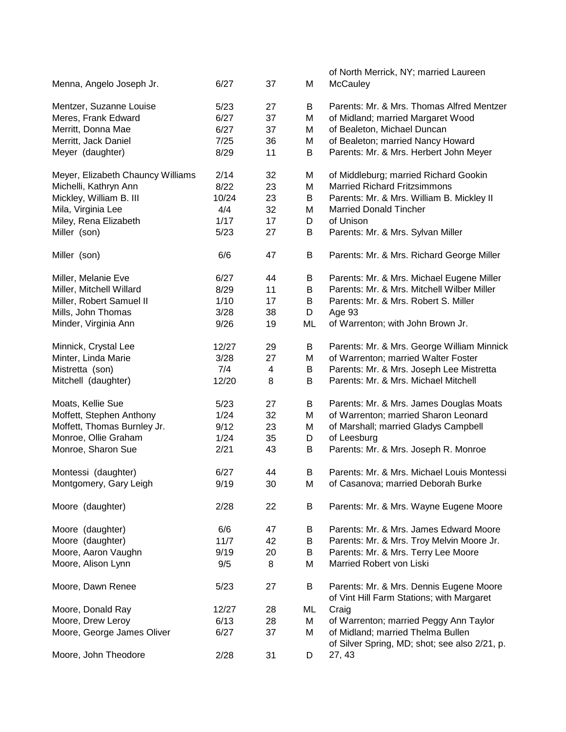|                                   |       |    |    | of North Merrick, NY; married Laureen                                                |
|-----------------------------------|-------|----|----|--------------------------------------------------------------------------------------|
| Menna, Angelo Joseph Jr.          | 6/27  | 37 | M  | <b>McCauley</b>                                                                      |
|                                   |       |    |    |                                                                                      |
| Mentzer, Suzanne Louise           | 5/23  | 27 | B  | Parents: Mr. & Mrs. Thomas Alfred Mentzer                                            |
| Meres, Frank Edward               | 6/27  | 37 | M  | of Midland; married Margaret Wood                                                    |
| Merritt, Donna Mae                | 6/27  | 37 | M  | of Bealeton, Michael Duncan                                                          |
| Merritt, Jack Daniel              | 7/25  | 36 | M  | of Bealeton; married Nancy Howard                                                    |
| Meyer (daughter)                  | 8/29  | 11 | B  | Parents: Mr. & Mrs. Herbert John Meyer                                               |
| Meyer, Elizabeth Chauncy Williams | 2/14  | 32 | M  | of Middleburg; married Richard Gookin                                                |
| Michelli, Kathryn Ann             | 8/22  | 23 | M  | <b>Married Richard Fritzsimmons</b>                                                  |
| Mickley, William B. III           | 10/24 | 23 | B  | Parents: Mr. & Mrs. William B. Mickley II                                            |
| Mila, Virginia Lee                | 4/4   | 32 | M  | <b>Married Donald Tincher</b>                                                        |
| Miley, Rena Elizabeth             | 1/17  | 17 | D  | of Unison                                                                            |
| Miller (son)                      | 5/23  | 27 | B  | Parents: Mr. & Mrs. Sylvan Miller                                                    |
|                                   |       |    |    |                                                                                      |
| Miller (son)                      | 6/6   | 47 | B  | Parents: Mr. & Mrs. Richard George Miller                                            |
| Miller, Melanie Eve               | 6/27  | 44 | В  | Parents: Mr. & Mrs. Michael Eugene Miller                                            |
| Miller, Mitchell Willard          | 8/29  | 11 | B  | Parents: Mr. & Mrs. Mitchell Wilber Miller                                           |
| Miller, Robert Samuel II          | 1/10  | 17 | B  | Parents: Mr. & Mrs. Robert S. Miller                                                 |
| Mills, John Thomas                | 3/28  | 38 | D  | Age 93                                                                               |
| Minder, Virginia Ann              | 9/26  | 19 | ML | of Warrenton; with John Brown Jr.                                                    |
| Minnick, Crystal Lee              | 12/27 | 29 | B  | Parents: Mr. & Mrs. George William Minnick                                           |
| Minter, Linda Marie               | 3/28  | 27 | M  | of Warrenton; married Walter Foster                                                  |
|                                   | 7/4   |    |    | Parents: Mr. & Mrs. Joseph Lee Mistretta                                             |
| Mistretta (son)                   |       | 4  | B  |                                                                                      |
| Mitchell (daughter)               | 12/20 | 8  | B  | Parents: Mr. & Mrs. Michael Mitchell                                                 |
| Moats, Kellie Sue                 | 5/23  | 27 | В  | Parents: Mr. & Mrs. James Douglas Moats                                              |
| Moffett, Stephen Anthony          | 1/24  | 32 | M  | of Warrenton; married Sharon Leonard                                                 |
| Moffett, Thomas Burnley Jr.       | 9/12  | 23 | M  | of Marshall; married Gladys Campbell                                                 |
| Monroe, Ollie Graham              | 1/24  | 35 | D  | of Leesburg                                                                          |
| Monroe, Sharon Sue                | 2/21  | 43 | B  | Parents: Mr. & Mrs. Joseph R. Monroe                                                 |
|                                   |       |    |    | Parents: Mr. & Mrs. Michael Louis Montessi                                           |
| Montessi (daughter)               | 6/27  | 44 | B  |                                                                                      |
| Montgomery, Gary Leigh            | 9/19  | 30 | M  | of Casanova; married Deborah Burke                                                   |
| Moore (daughter)                  | 2/28  | 22 | B  | Parents: Mr. & Mrs. Wayne Eugene Moore                                               |
| Moore (daughter)                  | 6/6   | 47 | B  | Parents: Mr. & Mrs. James Edward Moore                                               |
| Moore (daughter)                  | 11/7  | 42 | В  | Parents: Mr. & Mrs. Troy Melvin Moore Jr.                                            |
| Moore, Aaron Vaughn               | 9/19  | 20 | В  | Parents: Mr. & Mrs. Terry Lee Moore                                                  |
| Moore, Alison Lynn                | 9/5   | 8  | M  | Married Robert von Liski                                                             |
|                                   |       |    |    |                                                                                      |
| Moore, Dawn Renee                 | 5/23  | 27 | В  | Parents: Mr. & Mrs. Dennis Eugene Moore<br>of Vint Hill Farm Stations; with Margaret |
| Moore, Donald Ray                 | 12/27 | 28 | ML | Craig                                                                                |
| Moore, Drew Leroy                 | 6/13  | 28 | M  | of Warrenton; married Peggy Ann Taylor                                               |
|                                   |       |    |    | of Midland; married Thelma Bullen                                                    |
| Moore, George James Oliver        | 6/27  | 37 | M  | of Silver Spring, MD; shot; see also 2/21, p.                                        |
| Moore, John Theodore              | 2/28  | 31 | D  | 27, 43                                                                               |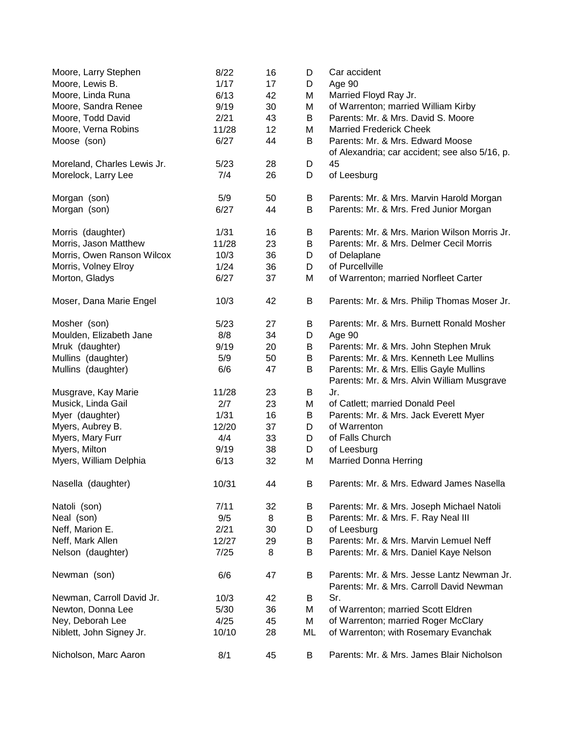| Moore, Larry Stephen        | 8/22  | 16 | D  | Car accident                                   |
|-----------------------------|-------|----|----|------------------------------------------------|
| Moore, Lewis B.             | 1/17  | 17 | D  | Age 90                                         |
| Moore, Linda Runa           | 6/13  | 42 | M  | Married Floyd Ray Jr.                          |
| Moore, Sandra Renee         | 9/19  | 30 | M  | of Warrenton; married William Kirby            |
| Moore, Todd David           | 2/21  | 43 | B  | Parents: Mr. & Mrs. David S. Moore             |
| Moore, Verna Robins         | 11/28 | 12 | M  | <b>Married Frederick Cheek</b>                 |
| Moose (son)                 | 6/27  | 44 | B  | Parents: Mr. & Mrs. Edward Moose               |
|                             |       |    |    | of Alexandria; car accident; see also 5/16, p. |
| Moreland, Charles Lewis Jr. | 5/23  | 28 | D  | 45                                             |
| Morelock, Larry Lee         | 7/4   | 26 | D  | of Leesburg                                    |
|                             |       |    |    |                                                |
| Morgan (son)                | 5/9   | 50 | B  | Parents: Mr. & Mrs. Marvin Harold Morgan       |
| Morgan (son)                | 6/27  | 44 | B  | Parents: Mr. & Mrs. Fred Junior Morgan         |
|                             |       |    |    |                                                |
| Morris (daughter)           | 1/31  | 16 | B  | Parents: Mr. & Mrs. Marion Wilson Morris Jr.   |
| Morris, Jason Matthew       | 11/28 | 23 | B  | Parents: Mr. & Mrs. Delmer Cecil Morris        |
| Morris, Owen Ranson Wilcox  | 10/3  | 36 | D  | of Delaplane                                   |
| Morris, Volney Elroy        | 1/24  | 36 | D  | of Purcellville                                |
| Morton, Gladys              | 6/27  | 37 | M  | of Warrenton; married Norfleet Carter          |
|                             |       |    |    |                                                |
| Moser, Dana Marie Engel     | 10/3  | 42 | B  | Parents: Mr. & Mrs. Philip Thomas Moser Jr.    |
|                             |       |    |    |                                                |
| Mosher (son)                | 5/23  | 27 | B  | Parents: Mr. & Mrs. Burnett Ronald Mosher      |
| Moulden, Elizabeth Jane     | 8/8   | 34 | D  | Age 90                                         |
| Mruk (daughter)             | 9/19  | 20 | B  | Parents: Mr. & Mrs. John Stephen Mruk          |
| Mullins (daughter)          | 5/9   | 50 | B  | Parents: Mr. & Mrs. Kenneth Lee Mullins        |
| Mullins (daughter)          | 6/6   | 47 | B  | Parents: Mr. & Mrs. Ellis Gayle Mullins        |
|                             |       |    |    | Parents: Mr. & Mrs. Alvin William Musgrave     |
| Musgrave, Kay Marie         | 11/28 | 23 | B  | Jr.                                            |
| Musick, Linda Gail          | 2/7   | 23 | M  | of Catlett; married Donald Peel                |
| Myer (daughter)             | 1/31  | 16 | Β  | Parents: Mr. & Mrs. Jack Everett Myer          |
| Myers, Aubrey B.            | 12/20 | 37 | D  | of Warrenton                                   |
| Myers, Mary Furr            | 4/4   | 33 | D  | of Falls Church                                |
| Myers, Milton               | 9/19  | 38 | D  | of Leesburg                                    |
| Myers, William Delphia      | 6/13  | 32 | M  | <b>Married Donna Herring</b>                   |
|                             |       |    |    |                                                |
| Nasella (daughter)          | 10/31 | 44 | B  | Parents: Mr. & Mrs. Edward James Nasella       |
| Natoli (son)                | 7/11  | 32 | В  | Parents: Mr. & Mrs. Joseph Michael Natoli      |
| Neal (son)                  | 9/5   | 8  | B  | Parents: Mr. & Mrs. F. Ray Neal III            |
|                             |       |    |    |                                                |
| Neff, Marion E.             | 2/21  | 30 | D  | of Leesburg                                    |
| Neff, Mark Allen            | 12/27 | 29 | B  | Parents: Mr. & Mrs. Marvin Lemuel Neff         |
| Nelson (daughter)           | 7/25  | 8  | B  | Parents: Mr. & Mrs. Daniel Kaye Nelson         |
| Newman (son)                | 6/6   | 47 | B  | Parents: Mr. & Mrs. Jesse Lantz Newman Jr.     |
|                             |       |    |    | Parents: Mr. & Mrs. Carroll David Newman       |
| Newman, Carroll David Jr.   | 10/3  | 42 | B  | Sr.                                            |
| Newton, Donna Lee           | 5/30  | 36 | M  | of Warrenton; married Scott Eldren             |
| Ney, Deborah Lee            | 4/25  | 45 | M  | of Warrenton; married Roger McClary            |
| Niblett, John Signey Jr.    | 10/10 | 28 | ML | of Warrenton; with Rosemary Evanchak           |
|                             |       |    |    |                                                |
| Nicholson, Marc Aaron       | 8/1   | 45 | B  | Parents: Mr. & Mrs. James Blair Nicholson      |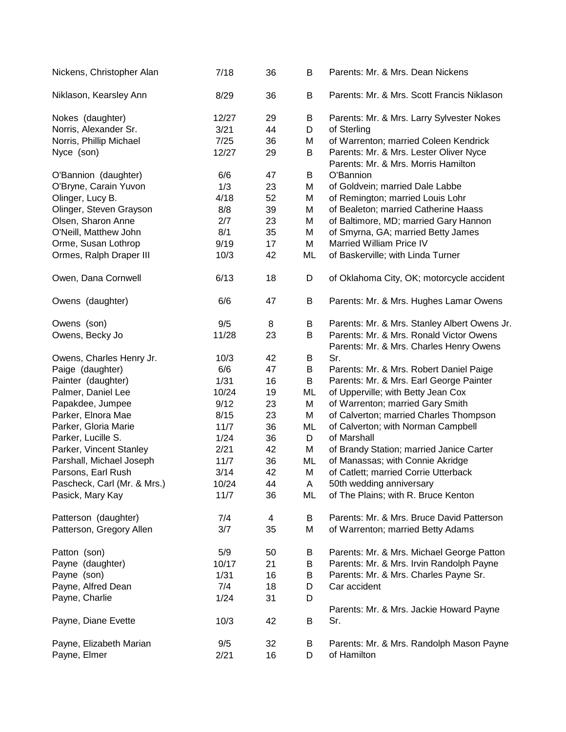| Nickens, Christopher Alan   | 7/18   | 36 | В  | Parents: Mr. & Mrs. Dean Nickens                                                   |
|-----------------------------|--------|----|----|------------------------------------------------------------------------------------|
| Niklason, Kearsley Ann      | 8/29   | 36 | B  | Parents: Mr. & Mrs. Scott Francis Niklason                                         |
| Nokes (daughter)            | 12/27  | 29 | В  | Parents: Mr. & Mrs. Larry Sylvester Nokes                                          |
| Norris, Alexander Sr.       | 3/21   | 44 | D  | of Sterling                                                                        |
| Norris, Phillip Michael     | $7/25$ | 36 | M  | of Warrenton; married Coleen Kendrick                                              |
| Nyce (son)                  | 12/27  | 29 | B  | Parents: Mr. & Mrs. Lester Oliver Nyce<br>Parents: Mr. & Mrs. Morris Hamilton      |
| O'Bannion (daughter)        | 6/6    | 47 | B  | O'Bannion                                                                          |
| O'Bryne, Carain Yuvon       | 1/3    | 23 | M  | of Goldvein; married Dale Labbe                                                    |
| Olinger, Lucy B.            | 4/18   | 52 | M  | of Remington; married Louis Lohr                                                   |
| Olinger, Steven Grayson     | 8/8    | 39 | M  | of Bealeton; married Catherine Haass                                               |
| Olsen, Sharon Anne          | 2/7    | 23 | M  | of Baltimore, MD; married Gary Hannon                                              |
| O'Neill, Matthew John       | 8/1    | 35 | M  | of Smyrna, GA; married Betty James                                                 |
| Orme, Susan Lothrop         | 9/19   | 17 | M  | <b>Married William Price IV</b>                                                    |
| Ormes, Ralph Draper III     | 10/3   | 42 | ML | of Baskerville; with Linda Turner                                                  |
| Owen, Dana Cornwell         | 6/13   | 18 | D  | of Oklahoma City, OK; motorcycle accident                                          |
| Owens (daughter)            | 6/6    | 47 | B  | Parents: Mr. & Mrs. Hughes Lamar Owens                                             |
| Owens (son)                 | 9/5    | 8  | B  | Parents: Mr. & Mrs. Stanley Albert Owens Jr.                                       |
| Owens, Becky Jo             | 11/28  | 23 | B  | Parents: Mr. & Mrs. Ronald Victor Owens<br>Parents: Mr. & Mrs. Charles Henry Owens |
| Owens, Charles Henry Jr.    | 10/3   | 42 | B  | Sr.                                                                                |
| Paige (daughter)            | 6/6    | 47 | B  | Parents: Mr. & Mrs. Robert Daniel Paige                                            |
| Painter (daughter)          | 1/31   | 16 | B  | Parents: Mr. & Mrs. Earl George Painter                                            |
| Palmer, Daniel Lee          | 10/24  | 19 | ML | of Upperville; with Betty Jean Cox                                                 |
| Papakdee, Jumpee            | 9/12   | 23 | M  | of Warrenton; married Gary Smith                                                   |
| Parker, Elnora Mae          | 8/15   | 23 | M  | of Calverton; married Charles Thompson                                             |
| Parker, Gloria Marie        | 11/7   | 36 | ML | of Calverton; with Norman Campbell                                                 |
| Parker, Lucille S.          | 1/24   | 36 | D  | of Marshall                                                                        |
| Parker, Vincent Stanley     | 2/21   | 42 | M  | of Brandy Station; married Janice Carter                                           |
| Parshall, Michael Joseph    | 11/7   | 36 | ML | of Manassas; with Connie Akridge                                                   |
| Parsons, Earl Rush          | 3/14   | 42 | M  | of Catlett; married Corrie Utterback                                               |
| Pascheck, Carl (Mr. & Mrs.) | 10/24  | 44 | A  | 50th wedding anniversary                                                           |
| Pasick, Mary Kay            | 11/7   | 36 | ML | of The Plains; with R. Bruce Kenton                                                |
| Patterson (daughter)        | 7/4    | 4  | B  | Parents: Mr. & Mrs. Bruce David Patterson                                          |
| Patterson, Gregory Allen    | 3/7    | 35 | M  | of Warrenton; married Betty Adams                                                  |
| Patton (son)                | 5/9    | 50 | Β  | Parents: Mr. & Mrs. Michael George Patton                                          |
| Payne (daughter)            | 10/17  | 21 | Β  | Parents: Mr. & Mrs. Irvin Randolph Payne                                           |
| Payne (son)                 | 1/31   | 16 | Β  | Parents: Mr. & Mrs. Charles Payne Sr.                                              |
| Payne, Alfred Dean          | 7/4    | 18 | D  | Car accident                                                                       |
| Payne, Charlie              | 1/24   | 31 | D  | Parents: Mr. & Mrs. Jackie Howard Payne                                            |
| Payne, Diane Evette         | 10/3   | 42 | B  | Sr.                                                                                |
| Payne, Elizabeth Marian     | 9/5    | 32 | В  | Parents: Mr. & Mrs. Randolph Mason Payne                                           |
| Payne, Elmer                | 2/21   | 16 | D  | of Hamilton                                                                        |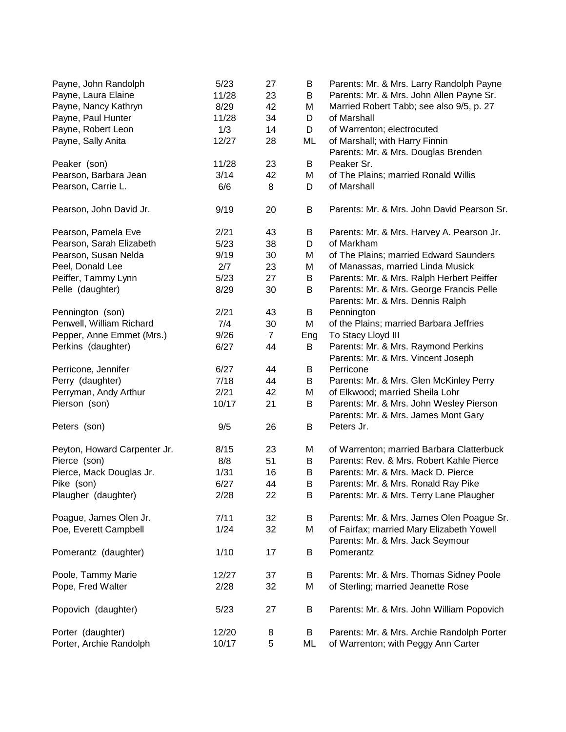| Payne, John Randolph         | 5/23  | 27             | B   | Parents: Mr. & Mrs. Larry Randolph Payne                                      |
|------------------------------|-------|----------------|-----|-------------------------------------------------------------------------------|
| Payne, Laura Elaine          | 11/28 | 23             | B   | Parents: Mr. & Mrs. John Allen Payne Sr.                                      |
| Payne, Nancy Kathryn         | 8/29  | 42             | M   | Married Robert Tabb; see also 9/5, p. 27                                      |
| Payne, Paul Hunter           | 11/28 | 34             | D   | of Marshall                                                                   |
| Payne, Robert Leon           | 1/3   | 14             | D   | of Warrenton; electrocuted                                                    |
| Payne, Sally Anita           | 12/27 | 28             | ML  | of Marshall; with Harry Finnin                                                |
|                              |       |                |     | Parents: Mr. & Mrs. Douglas Brenden                                           |
| Peaker (son)                 | 11/28 | 23             | B   | Peaker Sr.                                                                    |
| Pearson, Barbara Jean        | 3/14  | 42             | M   | of The Plains; married Ronald Willis                                          |
| Pearson, Carrie L.           | 6/6   | 8              | D   | of Marshall                                                                   |
| Pearson, John David Jr.      | 9/19  | 20             | B   | Parents: Mr. & Mrs. John David Pearson Sr.                                    |
| Pearson, Pamela Eve          | 2/21  | 43             | B   | Parents: Mr. & Mrs. Harvey A. Pearson Jr.                                     |
| Pearson, Sarah Elizabeth     | 5/23  | 38             | D   | of Markham                                                                    |
| Pearson, Susan Nelda         | 9/19  | 30             | M   | of The Plains; married Edward Saunders                                        |
| Peel, Donald Lee             | 2/7   | 23             | M   | of Manassas, married Linda Musick                                             |
| Peiffer, Tammy Lynn          | 5/23  | 27             | B   | Parents: Mr. & Mrs. Ralph Herbert Peiffer                                     |
| Pelle (daughter)             | 8/29  | 30             | B   | Parents: Mr. & Mrs. George Francis Pelle                                      |
|                              |       |                |     | Parents: Mr. & Mrs. Dennis Ralph                                              |
| Pennington (son)             | 2/21  | 43             | B   | Pennington                                                                    |
| Penwell, William Richard     | 7/4   | 30             | M   | of the Plains; married Barbara Jeffries                                       |
| Pepper, Anne Emmet (Mrs.)    | 9/26  | $\overline{7}$ | Eng | To Stacy Lloyd III                                                            |
| Perkins (daughter)           | 6/27  | 44             | B   | Parents: Mr. & Mrs. Raymond Perkins                                           |
|                              |       |                |     | Parents: Mr. & Mrs. Vincent Joseph                                            |
| Perricone, Jennifer          | 6/27  | 44             | B   | Perricone                                                                     |
| Perry (daughter)             | 7/18  | 44             | B   | Parents: Mr. & Mrs. Glen McKinley Perry                                       |
| Perryman, Andy Arthur        | 2/21  | 42             | M   | of Elkwood; married Sheila Lohr                                               |
| Pierson (son)                | 10/17 | 21             | B   | Parents: Mr. & Mrs. John Wesley Pierson                                       |
|                              |       |                |     | Parents: Mr. & Mrs. James Mont Gary                                           |
| Peters (son)                 | 9/5   | 26             | B   | Peters Jr.                                                                    |
| Peyton, Howard Carpenter Jr. | 8/15  | 23             | M   | of Warrenton; married Barbara Clatterbuck                                     |
| Pierce (son)                 | 8/8   | 51             | B   | Parents: Rev. & Mrs. Robert Kahle Pierce                                      |
| Pierce, Mack Douglas Jr.     | 1/31  | 16             | В   | Parents: Mr. & Mrs. Mack D. Pierce                                            |
| Pike (son)                   | 6/27  | 44             | B   | Parents: Mr. & Mrs. Ronald Ray Pike                                           |
| Plaugher (daughter)          | 2/28  | 22             | B   | Parents: Mr. & Mrs. Terry Lane Plaugher                                       |
| Poague, James Olen Jr.       | 7/11  | 32             | B   | Parents: Mr. & Mrs. James Olen Poague Sr.                                     |
| Poe, Everett Campbell        | 1/24  | 32             | M   | of Fairfax; married Mary Elizabeth Yowell<br>Parents: Mr. & Mrs. Jack Seymour |
| Pomerantz (daughter)         | 1/10  | 17             | B   | Pomerantz                                                                     |
| Poole, Tammy Marie           | 12/27 | 37             | B   | Parents: Mr. & Mrs. Thomas Sidney Poole                                       |
| Pope, Fred Walter            | 2/28  | 32             | M   | of Sterling; married Jeanette Rose                                            |
| Popovich (daughter)          | 5/23  | 27             | Β   | Parents: Mr. & Mrs. John William Popovich                                     |
| Porter (daughter)            | 12/20 | 8              | B   | Parents: Mr. & Mrs. Archie Randolph Porter                                    |
| Porter, Archie Randolph      | 10/17 | 5              | ML  | of Warrenton; with Peggy Ann Carter                                           |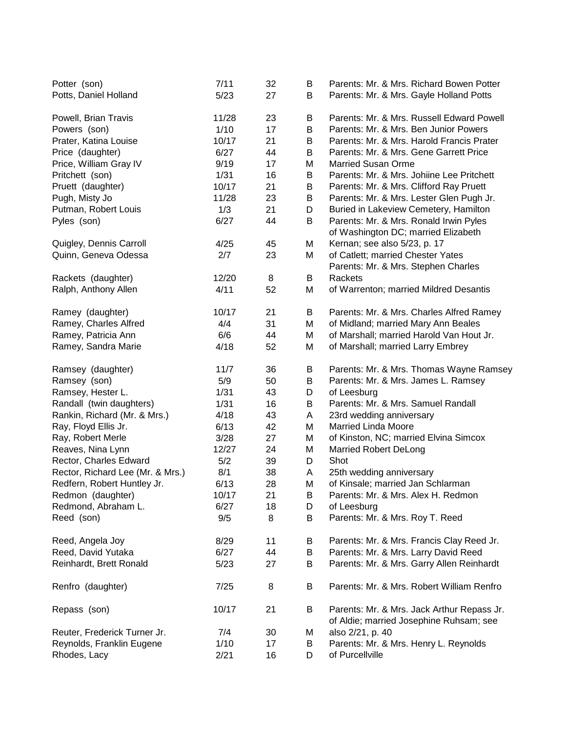| Potter (son)                     | 7/11  | 32 | B | Parents: Mr. & Mrs. Richard Bowen Potter                                              |
|----------------------------------|-------|----|---|---------------------------------------------------------------------------------------|
| Potts, Daniel Holland            | 5/23  | 27 | B | Parents: Mr. & Mrs. Gayle Holland Potts                                               |
| Powell, Brian Travis             | 11/28 | 23 | B | Parents: Mr. & Mrs. Russell Edward Powell                                             |
| Powers (son)                     | 1/10  | 17 | В | Parents: Mr. & Mrs. Ben Junior Powers                                                 |
| Prater, Katina Louise            | 10/17 | 21 | В | Parents: Mr. & Mrs. Harold Francis Prater                                             |
| Price (daughter)                 | 6/27  | 44 | B | Parents: Mr. & Mrs. Gene Garrett Price                                                |
| Price, William Gray IV           | 9/19  | 17 | M | <b>Married Susan Orme</b>                                                             |
| Pritchett (son)                  | 1/31  | 16 | B | Parents: Mr. & Mrs. Johiine Lee Pritchett                                             |
| Pruett (daughter)                | 10/17 | 21 | B | Parents: Mr. & Mrs. Clifford Ray Pruett                                               |
| Pugh, Misty Jo                   | 11/28 | 23 | B | Parents: Mr. & Mrs. Lester Glen Pugh Jr.                                              |
| Putman, Robert Louis             | 1/3   | 21 | D | Buried in Lakeview Cemetery, Hamilton                                                 |
| Pyles (son)                      | 6/27  | 44 | B | Parents: Mr. & Mrs. Ronald Irwin Pyles                                                |
|                                  |       |    |   | of Washington DC; married Elizabeth                                                   |
| Quigley, Dennis Carroll          | 4/25  | 45 | M | Kernan; see also 5/23, p. 17                                                          |
| Quinn, Geneva Odessa             | 2/7   | 23 | M | of Catlett; married Chester Yates                                                     |
|                                  |       |    |   | Parents: Mr. & Mrs. Stephen Charles                                                   |
| Rackets (daughter)               | 12/20 | 8  | B | Rackets                                                                               |
| Ralph, Anthony Allen             | 4/11  | 52 | M | of Warrenton; married Mildred Desantis                                                |
|                                  |       |    |   |                                                                                       |
| Ramey (daughter)                 | 10/17 | 21 | B | Parents: Mr. & Mrs. Charles Alfred Ramey                                              |
| Ramey, Charles Alfred            | 4/4   | 31 | M | of Midland; married Mary Ann Beales                                                   |
| Ramey, Patricia Ann              | 6/6   | 44 | M | of Marshall; married Harold Van Hout Jr.                                              |
| Ramey, Sandra Marie              | 4/18  | 52 | M | of Marshall; married Larry Embrey                                                     |
| Ramsey (daughter)                | 11/7  | 36 | B | Parents: Mr. & Mrs. Thomas Wayne Ramsey                                               |
| Ramsey (son)                     | 5/9   | 50 | B | Parents: Mr. & Mrs. James L. Ramsey                                                   |
| Ramsey, Hester L.                | 1/31  | 43 | D | of Leesburg                                                                           |
| Randall (twin daughters)         | 1/31  | 16 | B | Parents: Mr. & Mrs. Samuel Randall                                                    |
| Rankin, Richard (Mr. & Mrs.)     | 4/18  | 43 | Α | 23rd wedding anniversary                                                              |
| Ray, Floyd Ellis Jr.             | 6/13  | 42 | M | <b>Married Linda Moore</b>                                                            |
| Ray, Robert Merle                | 3/28  | 27 | M | of Kinston, NC; married Elvina Simcox                                                 |
| Reaves, Nina Lynn                | 12/27 | 24 | M | <b>Married Robert DeLong</b>                                                          |
| Rector, Charles Edward           | 5/2   | 39 | D | Shot                                                                                  |
| Rector, Richard Lee (Mr. & Mrs.) | 8/1   | 38 | A | 25th wedding anniversary                                                              |
| Redfern, Robert Huntley Jr.      | 6/13  | 28 | M | of Kinsale; married Jan Schlarman                                                     |
| Redmon (daughter)                | 10/17 | 21 | B | Parents: Mr. & Mrs. Alex H. Redmon                                                    |
| Redmond, Abraham L.              | 6/27  | 18 |   | of Leesburg                                                                           |
|                                  | 9/5   | 8  | D |                                                                                       |
| Reed (son)                       |       |    | B | Parents: Mr. & Mrs. Roy T. Reed                                                       |
| Reed, Angela Joy                 | 8/29  | 11 | Β | Parents: Mr. & Mrs. Francis Clay Reed Jr.                                             |
| Reed, David Yutaka               | 6/27  | 44 | Β | Parents: Mr. & Mrs. Larry David Reed                                                  |
| Reinhardt, Brett Ronald          | 5/23  | 27 | B | Parents: Mr. & Mrs. Garry Allen Reinhardt                                             |
| Renfro (daughter)                | 7/25  | 8  | B | Parents: Mr. & Mrs. Robert William Renfro                                             |
| Repass (son)                     | 10/17 | 21 | B | Parents: Mr. & Mrs. Jack Arthur Repass Jr.<br>of Aldie; married Josephine Ruhsam; see |
| Reuter, Frederick Turner Jr.     | 7/4   | 30 | М | also 2/21, p. 40                                                                      |
| Reynolds, Franklin Eugene        | 1/10  | 17 | B | Parents: Mr. & Mrs. Henry L. Reynolds                                                 |
| Rhodes, Lacy                     | 2/21  | 16 | D | of Purcellville                                                                       |
|                                  |       |    |   |                                                                                       |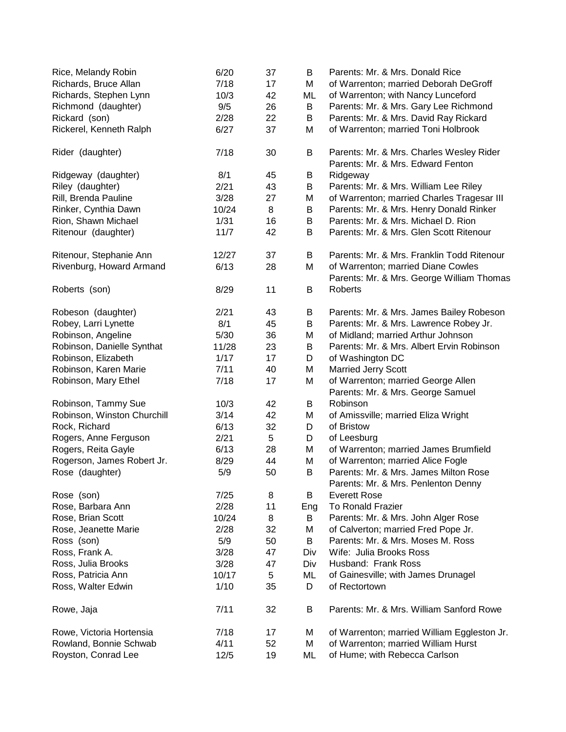| Rice, Melandy Robin         | 6/20  | 37 | B   | Parents: Mr. & Mrs. Donald Rice                                               |
|-----------------------------|-------|----|-----|-------------------------------------------------------------------------------|
| Richards, Bruce Allan       | 7/18  | 17 | M   | of Warrenton; married Deborah DeGroff                                         |
| Richards, Stephen Lynn      | 10/3  | 42 | ML  | of Warrenton; with Nancy Lunceford                                            |
| Richmond (daughter)         | 9/5   | 26 | B   | Parents: Mr. & Mrs. Gary Lee Richmond                                         |
| Rickard (son)               | 2/28  | 22 | B   | Parents: Mr. & Mrs. David Ray Rickard                                         |
| Rickerel, Kenneth Ralph     | 6/27  | 37 | M   | of Warrenton; married Toni Holbrook                                           |
| Rider (daughter)            | 7/18  | 30 | B   | Parents: Mr. & Mrs. Charles Wesley Rider<br>Parents: Mr. & Mrs. Edward Fenton |
| Ridgeway (daughter)         | 8/1   | 45 | B   | Ridgeway                                                                      |
| Riley (daughter)            | 2/21  | 43 | B   | Parents: Mr. & Mrs. William Lee Riley                                         |
| Rill, Brenda Pauline        | 3/28  | 27 | M   | of Warrenton; married Charles Tragesar III                                    |
| Rinker, Cynthia Dawn        | 10/24 | 8  | B   | Parents: Mr. & Mrs. Henry Donald Rinker                                       |
| Rion, Shawn Michael         | 1/31  | 16 | B   | Parents: Mr. & Mrs. Michael D. Rion                                           |
| Ritenour (daughter)         | 11/7  | 42 | B   | Parents: Mr. & Mrs. Glen Scott Ritenour                                       |
| Ritenour, Stephanie Ann     | 12/27 | 37 | B   | Parents: Mr. & Mrs. Franklin Todd Ritenour                                    |
| Rivenburg, Howard Armand    | 6/13  | 28 | M   | of Warrenton; married Diane Cowles                                            |
|                             |       |    |     | Parents: Mr. & Mrs. George William Thomas                                     |
| Roberts (son)               | 8/29  | 11 | B   | <b>Roberts</b>                                                                |
| Robeson (daughter)          | 2/21  | 43 | B   | Parents: Mr. & Mrs. James Bailey Robeson                                      |
| Robey, Larri Lynette        | 8/1   | 45 | B   | Parents: Mr. & Mrs. Lawrence Robey Jr.                                        |
| Robinson, Angeline          | 5/30  | 36 | M   | of Midland; married Arthur Johnson                                            |
| Robinson, Danielle Synthat  | 11/28 | 23 | B   | Parents: Mr. & Mrs. Albert Ervin Robinson                                     |
| Robinson, Elizabeth         | 1/17  | 17 | D   | of Washington DC                                                              |
| Robinson, Karen Marie       | 7/11  | 40 | M   | <b>Married Jerry Scott</b>                                                    |
| Robinson, Mary Ethel        | 7/18  | 17 | M   | of Warrenton; married George Allen<br>Parents: Mr. & Mrs. George Samuel       |
| Robinson, Tammy Sue         | 10/3  | 42 | B   | Robinson                                                                      |
| Robinson, Winston Churchill | 3/14  | 42 | M   | of Amissville; married Eliza Wright                                           |
| Rock, Richard               | 6/13  | 32 | D   | of Bristow                                                                    |
| Rogers, Anne Ferguson       | 2/21  | 5  | D   | of Leesburg                                                                   |
| Rogers, Reita Gayle         | 6/13  | 28 | M   | of Warrenton; married James Brumfield                                         |
| Rogerson, James Robert Jr.  | 8/29  | 44 | M   | of Warrenton; married Alice Fogle                                             |
| Rose (daughter)             | 5/9   | 50 | B   | Parents: Mr. & Mrs. James Milton Rose                                         |
|                             |       |    |     | Parents: Mr. & Mrs. Penlenton Denny                                           |
| Rose (son)                  | 7/25  | 8  | B   | <b>Everett Rose</b>                                                           |
| Rose, Barbara Ann           | 2/28  | 11 | Eng | To Ronald Frazier                                                             |
| Rose, Brian Scott           | 10/24 | 8  | B   | Parents: Mr. & Mrs. John Alger Rose                                           |
| Rose, Jeanette Marie        | 2/28  | 32 | M   | of Calverton; married Fred Pope Jr.                                           |
| Ross (son)                  | 5/9   | 50 | B   | Parents: Mr. & Mrs. Moses M. Ross                                             |
| Ross, Frank A.              | 3/28  | 47 | Div | Wife: Julia Brooks Ross                                                       |
| Ross, Julia Brooks          | 3/28  | 47 | Div | Husband: Frank Ross                                                           |
| Ross, Patricia Ann          | 10/17 | 5  | ML  | of Gainesville; with James Drunagel                                           |
| Ross, Walter Edwin          | 1/10  | 35 | D   | of Rectortown                                                                 |
| Rowe, Jaja                  | 7/11  | 32 | B   | Parents: Mr. & Mrs. William Sanford Rowe                                      |
| Rowe, Victoria Hortensia    | 7/18  | 17 | М   | of Warrenton; married William Eggleston Jr.                                   |
| Rowland, Bonnie Schwab      | 4/11  | 52 | M   | of Warrenton; married William Hurst                                           |
| Royston, Conrad Lee         | 12/5  | 19 | ML  | of Hume; with Rebecca Carlson                                                 |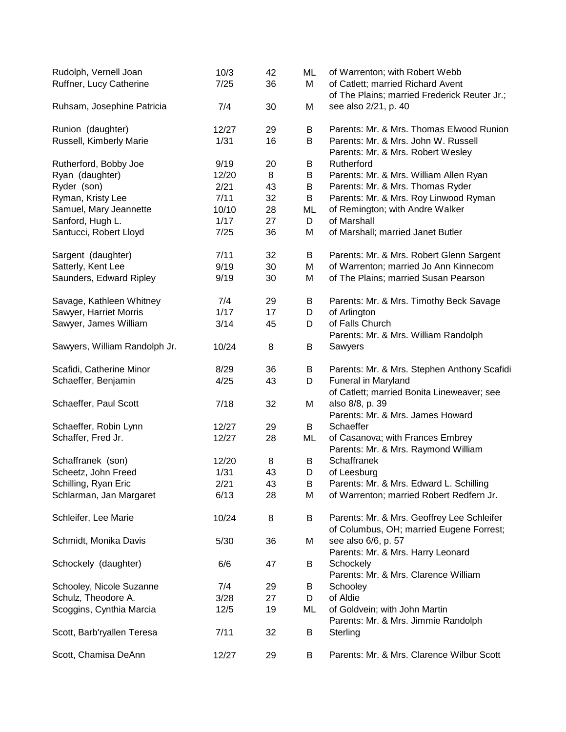| Rudolph, Vernell Joan<br>Ruffner, Lucy Catherine | 10/3<br>7/25 | 42<br>36 | ML<br>M | of Warrenton; with Robert Webb<br>of Catlett; married Richard Avent                    |
|--------------------------------------------------|--------------|----------|---------|----------------------------------------------------------------------------------------|
|                                                  |              |          |         | of The Plains; married Frederick Reuter Jr.;                                           |
| Ruhsam, Josephine Patricia                       | 7/4          | 30       | M       | see also 2/21, p. 40                                                                   |
| Runion (daughter)                                | 12/27        | 29       | B       | Parents: Mr. & Mrs. Thomas Elwood Runion                                               |
| Russell, Kimberly Marie                          | 1/31         | 16       | B       | Parents: Mr. & Mrs. John W. Russell<br>Parents: Mr. & Mrs. Robert Wesley               |
| Rutherford, Bobby Joe                            | 9/19         | 20       | B       | Rutherford                                                                             |
| Ryan (daughter)                                  | 12/20        | 8        | Β       | Parents: Mr. & Mrs. William Allen Ryan                                                 |
| Ryder (son)                                      | 2/21         | 43       | В       | Parents: Mr. & Mrs. Thomas Ryder                                                       |
| Ryman, Kristy Lee                                | 7/11         | 32       | B       | Parents: Mr. & Mrs. Roy Linwood Ryman                                                  |
| Samuel, Mary Jeannette                           | 10/10        | 28       | ML      | of Remington; with Andre Walker                                                        |
| Sanford, Hugh L.                                 | 1/17         | 27       | D       | of Marshall                                                                            |
| Santucci, Robert Lloyd                           | 7/25         | 36       | M       | of Marshall; married Janet Butler                                                      |
| Sargent (daughter)                               | 7/11         | 32       | В       | Parents: Mr. & Mrs. Robert Glenn Sargent                                               |
| Satterly, Kent Lee                               | 9/19         | 30       | M       | of Warrenton; married Jo Ann Kinnecom                                                  |
| Saunders, Edward Ripley                          | 9/19         | 30       | M       | of The Plains; married Susan Pearson                                                   |
| Savage, Kathleen Whitney                         | 7/4          | 29       | Β       | Parents: Mr. & Mrs. Timothy Beck Savage                                                |
| Sawyer, Harriet Morris                           | 1/17         | 17       | D       | of Arlington                                                                           |
| Sawyer, James William                            | 3/14         | 45       | D       | of Falls Church                                                                        |
|                                                  |              |          |         | Parents: Mr. & Mrs. William Randolph                                                   |
| Sawyers, William Randolph Jr.                    | 10/24        | 8        | B       | Sawyers                                                                                |
| Scafidi, Catherine Minor                         | 8/29         | 36       | Β       | Parents: Mr. & Mrs. Stephen Anthony Scafidi                                            |
| Schaeffer, Benjamin                              | 4/25         | 43       | D       | Funeral in Maryland                                                                    |
|                                                  |              |          |         | of Catlett; married Bonita Lineweaver; see                                             |
| Schaeffer, Paul Scott                            | 7/18         | 32       | M       | also 8/8, p. 39<br>Parents: Mr. & Mrs. James Howard                                    |
| Schaeffer, Robin Lynn                            | 12/27        | 29       | B       | Schaeffer                                                                              |
| Schaffer, Fred Jr.                               | 12/27        | 28       | ML      | of Casanova; with Frances Embrey                                                       |
|                                                  |              |          |         | Parents: Mr. & Mrs. Raymond William                                                    |
| Schaffranek (son)                                | 12/20        | 8        | B       | Schaffranek                                                                            |
| Scheetz, John Freed                              | 1/31         | 43       | D       | of Leesburg                                                                            |
| Schilling, Ryan Eric                             | 2/21         | 43       | B       | Parents: Mr. & Mrs. Edward L. Schilling                                                |
| Schlarman, Jan Margaret                          | 6/13         | 28       | M       | of Warrenton; married Robert Redfern Jr.                                               |
|                                                  |              |          |         |                                                                                        |
| Schleifer, Lee Marie                             | 10/24        | 8        | B       | Parents: Mr. & Mrs. Geoffrey Lee Schleifer<br>of Columbus, OH; married Eugene Forrest; |
| Schmidt, Monika Davis                            | 5/30         | 36       | M       | see also 6/6, p. 57                                                                    |
|                                                  |              |          |         | Parents: Mr. & Mrs. Harry Leonard                                                      |
| Schockely (daughter)                             | 6/6          | 47       | B       | Schockely                                                                              |
|                                                  |              |          |         | Parents: Mr. & Mrs. Clarence William                                                   |
| Schooley, Nicole Suzanne                         | 7/4          | 29       | B       | Schooley                                                                               |
| Schulz, Theodore A.                              | 3/28         | 27       | D       | of Aldie                                                                               |
| Scoggins, Cynthia Marcia                         | 12/5         | 19       | ML      | of Goldvein; with John Martin                                                          |
|                                                  |              |          |         | Parents: Mr. & Mrs. Jimmie Randolph                                                    |
| Scott, Barb'ryallen Teresa                       | 7/11         | 32       | B       | Sterling                                                                               |
| Scott, Chamisa DeAnn                             | 12/27        | 29       | B       | Parents: Mr. & Mrs. Clarence Wilbur Scott                                              |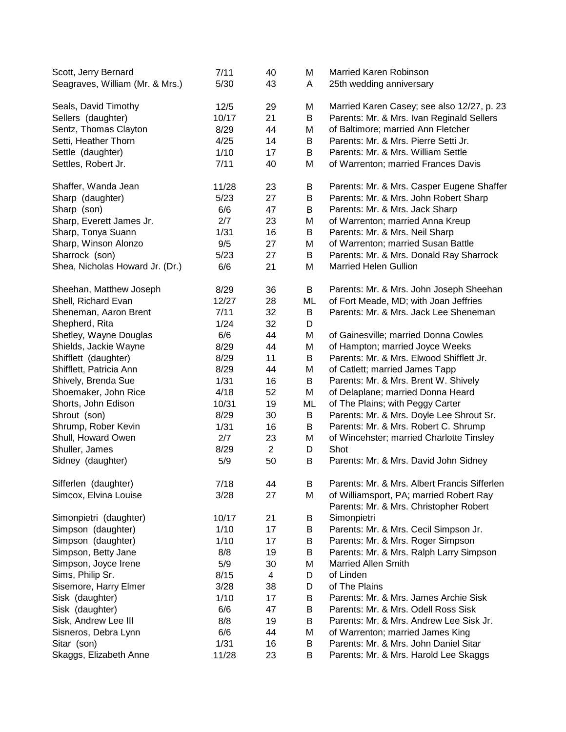| Scott, Jerry Bernard<br>Seagraves, William (Mr. & Mrs.) | 7/11<br>5/30 | 40<br>43       | Μ<br>A | Married Karen Robinson<br>25th wedding anniversary                                      |
|---------------------------------------------------------|--------------|----------------|--------|-----------------------------------------------------------------------------------------|
|                                                         | 12/5         | 29             |        |                                                                                         |
| Seals, David Timothy                                    | 10/17        | 21             | Μ<br>B | Married Karen Casey; see also 12/27, p. 23<br>Parents: Mr. & Mrs. Ivan Reginald Sellers |
| Sellers (daughter)                                      |              |                |        |                                                                                         |
| Sentz, Thomas Clayton                                   | 8/29         | 44             | M      | of Baltimore; married Ann Fletcher                                                      |
| Setti, Heather Thorn                                    | 4/25         | 14             | B      | Parents: Mr. & Mrs. Pierre Setti Jr.                                                    |
| Settle (daughter)                                       | 1/10         | 17             | B      | Parents: Mr. & Mrs. William Settle                                                      |
| Settles, Robert Jr.                                     | 7/11         | 40             | M      | of Warrenton; married Frances Davis                                                     |
| Shaffer, Wanda Jean                                     | 11/28        | 23             | B      | Parents: Mr. & Mrs. Casper Eugene Shaffer                                               |
| Sharp (daughter)                                        | 5/23         | 27             | B      | Parents: Mr. & Mrs. John Robert Sharp                                                   |
| Sharp (son)                                             | 6/6          | 47             | B      | Parents: Mr. & Mrs. Jack Sharp                                                          |
| Sharp, Everett James Jr.                                | 2/7          | 23             | Μ      | of Warrenton; married Anna Kreup                                                        |
| Sharp, Tonya Suann                                      | 1/31         | 16             | B      | Parents: Mr. & Mrs. Neil Sharp                                                          |
| Sharp, Winson Alonzo                                    | 9/5          | 27             | Μ      | of Warrenton; married Susan Battle                                                      |
| Sharrock (son)                                          | 5/23         | 27             | B      | Parents: Mr. & Mrs. Donald Ray Sharrock                                                 |
| Shea, Nicholas Howard Jr. (Dr.)                         | 6/6          | 21             | M      | <b>Married Helen Gullion</b>                                                            |
| Sheehan, Matthew Joseph                                 | 8/29         | 36             | B      | Parents: Mr. & Mrs. John Joseph Sheehan                                                 |
| Shell, Richard Evan                                     | 12/27        | 28             | ML     | of Fort Meade, MD; with Joan Jeffries                                                   |
| Sheneman, Aaron Brent                                   | 7/11         | 32             | B      | Parents: Mr. & Mrs. Jack Lee Sheneman                                                   |
| Shepherd, Rita                                          | 1/24         | 32             | D      |                                                                                         |
| Shetley, Wayne Douglas                                  | 6/6          | 44             | M      | of Gainesville; married Donna Cowles                                                    |
| Shields, Jackie Wayne                                   | 8/29         | 44             | M      | of Hampton; married Joyce Weeks                                                         |
| Shifflett (daughter)                                    | 8/29         | 11             | B      | Parents: Mr. & Mrs. Elwood Shifflett Jr.                                                |
| Shifflett, Patricia Ann                                 | 8/29         | 44             | Μ      | of Catlett; married James Tapp                                                          |
| Shively, Brenda Sue                                     | 1/31         | 16             | B      | Parents: Mr. & Mrs. Brent W. Shively                                                    |
| Shoemaker, John Rice                                    | 4/18         | 52             | M      | of Delaplane; married Donna Heard                                                       |
| Shorts, John Edison                                     | 10/31        | 19             | ML     | of The Plains; with Peggy Carter                                                        |
| Shrout (son)                                            | 8/29         | 30             | B      | Parents: Mr. & Mrs. Doyle Lee Shrout Sr.                                                |
| Shrump, Rober Kevin                                     | 1/31         | 16             | B      | Parents: Mr. & Mrs. Robert C. Shrump                                                    |
| Shull, Howard Owen                                      | 2/7          | 23             | Μ      | of Wincehster; married Charlotte Tinsley                                                |
| Shuller, James                                          | 8/29         | $\overline{2}$ | D      | Shot                                                                                    |
| Sidney (daughter)                                       | 5/9          | 50             | B      | Parents: Mr. & Mrs. David John Sidney                                                   |
|                                                         |              |                |        |                                                                                         |
| Sifferlen (daughter)                                    | 7/18         | 44             | В      | Parents: Mr. & Mrs. Albert Francis Sifferlen                                            |
| Simcox, Elvina Louise                                   | 3/28         | 27             | Μ      | of Williamsport, PA; married Robert Ray                                                 |
|                                                         |              |                |        | Parents: Mr. & Mrs. Christopher Robert                                                  |
| Simonpietri (daughter)                                  | 10/17        | 21             | Β      | Simonpietri                                                                             |
| Simpson (daughter)                                      | 1/10         | 17             | B      | Parents: Mr. & Mrs. Cecil Simpson Jr.                                                   |
| Simpson (daughter)                                      | 1/10         | 17             | B      | Parents: Mr. & Mrs. Roger Simpson                                                       |
| Simpson, Betty Jane                                     | 8/8          | 19             | B      | Parents: Mr. & Mrs. Ralph Larry Simpson                                                 |
| Simpson, Joyce Irene                                    | 5/9          | 30             | M      | <b>Married Allen Smith</b>                                                              |
| Sims, Philip Sr.                                        | 8/15         | 4              | D      | of Linden                                                                               |
| Sisemore, Harry Elmer                                   | 3/28         | 38             | D      | of The Plains                                                                           |
| Sisk (daughter)                                         | 1/10         | 17             | B      | Parents: Mr. & Mrs. James Archie Sisk                                                   |
| Sisk (daughter)                                         | 6/6          | 47             | B      | Parents: Mr. & Mrs. Odell Ross Sisk                                                     |
| Sisk, Andrew Lee III                                    | 8/8          | 19             | В      | Parents: Mr. & Mrs. Andrew Lee Sisk Jr.                                                 |
| Sisneros, Debra Lynn                                    | 6/6          | 44             | Μ      | of Warrenton; married James King                                                        |
| Sitar (son)                                             | 1/31         | 16             | B      | Parents: Mr. & Mrs. John Daniel Sitar                                                   |
| Skaggs, Elizabeth Anne                                  | 11/28        | 23             | B      | Parents: Mr. & Mrs. Harold Lee Skaggs                                                   |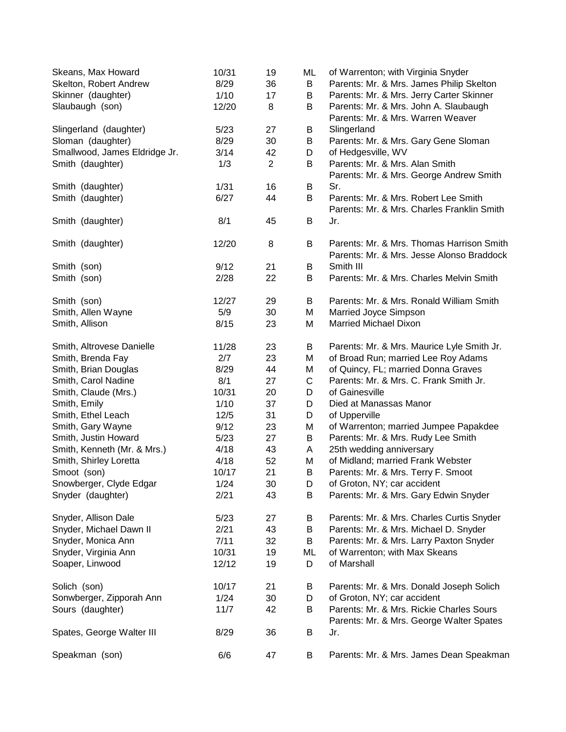| Skeans, Max Howard<br>Skelton, Robert Andrew | 10/31<br>8/29 | 19<br>36       | ML<br>B     | of Warrenton; with Virginia Snyder<br>Parents: Mr. & Mrs. James Philip Skelton |
|----------------------------------------------|---------------|----------------|-------------|--------------------------------------------------------------------------------|
| Skinner (daughter)                           | 1/10          | 17             | B           | Parents: Mr. & Mrs. Jerry Carter Skinner                                       |
| Slaubaugh (son)                              | 12/20         | 8              | B           | Parents: Mr. & Mrs. John A. Slaubaugh                                          |
|                                              |               |                |             | Parents: Mr. & Mrs. Warren Weaver                                              |
|                                              |               |                |             |                                                                                |
| Slingerland (daughter)                       | 5/23          | 27             | B           | Slingerland                                                                    |
| Sloman (daughter)                            | 8/29          | 30             | B           | Parents: Mr. & Mrs. Gary Gene Sloman                                           |
| Smallwood, James Eldridge Jr.                | 3/14          | 42             | D           | of Hedgesville, WV                                                             |
| Smith (daughter)                             | 1/3           | $\overline{2}$ | B           | Parents: Mr. & Mrs. Alan Smith                                                 |
|                                              |               |                |             | Parents: Mr. & Mrs. George Andrew Smith                                        |
| Smith (daughter)                             | 1/31          | 16             | B           | Sr.                                                                            |
| Smith (daughter)                             | 6/27          | 44             | В           | Parents: Mr. & Mrs. Robert Lee Smith                                           |
|                                              |               |                |             | Parents: Mr. & Mrs. Charles Franklin Smith                                     |
| Smith (daughter)                             | 8/1           | 45             | B           | Jr.                                                                            |
| Smith (daughter)                             | 12/20         | 8              | B           | Parents: Mr. & Mrs. Thomas Harrison Smith                                      |
|                                              |               |                |             | Parents: Mr. & Mrs. Jesse Alonso Braddock                                      |
| Smith (son)                                  | 9/12          | 21             | B           | Smith III                                                                      |
| Smith (son)                                  | 2/28          | 22             | В           | Parents: Mr. & Mrs. Charles Melvin Smith                                       |
|                                              |               |                |             |                                                                                |
| Smith (son)                                  | 12/27         | 29             | B           | Parents: Mr. & Mrs. Ronald William Smith                                       |
| Smith, Allen Wayne                           | 5/9           | 30             | M           | Married Joyce Simpson                                                          |
| Smith, Allison                               | 8/15          | 23             | M           | <b>Married Michael Dixon</b>                                                   |
|                                              |               |                |             |                                                                                |
| Smith, Altrovese Danielle                    | 11/28         | 23             | B           | Parents: Mr. & Mrs. Maurice Lyle Smith Jr.                                     |
| Smith, Brenda Fay                            | 2/7           | 23             | M           | of Broad Run; married Lee Roy Adams                                            |
| Smith, Brian Douglas                         | 8/29          | 44             | M           | of Quincy, FL; married Donna Graves                                            |
| Smith, Carol Nadine                          | 8/1           | 27             | $\mathsf C$ | Parents: Mr. & Mrs. C. Frank Smith Jr.                                         |
| Smith, Claude (Mrs.)                         | 10/31         | 20             | D           | of Gainesville                                                                 |
| Smith, Emily                                 | 1/10          | 37             | D           | Died at Manassas Manor                                                         |
| Smith, Ethel Leach                           | 12/5          | 31             | D           | of Upperville                                                                  |
| Smith, Gary Wayne                            | 9/12          | 23             | M           | of Warrenton; married Jumpee Papakdee                                          |
| Smith, Justin Howard                         | 5/23          | 27             | B           | Parents: Mr. & Mrs. Rudy Lee Smith                                             |
|                                              |               |                |             |                                                                                |
| Smith, Kenneth (Mr. & Mrs.)                  | 4/18          | 43             | A           | 25th wedding anniversary                                                       |
| Smith, Shirley Loretta                       | 4/18          | 52             | M           | of Midland; married Frank Webster                                              |
| Smoot (son)                                  | 10/17         | 21             | B           | Parents: Mr. & Mrs. Terry F. Smoot                                             |
| Snowberger, Clyde Edgar                      | 1/24          | 30             | D           | of Groton, NY; car accident                                                    |
| Snyder (daughter)                            | 2/21          | 43             | B           | Parents: Mr. & Mrs. Gary Edwin Snyder                                          |
| Snyder, Allison Dale                         | 5/23          | 27             | Β           | Parents: Mr. & Mrs. Charles Curtis Snyder                                      |
| Snyder, Michael Dawn II                      | 2/21          | 43             | B           | Parents: Mr. & Mrs. Michael D. Snyder                                          |
| Snyder, Monica Ann                           | 7/11          | 32             | B           | Parents: Mr. & Mrs. Larry Paxton Snyder                                        |
| Snyder, Virginia Ann                         | 10/31         | 19             | ML          | of Warrenton; with Max Skeans                                                  |
| Soaper, Linwood                              | 12/12         | 19             | D           | of Marshall                                                                    |
|                                              |               |                |             |                                                                                |
| Solich (son)                                 | 10/17         | 21             | В           | Parents: Mr. & Mrs. Donald Joseph Solich                                       |
| Sonwberger, Zipporah Ann                     | 1/24          | 30             | D           | of Groton, NY; car accident                                                    |
| Sours (daughter)                             | 11/7          | 42             | В           | Parents: Mr. & Mrs. Rickie Charles Sours                                       |
|                                              |               |                |             | Parents: Mr. & Mrs. George Walter Spates                                       |
| Spates, George Walter III                    | 8/29          | 36             | B           | Jr.                                                                            |
|                                              |               |                |             |                                                                                |
| Speakman (son)                               | 6/6           | 47             | В           | Parents: Mr. & Mrs. James Dean Speakman                                        |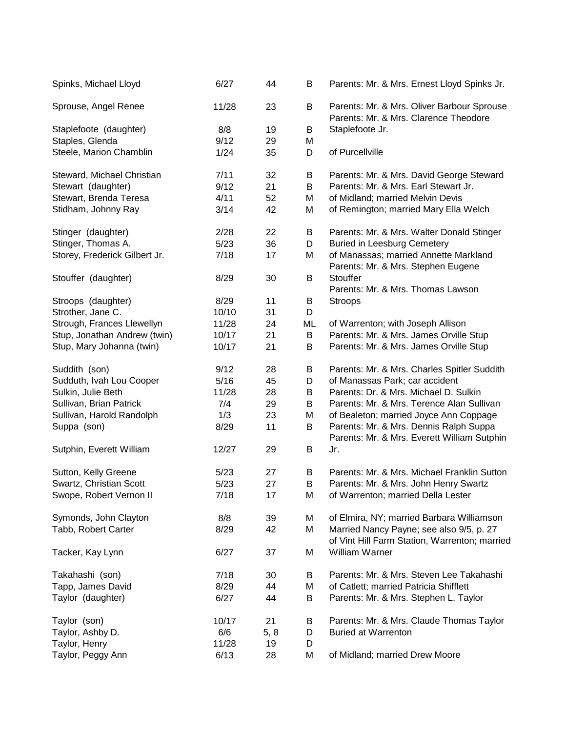| Spinks, Michael Lloyd         | 6/27  | 44   | B  | Parents: Mr. & Mrs. Ernest Lloyd Spinks Jr.                                               |
|-------------------------------|-------|------|----|-------------------------------------------------------------------------------------------|
| Sprouse, Angel Renee          | 11/28 | 23   | B  | Parents: Mr. & Mrs. Oliver Barbour Sprouse<br>Parents: Mr. & Mrs. Clarence Theodore       |
| Staplefoote (daughter)        | 8/8   | 19   | B  | Staplefoote Jr.                                                                           |
| Staples, Glenda               | 9/12  | 29   | M  |                                                                                           |
| Steele, Marion Chamblin       | 1/24  | 35   | D  | of Purcellville                                                                           |
| Steward, Michael Christian    | 7/11  | 32   | В  | Parents: Mr. & Mrs. David George Steward                                                  |
| Stewart (daughter)            | 9/12  | 21   | B  | Parents: Mr. & Mrs. Earl Stewart Jr.                                                      |
| Stewart, Brenda Teresa        | 4/11  | 52   | M  | of Midland; married Melvin Devis                                                          |
| Stidham, Johnny Ray           | 3/14  | 42   | M  | of Remington; married Mary Ella Welch                                                     |
| Stinger (daughter)            | 2/28  | 22   | B  | Parents: Mr. & Mrs. Walter Donald Stinger                                                 |
| Stinger, Thomas A.            | 5/23  | 36   | D  | <b>Buried in Leesburg Cemetery</b>                                                        |
| Storey, Frederick Gilbert Jr. | 7/18  | 17   | Μ  | of Manassas; married Annette Markland<br>Parents: Mr. & Mrs. Stephen Eugene               |
| Stouffer (daughter)           | 8/29  | 30   | В  | <b>Stouffer</b>                                                                           |
|                               |       |      |    | Parents: Mr. & Mrs. Thomas Lawson                                                         |
| Stroops (daughter)            | 8/29  | 11   | B  | <b>Stroops</b>                                                                            |
| Strother, Jane C.             | 10/10 | 31   | D  |                                                                                           |
| Strough, Frances Llewellyn    | 11/28 | 24   | ML | of Warrenton; with Joseph Allison                                                         |
| Stup, Jonathan Andrew (twin)  | 10/17 | 21   | B  | Parents: Mr. & Mrs. James Orville Stup                                                    |
| Stup, Mary Johanna (twin)     | 10/17 | 21   | B  | Parents: Mr. & Mrs. James Orville Stup                                                    |
| Suddith (son)                 | 9/12  | 28   | B  | Parents: Mr. & Mrs. Charles Spitler Suddith                                               |
| Sudduth, Ivah Lou Cooper      | 5/16  | 45   | D  | of Manassas Park; car accident                                                            |
| Sulkin, Julie Beth            | 11/28 | 28   | B  | Parents: Dr. & Mrs. Michael D. Sulkin                                                     |
| Sullivan, Brian Patrick       | 7/4   | 29   | B  | Parents: Mr. & Mrs. Terence Alan Sullivan                                                 |
| Sullivan, Harold Randolph     | 1/3   | 23   | Μ  | of Bealeton; married Joyce Ann Coppage                                                    |
| Suppa (son)                   | 8/29  | 11   | B  | Parents: Mr. & Mrs. Dennis Ralph Suppa                                                    |
|                               |       |      |    | Parents: Mr. & Mrs. Everett William Sutphin                                               |
| Sutphin, Everett William      | 12/27 | 29   | B  | Jr.                                                                                       |
| Sutton, Kelly Greene          | 5/23  | 27   | B  | Parents: Mr. & Mrs. Michael Franklin Sutton                                               |
| Swartz, Christian Scott       | 5/23  | 27   | B  | Parents: Mr. & Mrs. John Henry Swartz                                                     |
| Swope, Robert Vernon II       | 7/18  | 17   | M  | of Warrenton; married Della Lester                                                        |
| Symonds, John Clayton         | 8/8   | 39   | M  | of Elmira, NY; married Barbara Williamson                                                 |
| Tabb, Robert Carter           | 8/29  | 42   | Μ  | Married Nancy Payne; see also 9/5, p. 27<br>of Vint Hill Farm Station, Warrenton; married |
| Tacker, Kay Lynn              | 6/27  | 37   | M  | William Warner                                                                            |
| Takahashi (son)               | 7/18  | 30   | В  | Parents: Mr. & Mrs. Steven Lee Takahashi                                                  |
| Tapp, James David             | 8/29  | 44   | Μ  | of Catlett; married Patricia Shifflett                                                    |
| Taylor (daughter)             | 6/27  | 44   | B  | Parents: Mr. & Mrs. Stephen L. Taylor                                                     |
| Taylor (son)                  | 10/17 | 21   | B  | Parents: Mr. & Mrs. Claude Thomas Taylor                                                  |
| Taylor, Ashby D.              | 6/6   | 5, 8 | D  | <b>Buried at Warrenton</b>                                                                |
| Taylor, Henry                 | 11/28 | 19   | D  |                                                                                           |
| Taylor, Peggy Ann             | 6/13  | 28   | Μ  | of Midland; married Drew Moore                                                            |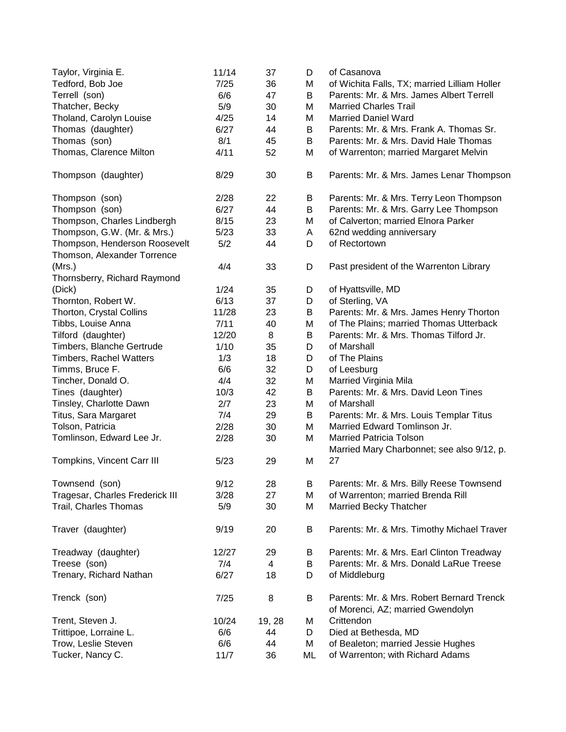| Taylor, Virginia E.<br>Tedford, Bob Joe                      | 11/14<br>7/25 | 37<br>36 | D<br>M | of Casanova<br>of Wichita Falls, TX; married Lilliam Holler                    |
|--------------------------------------------------------------|---------------|----------|--------|--------------------------------------------------------------------------------|
| Terrell (son)                                                | 6/6           | 47       | B      | Parents: Mr. & Mrs. James Albert Terrell                                       |
| Thatcher, Becky                                              | 5/9           | 30       | M      | <b>Married Charles Trail</b>                                                   |
| Tholand, Carolyn Louise                                      | 4/25          | 14       | M      | <b>Married Daniel Ward</b>                                                     |
| Thomas (daughter)                                            | 6/27          | 44       | B      | Parents: Mr. & Mrs. Frank A. Thomas Sr.                                        |
| Thomas (son)                                                 | 8/1           | 45       | B      | Parents: Mr. & Mrs. David Hale Thomas                                          |
|                                                              | 4/11          | 52       |        |                                                                                |
| Thomas, Clarence Milton                                      |               |          | M      | of Warrenton; married Margaret Melvin                                          |
| Thompson (daughter)                                          | 8/29          | 30       | B      | Parents: Mr. & Mrs. James Lenar Thompson                                       |
| Thompson (son)                                               | 2/28          | 22       | B      | Parents: Mr. & Mrs. Terry Leon Thompson                                        |
| Thompson (son)                                               | 6/27          | 44       | B      | Parents: Mr. & Mrs. Garry Lee Thompson                                         |
| Thompson, Charles Lindbergh                                  | 8/15          | 23       | M      | of Calverton; married Elnora Parker                                            |
| Thompson, G.W. (Mr. & Mrs.)                                  | 5/23          | 33       | Α      | 62nd wedding anniversary                                                       |
| Thompson, Henderson Roosevelt<br>Thomson, Alexander Torrence | 5/2           | 44       | D      | of Rectortown                                                                  |
| (Mrs.)                                                       | 4/4           | 33       | D      | Past president of the Warrenton Library                                        |
| Thornsberry, Richard Raymond                                 |               |          |        |                                                                                |
| (Dick)                                                       | 1/24          | 35       | D      | of Hyattsville, MD                                                             |
| Thornton, Robert W.                                          | 6/13          | 37       | D      | of Sterling, VA                                                                |
| Thorton, Crystal Collins                                     | 11/28         | 23       | B      | Parents: Mr. & Mrs. James Henry Thorton                                        |
| Tibbs, Louise Anna                                           | 7/11          | 40       | M      | of The Plains; married Thomas Utterback                                        |
| Tilford (daughter)                                           | 12/20         | 8        | B      | Parents: Mr. & Mrs. Thomas Tilford Jr.                                         |
| Timbers, Blanche Gertrude                                    | 1/10          | 35       | D      | of Marshall                                                                    |
| <b>Timbers, Rachel Watters</b>                               | 1/3           | 18       | D      | of The Plains                                                                  |
| Timms, Bruce F.                                              | 6/6           | 32       | D      | of Leesburg                                                                    |
| Tincher, Donald O.                                           | 4/4           | 32       | M      | Married Virginia Mila                                                          |
| Tines (daughter)                                             | 10/3          | 42       | B      | Parents: Mr. & Mrs. David Leon Tines                                           |
| Tinsley, Charlotte Dawn                                      | 2/7           | 23       | M      | of Marshall                                                                    |
| Titus, Sara Margaret                                         | 7/4           | 29       | B      | Parents: Mr. & Mrs. Louis Templar Titus                                        |
| Tolson, Patricia                                             | 2/28          | 30       | M      | Married Edward Tomlinson Jr.                                                   |
| Tomlinson, Edward Lee Jr.                                    | 2/28          | 30       | M      | <b>Married Patricia Tolson</b>                                                 |
|                                                              |               |          |        | Married Mary Charbonnet; see also 9/12, p.                                     |
| Tompkins, Vincent Carr III                                   | 5/23          | 29       | M      | 27                                                                             |
|                                                              |               |          |        |                                                                                |
| Townsend (son)                                               | 9/12          | 28       | B      | Parents: Mr. & Mrs. Billy Reese Townsend                                       |
| Tragesar, Charles Frederick III                              | 3/28          | 27       | М      | of Warrenton; married Brenda Rill                                              |
| Trail, Charles Thomas                                        | 5/9           | 30       | M      | <b>Married Becky Thatcher</b>                                                  |
| Traver (daughter)                                            | 9/19          | 20       | Β      | Parents: Mr. & Mrs. Timothy Michael Traver                                     |
| Treadway (daughter)                                          | 12/27         | 29       | В      | Parents: Mr. & Mrs. Earl Clinton Treadway                                      |
| Treese (son)                                                 | 7/4           | 4        | B      | Parents: Mr. & Mrs. Donald LaRue Treese                                        |
| Trenary, Richard Nathan                                      | 6/27          | 18       | D      | of Middleburg                                                                  |
| Trenck (son)                                                 | 7/25          | 8        | B      | Parents: Mr. & Mrs. Robert Bernard Trenck<br>of Morenci, AZ; married Gwendolyn |
| Trent, Steven J.                                             | 10/24         | 19, 28   | М      | Crittendon                                                                     |
| Trittipoe, Lorraine L.                                       | 6/6           | 44       | D      | Died at Bethesda, MD                                                           |
| Trow, Leslie Steven                                          | 6/6           | 44       | M      | of Bealeton; married Jessie Hughes                                             |
| Tucker, Nancy C.                                             | 11/7          | 36       | ML     | of Warrenton; with Richard Adams                                               |
|                                                              |               |          |        |                                                                                |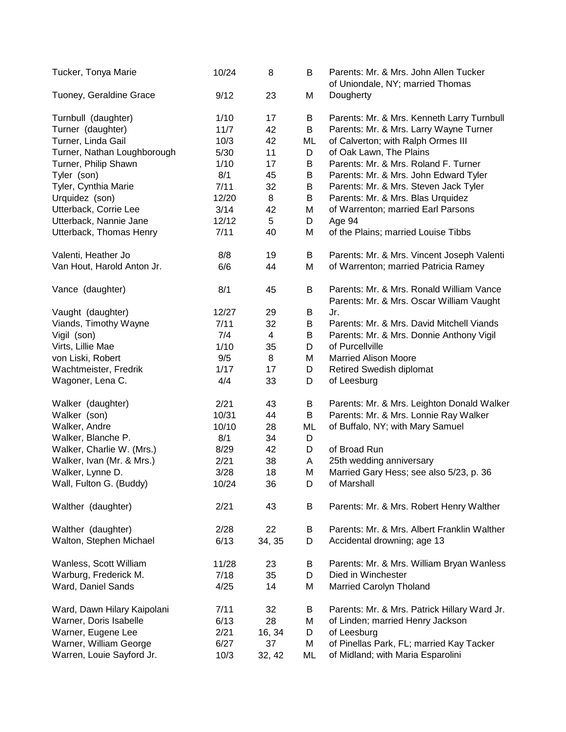| Tucker, Tonya Marie         | 10/24  | 8              | B  | Parents: Mr. & Mrs. John Allen Tucker<br>of Uniondale, NY; married Thomas            |
|-----------------------------|--------|----------------|----|--------------------------------------------------------------------------------------|
| Tuoney, Geraldine Grace     | 9/12   | 23             | M  | Dougherty                                                                            |
| Turnbull (daughter)         | 1/10   | 17             | B  | Parents: Mr. & Mrs. Kenneth Larry Turnbull                                           |
| Turner (daughter)           | $11/7$ | 42             | B  | Parents: Mr. & Mrs. Larry Wayne Turner                                               |
| Turner, Linda Gail          | 10/3   | 42             | ML | of Calverton; with Ralph Ormes III                                                   |
| Turner, Nathan Loughborough | 5/30   | 11             | D  | of Oak Lawn, The Plains                                                              |
| Turner, Philip Shawn        | 1/10   | 17             | B  | Parents: Mr. & Mrs. Roland F. Turner                                                 |
| Tyler (son)                 | 8/1    | 45             | B  | Parents: Mr. & Mrs. John Edward Tyler                                                |
| Tyler, Cynthia Marie        | 7/11   | 32             | B  | Parents: Mr. & Mrs. Steven Jack Tyler                                                |
| Urquidez (son)              | 12/20  | 8              | B  | Parents: Mr. & Mrs. Blas Urquidez                                                    |
| Utterback, Corrie Lee       | 3/14   | 42             | M  | of Warrenton; married Earl Parsons                                                   |
| Utterback, Nannie Jane      | 12/12  | 5              | D  | Age 94                                                                               |
| Utterback, Thomas Henry     | 7/11   | 40             | M  | of the Plains; married Louise Tibbs                                                  |
| Valenti, Heather Jo         | 8/8    | 19             | B  | Parents: Mr. & Mrs. Vincent Joseph Valenti                                           |
| Van Hout, Harold Anton Jr.  | 6/6    | 44             | M  | of Warrenton; married Patricia Ramey                                                 |
| Vance (daughter)            | 8/1    | 45             | B  | Parents: Mr. & Mrs. Ronald William Vance<br>Parents: Mr. & Mrs. Oscar William Vaught |
| Vaught (daughter)           | 12/27  | 29             | Β  | Jr.                                                                                  |
| Viands, Timothy Wayne       | 7/11   | 32             | B  | Parents: Mr. & Mrs. David Mitchell Viands                                            |
| Vigil (son)                 | 7/4    | $\overline{4}$ | B  | Parents: Mr. & Mrs. Donnie Anthony Vigil                                             |
| Virts, Lillie Mae           | 1/10   | 35             | D  | of Purcellville                                                                      |
| von Liski, Robert           | 9/5    | 8              | M  | <b>Married Alison Moore</b>                                                          |
| Wachtmeister, Fredrik       | 1/17   | 17             | D  | Retired Swedish diplomat                                                             |
| Wagoner, Lena C.            | 4/4    | 33             | D  | of Leesburg                                                                          |
| Walker (daughter)           | 2/21   | 43             | B  | Parents: Mr. & Mrs. Leighton Donald Walker                                           |
| Walker (son)                | 10/31  | 44             | B  | Parents: Mr. & Mrs. Lonnie Ray Walker                                                |
| Walker, Andre               | 10/10  | 28             | ML | of Buffalo, NY; with Mary Samuel                                                     |
| Walker, Blanche P.          | 8/1    | 34             | D  |                                                                                      |
| Walker, Charlie W. (Mrs.)   | 8/29   | 42             | D  | of Broad Run                                                                         |
| Walker, Ivan (Mr. & Mrs.)   | 2/21   | 38             | A  | 25th wedding anniversary                                                             |
| Walker, Lynne D.            | 3/28   | 18             | M  | Married Gary Hess; see also 5/23, p. 36                                              |
| Wall, Fulton G. (Buddy)     | 10/24  | 36             | D  | of Marshall                                                                          |
| Walther (daughter)          | 2/21   | 43             | Β  | Parents: Mr. & Mrs. Robert Henry Walther                                             |
| Walther (daughter)          | 2/28   | 22             | B  | Parents: Mr. & Mrs. Albert Franklin Walther                                          |
| Walton, Stephen Michael     | 6/13   | 34, 35         | D  | Accidental drowning; age 13                                                          |
| Wanless, Scott William      | 11/28  | 23             | Β  | Parents: Mr. & Mrs. William Bryan Wanless                                            |
| Warburg, Frederick M.       | 7/18   | 35             | D  | Died in Winchester                                                                   |
| Ward, Daniel Sands          | 4/25   | 14             | M  | Married Carolyn Tholand                                                              |
| Ward, Dawn Hilary Kaipolani | 7/11   | 32             | B  | Parents: Mr. & Mrs. Patrick Hillary Ward Jr.                                         |
| Warner, Doris Isabelle      | 6/13   | 28             | M  | of Linden; married Henry Jackson                                                     |
| Warner, Eugene Lee          | 2/21   | 16, 34         | D  | of Leesburg                                                                          |
| Warner, William George      | 6/27   | 37             | M  | of Pinellas Park, FL; married Kay Tacker                                             |
| Warren, Louie Sayford Jr.   | 10/3   | 32, 42         | ML | of Midland; with Maria Esparolini                                                    |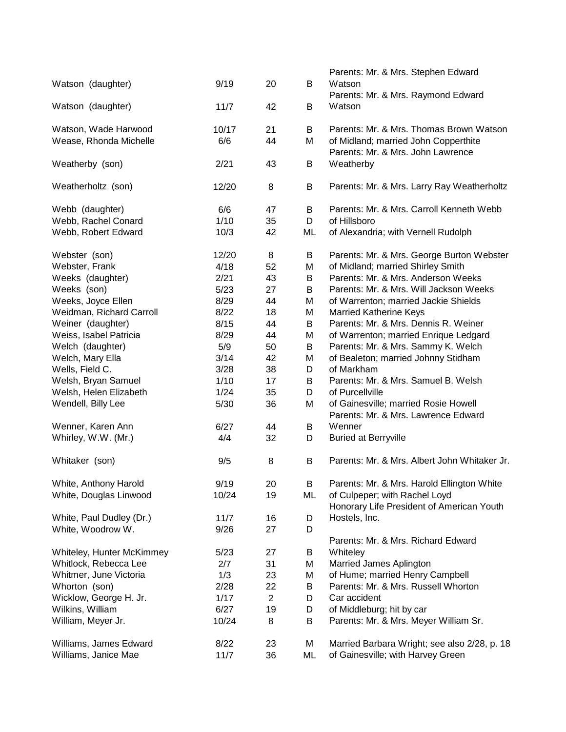|                           |       |                |    | Parents: Mr. & Mrs. Stephen Edward           |
|---------------------------|-------|----------------|----|----------------------------------------------|
| Watson (daughter)         | 9/19  | 20             | B  | Watson                                       |
|                           |       |                |    | Parents: Mr. & Mrs. Raymond Edward           |
| Watson (daughter)         | 11/7  | 42             | B  | Watson                                       |
|                           |       |                |    |                                              |
| Watson, Wade Harwood      | 10/17 | 21             | B  | Parents: Mr. & Mrs. Thomas Brown Watson      |
| Wease, Rhonda Michelle    | 6/6   | 44             | M  | of Midland; married John Copperthite         |
|                           |       |                |    | Parents: Mr. & Mrs. John Lawrence            |
| Weatherby (son)           | 2/21  | 43             | В  | Weatherby                                    |
|                           |       |                |    |                                              |
| Weatherholtz (son)        | 12/20 | 8              | В  | Parents: Mr. & Mrs. Larry Ray Weatherholtz   |
|                           |       |                |    |                                              |
| Webb (daughter)           | 6/6   | 47             | B  | Parents: Mr. & Mrs. Carroll Kenneth Webb     |
| Webb, Rachel Conard       | 1/10  | 35             | D  | of Hillsboro                                 |
|                           |       |                |    |                                              |
| Webb, Robert Edward       | 10/3  | 42             | ML | of Alexandria; with Vernell Rudolph          |
| Webster (son)             | 12/20 | 8              | B  | Parents: Mr. & Mrs. George Burton Webster    |
| Webster, Frank            | 4/18  | 52             | M  | of Midland; married Shirley Smith            |
|                           |       |                |    | Parents: Mr. & Mrs. Anderson Weeks           |
| Weeks (daughter)          | 2/21  | 43             | B  |                                              |
| Weeks (son)               | 5/23  | 27             | B  | Parents: Mr. & Mrs. Will Jackson Weeks       |
| Weeks, Joyce Ellen        | 8/29  | 44             | M  | of Warrenton; married Jackie Shields         |
| Weidman, Richard Carroll  | 8/22  | 18             | M  | <b>Married Katherine Keys</b>                |
| Weiner (daughter)         | 8/15  | 44             | B  | Parents: Mr. & Mrs. Dennis R. Weiner         |
| Weiss, Isabel Patricia    | 8/29  | 44             | M  | of Warrenton; married Enrique Ledgard        |
| Welch (daughter)          | 5/9   | 50             | B  | Parents: Mr. & Mrs. Sammy K. Welch           |
| Welch, Mary Ella          | 3/14  | 42             | M  | of Bealeton; married Johnny Stidham          |
| Wells, Field C.           | 3/28  | 38             | D  | of Markham                                   |
| Welsh, Bryan Samuel       | 1/10  | 17             | B  | Parents: Mr. & Mrs. Samuel B. Welsh          |
| Welsh, Helen Elizabeth    | 1/24  | 35             | D  | of Purcellville                              |
| Wendell, Billy Lee        | 5/30  | 36             | M  | of Gainesville; married Rosie Howell         |
|                           |       |                |    | Parents: Mr. & Mrs. Lawrence Edward          |
| Wenner, Karen Ann         | 6/27  | 44             | B  | Wenner                                       |
| Whirley, W.W. (Mr.)       | 4/4   | 32             | D  | <b>Buried at Berryville</b>                  |
|                           |       |                |    |                                              |
| Whitaker (son)            | 9/5   | 8              | B  | Parents: Mr. & Mrs. Albert John Whitaker Jr. |
|                           |       |                |    |                                              |
| White, Anthony Harold     | 9/19  | 20             | B  | Parents: Mr. & Mrs. Harold Ellington White   |
| White, Douglas Linwood    | 10/24 | 19             | ML | of Culpeper; with Rachel Loyd                |
|                           |       |                |    | Honorary Life President of American Youth    |
|                           | 11/7  | 16             |    | Hostels, Inc.                                |
| White, Paul Dudley (Dr.)  |       |                | D  |                                              |
| White, Woodrow W.         | 9/26  | 27             | D  |                                              |
|                           |       |                |    | Parents: Mr. & Mrs. Richard Edward           |
| Whiteley, Hunter McKimmey | 5/23  | 27             | B  | Whiteley                                     |
| Whitlock, Rebecca Lee     | 2/7   | 31             | Μ  | Married James Aplington                      |
| Whitmer, June Victoria    | 1/3   | 23             | M  | of Hume; married Henry Campbell              |
| Whorton (son)             | 2/28  | 22             | B  | Parents: Mr. & Mrs. Russell Whorton          |
| Wicklow, George H. Jr.    | 1/17  | $\overline{2}$ | D  | Car accident                                 |
| Wilkins, William          | 6/27  | 19             | D  | of Middleburg; hit by car                    |
| William, Meyer Jr.        | 10/24 | 8              | B  | Parents: Mr. & Mrs. Meyer William Sr.        |
|                           |       |                |    |                                              |
| Williams, James Edward    | 8/22  | 23             | M  | Married Barbara Wright; see also 2/28, p. 18 |
| Williams, Janice Mae      | 11/7  | 36             | ML | of Gainesville; with Harvey Green            |
|                           |       |                |    |                                              |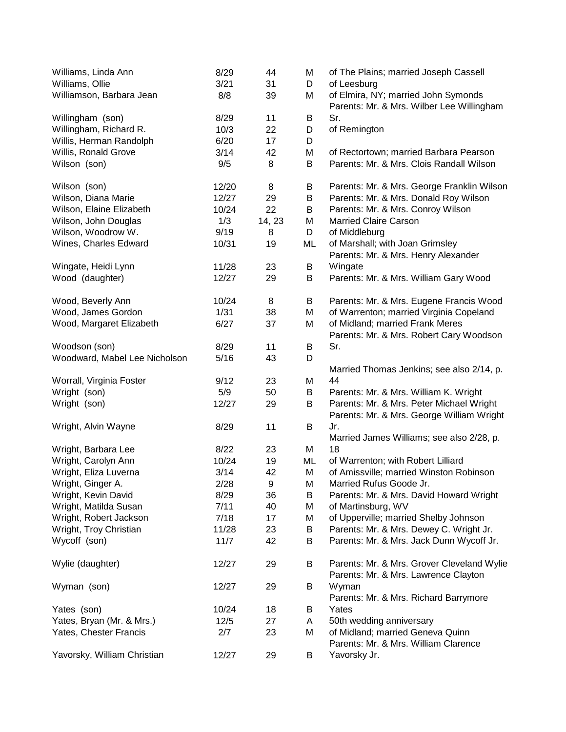| Williams, Linda Ann                         | 8/29<br>3/21 | 44<br>31 | M      | of The Plains; married Joseph Cassell<br>of Leesburg                               |
|---------------------------------------------|--------------|----------|--------|------------------------------------------------------------------------------------|
| Williams, Ollie<br>Williamson, Barbara Jean | 8/8          | 39       | D<br>M |                                                                                    |
|                                             |              |          |        | of Elmira, NY; married John Symonds<br>Parents: Mr. & Mrs. Wilber Lee Willingham   |
| Willingham (son)                            | 8/29         | 11       | B      | Sr.                                                                                |
| Willingham, Richard R.                      | 10/3         | 22       | D      | of Remington                                                                       |
| Willis, Herman Randolph                     | 6/20         | 17       | D      |                                                                                    |
| Willis, Ronald Grove                        | 3/14         | 42       | M      | of Rectortown; married Barbara Pearson                                             |
| Wilson (son)                                | 9/5          | 8        | B      | Parents: Mr. & Mrs. Clois Randall Wilson                                           |
| Wilson (son)                                | 12/20        | 8        | B      | Parents: Mr. & Mrs. George Franklin Wilson                                         |
| Wilson, Diana Marie                         | 12/27        | 29       | B      | Parents: Mr. & Mrs. Donald Roy Wilson                                              |
| Wilson, Elaine Elizabeth                    | 10/24        | 22       | B      | Parents: Mr. & Mrs. Conroy Wilson                                                  |
| Wilson, John Douglas                        | 1/3          | 14, 23   | M      | <b>Married Claire Carson</b>                                                       |
| Wilson, Woodrow W.                          | 9/19         | 8        | D      | of Middleburg                                                                      |
| Wines, Charles Edward                       | 10/31        | 19       | ML     | of Marshall; with Joan Grimsley<br>Parents: Mr. & Mrs. Henry Alexander             |
| Wingate, Heidi Lynn                         | 11/28        | 23       | B      | Wingate                                                                            |
| Wood (daughter)                             | 12/27        | 29       | B      | Parents: Mr. & Mrs. William Gary Wood                                              |
| Wood, Beverly Ann                           | 10/24        | 8        | B      | Parents: Mr. & Mrs. Eugene Francis Wood                                            |
| Wood, James Gordon                          | 1/31         | 38       | M      | of Warrenton; married Virginia Copeland                                            |
| Wood, Margaret Elizabeth                    | 6/27         | 37       | M      | of Midland; married Frank Meres<br>Parents: Mr. & Mrs. Robert Cary Woodson         |
| Woodson (son)                               | 8/29         | 11       | B      | Sr.                                                                                |
| Woodward, Mabel Lee Nicholson               | 5/16         | 43       | D      |                                                                                    |
|                                             |              |          |        | Married Thomas Jenkins; see also 2/14, p.                                          |
| Worrall, Virginia Foster                    | 9/12         | 23       | M      | 44                                                                                 |
| Wright (son)                                | 5/9          | 50       | B      | Parents: Mr. & Mrs. William K. Wright                                              |
| Wright (son)                                | 12/27        | 29       | B      | Parents: Mr. & Mrs. Peter Michael Wright                                           |
|                                             |              |          |        | Parents: Mr. & Mrs. George William Wright                                          |
| Wright, Alvin Wayne                         | 8/29         | 11       | B      | Jr.<br>Married James Williams; see also 2/28, p.                                   |
| Wright, Barbara Lee                         | 8/22         | 23       | М      | 18                                                                                 |
| Wright, Carolyn Ann                         | 10/24        | 19       | ML     | of Warrenton; with Robert Lilliard                                                 |
| Wright, Eliza Luverna                       | 3/14         | 42       | M      | of Amissville; married Winston Robinson                                            |
| Wright, Ginger A.                           | 2/28         | 9        | Μ      | Married Rufus Goode Jr.                                                            |
| Wright, Kevin David                         | 8/29         | 36       | B      | Parents: Mr. & Mrs. David Howard Wright                                            |
| Wright, Matilda Susan                       | 7/11         | 40       | Μ      | of Martinsburg, WV                                                                 |
| Wright, Robert Jackson                      | 7/18         | 17       | Μ      | of Upperville; married Shelby Johnson                                              |
| Wright, Troy Christian                      | 11/28        | 23       | B      | Parents: Mr. & Mrs. Dewey C. Wright Jr.                                            |
| Wycoff (son)                                | 11/7         | 42       | B      | Parents: Mr. & Mrs. Jack Dunn Wycoff Jr.                                           |
|                                             |              |          |        |                                                                                    |
| Wylie (daughter)                            | 12/27        | 29       | B      | Parents: Mr. & Mrs. Grover Cleveland Wylie<br>Parents: Mr. & Mrs. Lawrence Clayton |
| Wyman (son)                                 | 12/27        | 29       | B      | Wyman<br>Parents: Mr. & Mrs. Richard Barrymore                                     |
| Yates (son)                                 | 10/24        | 18       | B      | Yates                                                                              |
| Yates, Bryan (Mr. & Mrs.)                   | 12/5         | 27       | A      | 50th wedding anniversary                                                           |
| Yates, Chester Francis                      | 2/7          | 23       | Μ      | of Midland; married Geneva Quinn                                                   |
| Yavorsky, William Christian                 | 12/27        | 29       | B      | Parents: Mr. & Mrs. William Clarence<br>Yavorsky Jr.                               |